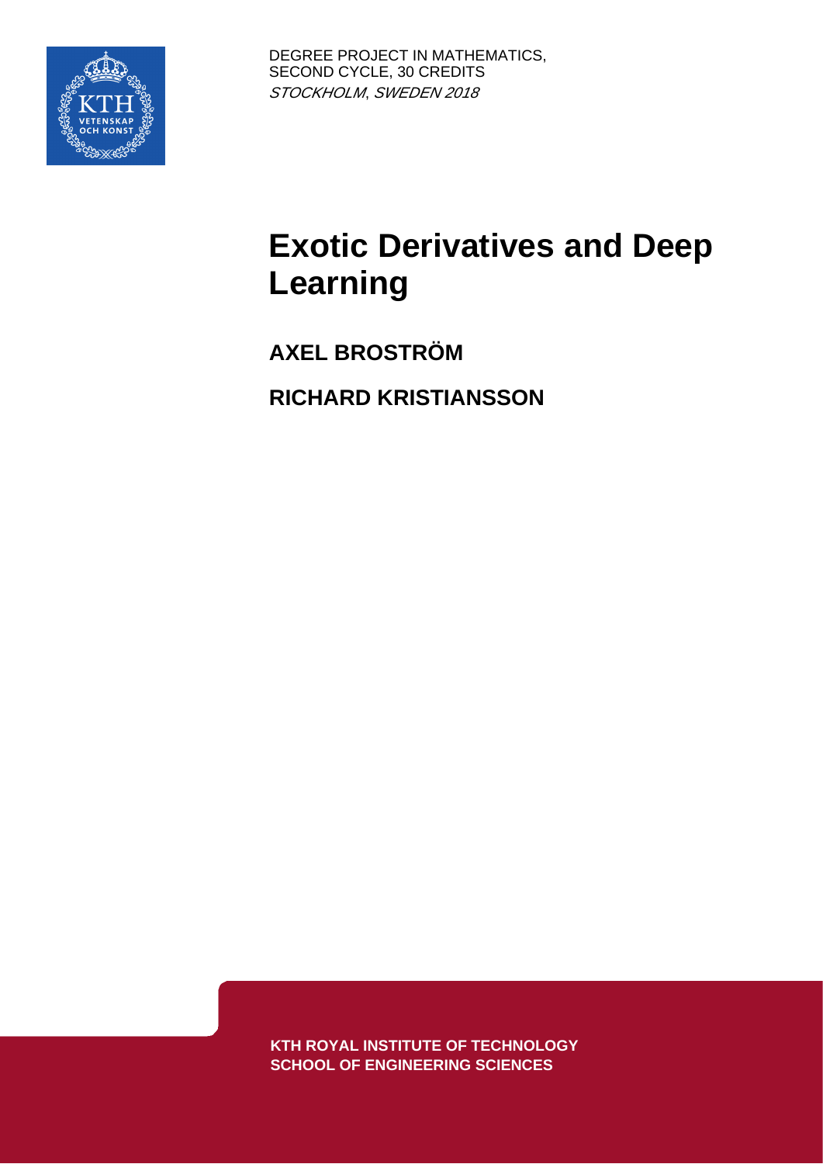

# **Exotic Derivatives and Deep Learning**

**AXEL BROSTRÖM RICHARD KRISTIANSSON**

**KTH ROYAL INSTITUTE OF TECHNOLOGY SCHOOL OF ENGINEERING SCIENCES**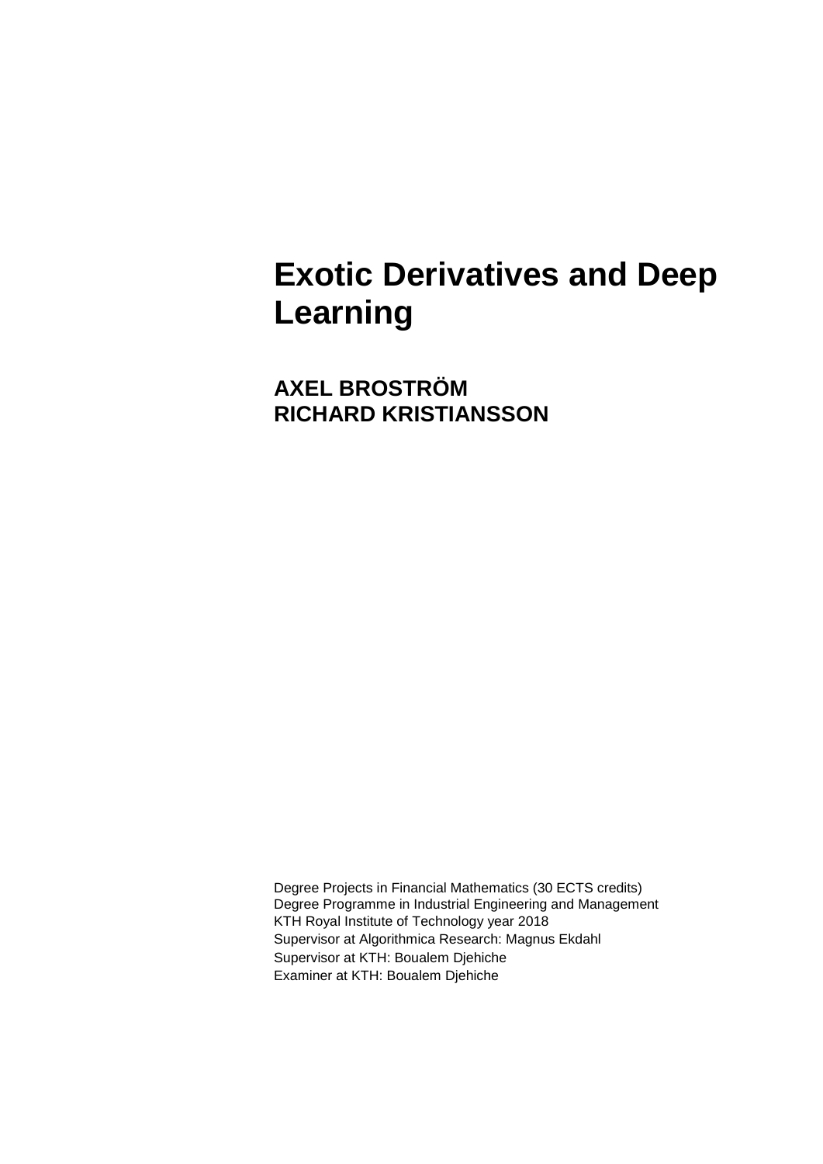# **Exotic Derivatives and Deep Learning**

**AXEL BROSTRÖM RICHARD KRISTIANSSON** 

Degree Projects in Financial Mathematics (30 ECTS credits) Degree Programme in Industrial Engineering and Management KTH Royal Institute of Technology year 2018 Supervisor at Algorithmica Research: Magnus Ekdahl Supervisor at KTH: Boualem Djehiche Examiner at KTH: Boualem Djehiche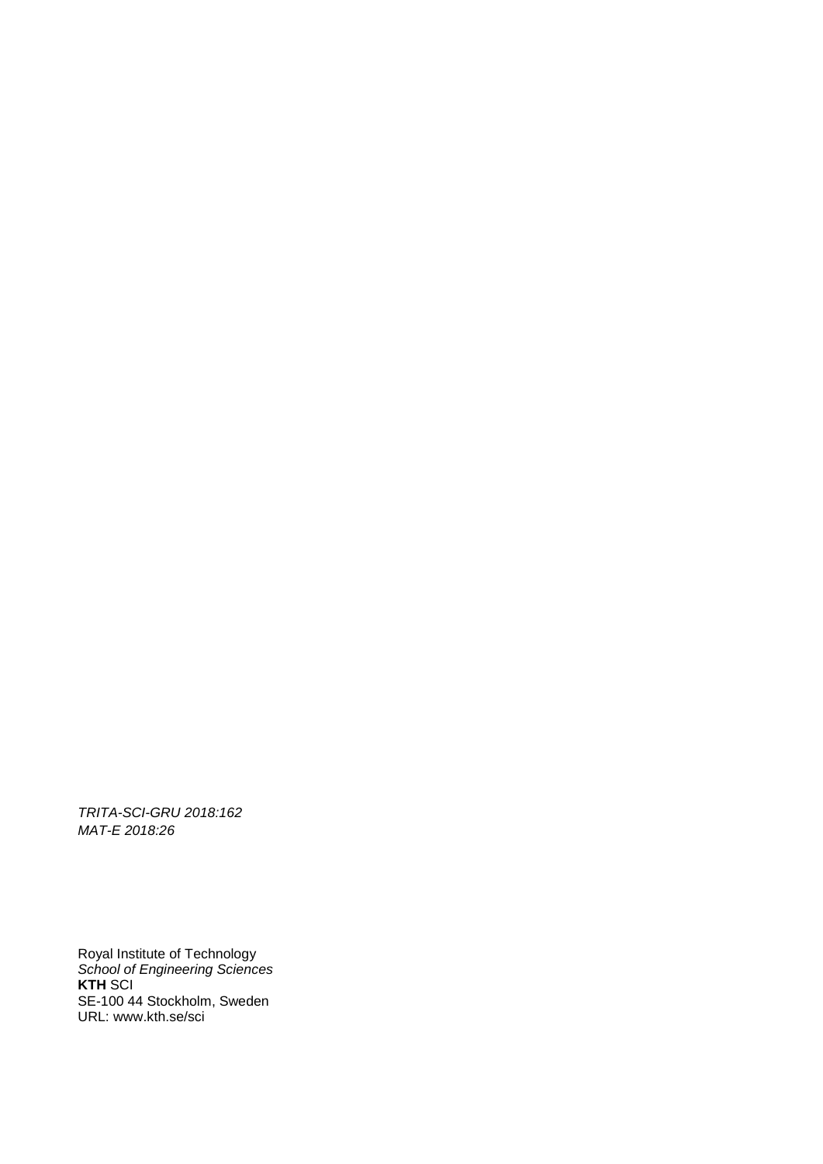*TRITA-SCI-GRU 2018:162 MAT-E 2018:26*

Royal Institute of Technology *School of Engineering Sciences* **KTH** SCI SE-100 44 Stockholm, Sweden URL: www.kth.se/sci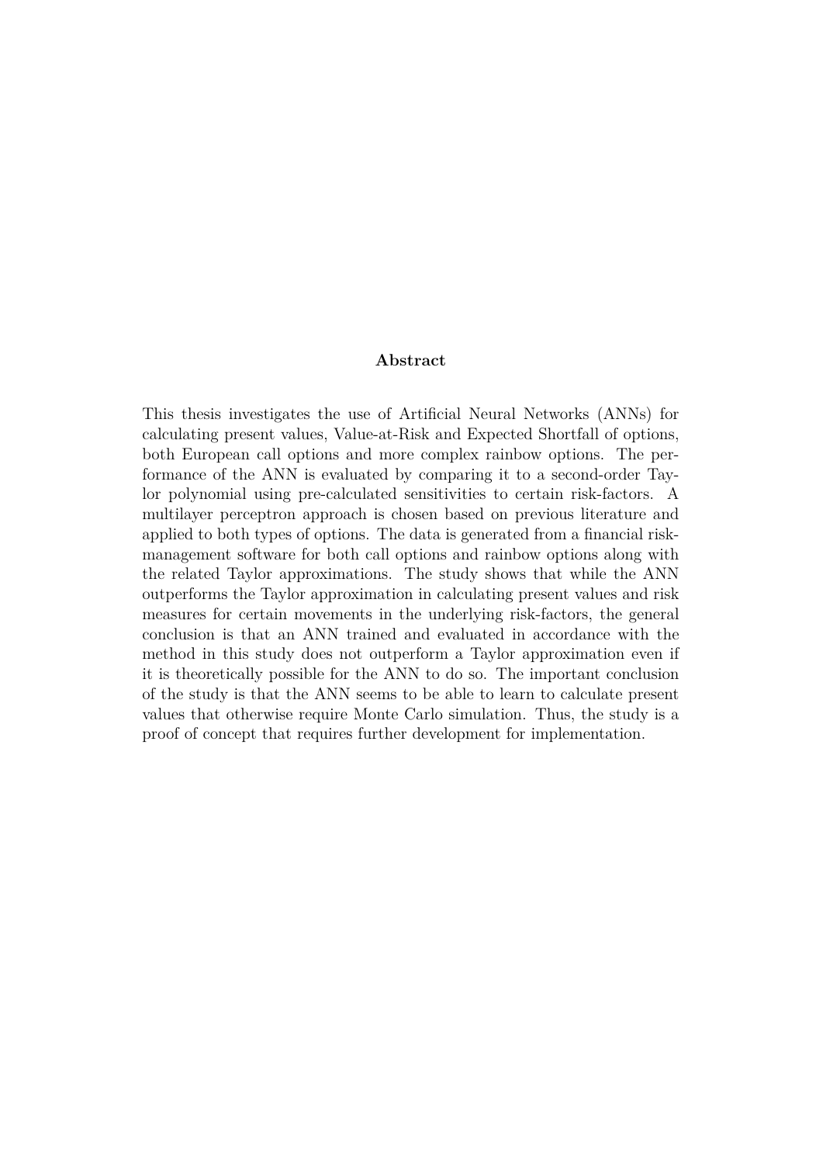#### **Abstract**

This thesis investigates the use of Artificial Neural Networks (ANNs) for calculating present values, Value-at-Risk and Expected Shortfall of options, both European call options and more complex rainbow options. The performance of the ANN is evaluated by comparing it to a second-order Taylor polynomial using pre-calculated sensitivities to certain risk-factors. A multilayer perceptron approach is chosen based on previous literature and applied to both types of options. The data is generated from a financial riskmanagement software for both call options and rainbow options along with the related Taylor approximations. The study shows that while the ANN outperforms the Taylor approximation in calculating present values and risk measures for certain movements in the underlying risk-factors, the general conclusion is that an ANN trained and evaluated in accordance with the method in this study does not outperform a Taylor approximation even if it is theoretically possible for the ANN to do so. The important conclusion of the study is that the ANN seems to be able to learn to calculate present values that otherwise require Monte Carlo simulation. Thus, the study is a proof of concept that requires further development for implementation.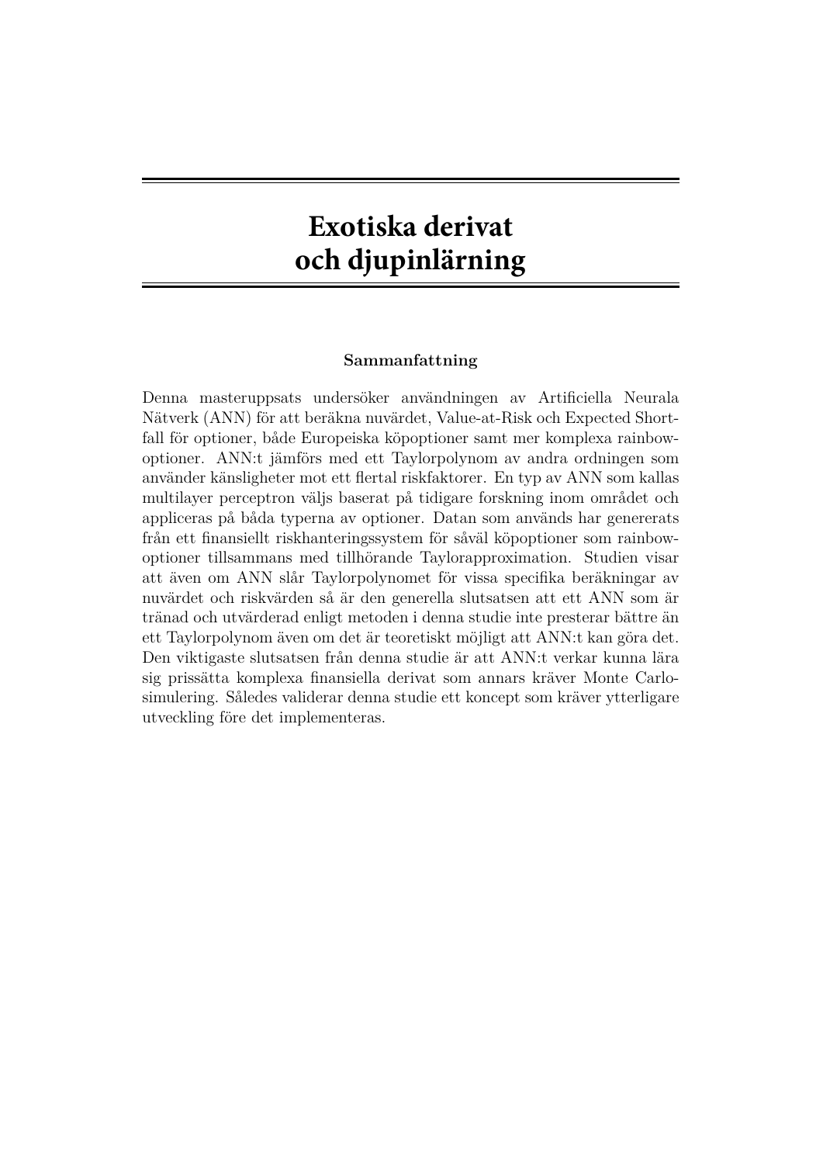## **Exotiska derivat och djupinlärning**

#### **Sammanfattning**

Denna masteruppsats undersöker användningen av Artificiella Neurala Nätverk (ANN) för att beräkna nuvärdet, Value-at-Risk och Expected Shortfall för optioner, både Europeiska köpoptioner samt mer komplexa rainbowoptioner. ANN:t jämförs med ett Taylorpolynom av andra ordningen som använder känsligheter mot ett flertal riskfaktorer. En typ av ANN som kallas multilayer perceptron väljs baserat på tidigare forskning inom området och appliceras på båda typerna av optioner. Datan som används har genererats från ett finansiellt riskhanteringssystem för såväl köpoptioner som rainbowoptioner tillsammans med tillhörande Taylorapproximation. Studien visar att även om ANN slår Taylorpolynomet för vissa specifika beräkningar av nuvärdet och riskvärden så är den generella slutsatsen att ett ANN som är tränad och utvärderad enligt metoden i denna studie inte presterar bättre än ett Taylorpolynom även om det är teoretiskt möjligt att ANN:t kan göra det. Den viktigaste slutsatsen från denna studie är att ANN:t verkar kunna lära sig prissätta komplexa finansiella derivat som annars kräver Monte Carlosimulering. Således validerar denna studie ett koncept som kräver ytterligare utveckling före det implementeras.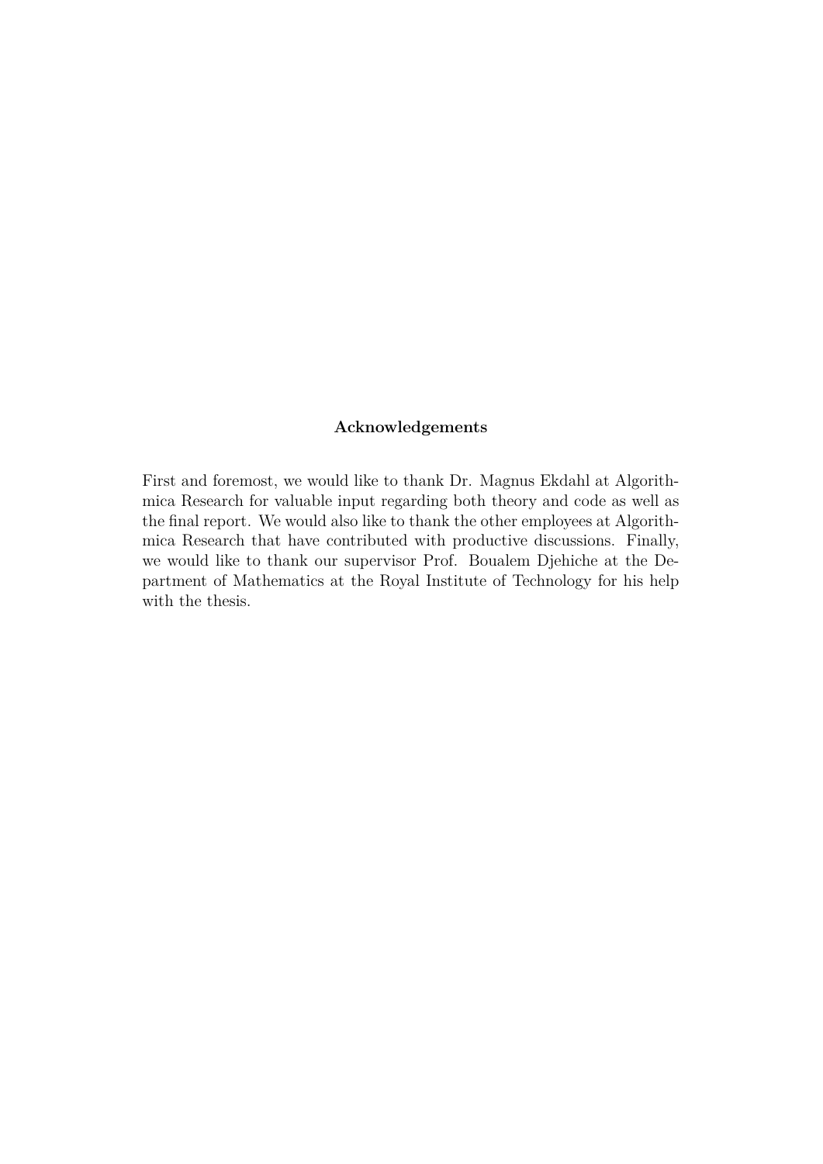#### **Acknowledgements**

First and foremost, we would like to thank Dr. Magnus Ekdahl at Algorithmica Research for valuable input regarding both theory and code as well as the final report. We would also like to thank the other employees at Algorithmica Research that have contributed with productive discussions. Finally, we would like to thank our supervisor Prof. Boualem Djehiche at the Department of Mathematics at the Royal Institute of Technology for his help with the thesis.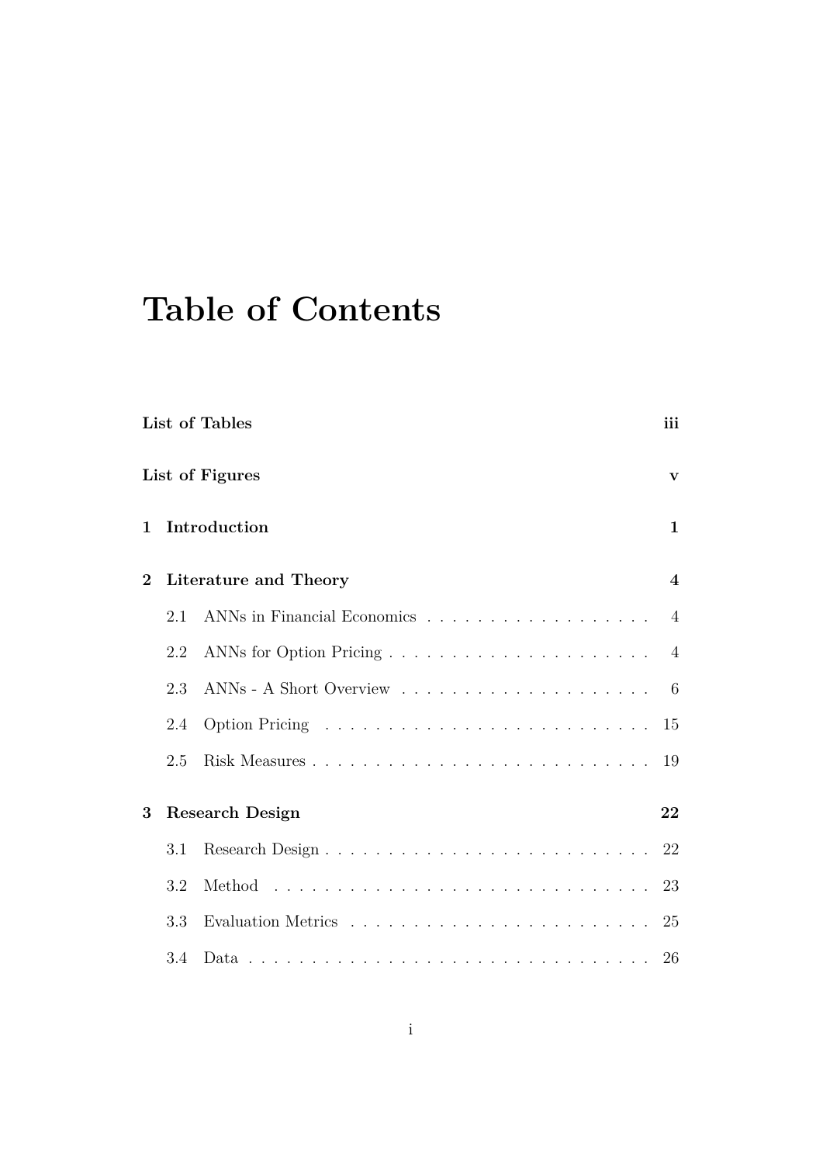# **Table of Contents**

| List of Tables |     |                               |                |  |  |  |
|----------------|-----|-------------------------------|----------------|--|--|--|
|                |     | List of Figures               | $\mathbf{v}$   |  |  |  |
| $\mathbf{1}$   |     | Introduction                  | $\mathbf{1}$   |  |  |  |
| $\overline{2}$ |     | Literature and Theory         | $\overline{4}$ |  |  |  |
|                | 2.1 | ANNs in Financial Economics 4 |                |  |  |  |
|                | 2.2 |                               | $\overline{4}$ |  |  |  |
|                | 2.3 |                               | 6              |  |  |  |
|                | 2.4 |                               | 15             |  |  |  |
|                | 2.5 |                               | 19             |  |  |  |
| 3              |     | <b>Research Design</b>        | 22             |  |  |  |
|                | 3.1 |                               | 22             |  |  |  |
|                | 3.2 |                               | 23             |  |  |  |
|                | 3.3 |                               | 25             |  |  |  |
|                | 3.4 |                               | 26             |  |  |  |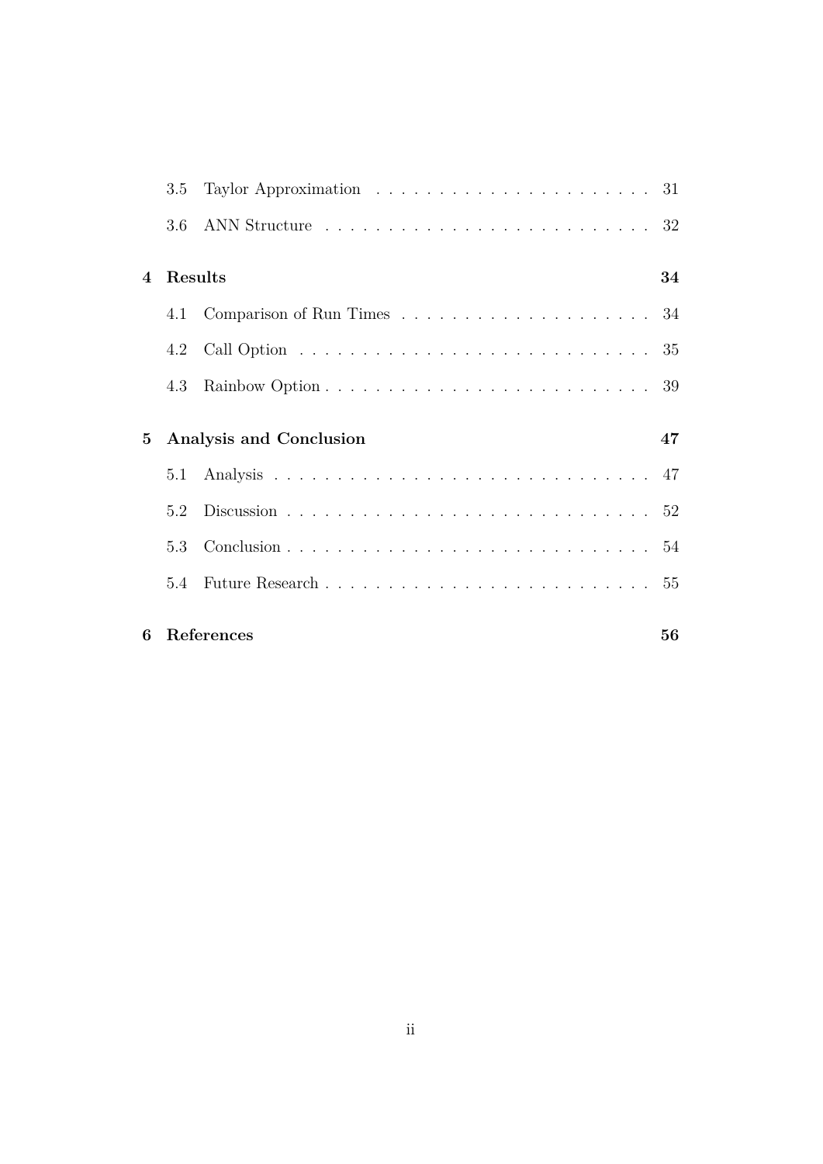|                | 3.5     |                         |    |
|----------------|---------|-------------------------|----|
|                | 3.6     |                         |    |
| $\overline{4}$ | Results |                         | 34 |
|                | 4.1     |                         |    |
|                | 4.2     |                         |    |
|                | 4.3     |                         |    |
| 5              |         | Analysis and Conclusion | 47 |
|                |         |                         |    |
|                | 5.2     |                         |    |
|                | 5.3     |                         |    |
|                |         |                         |    |
| 6              |         | References              | 56 |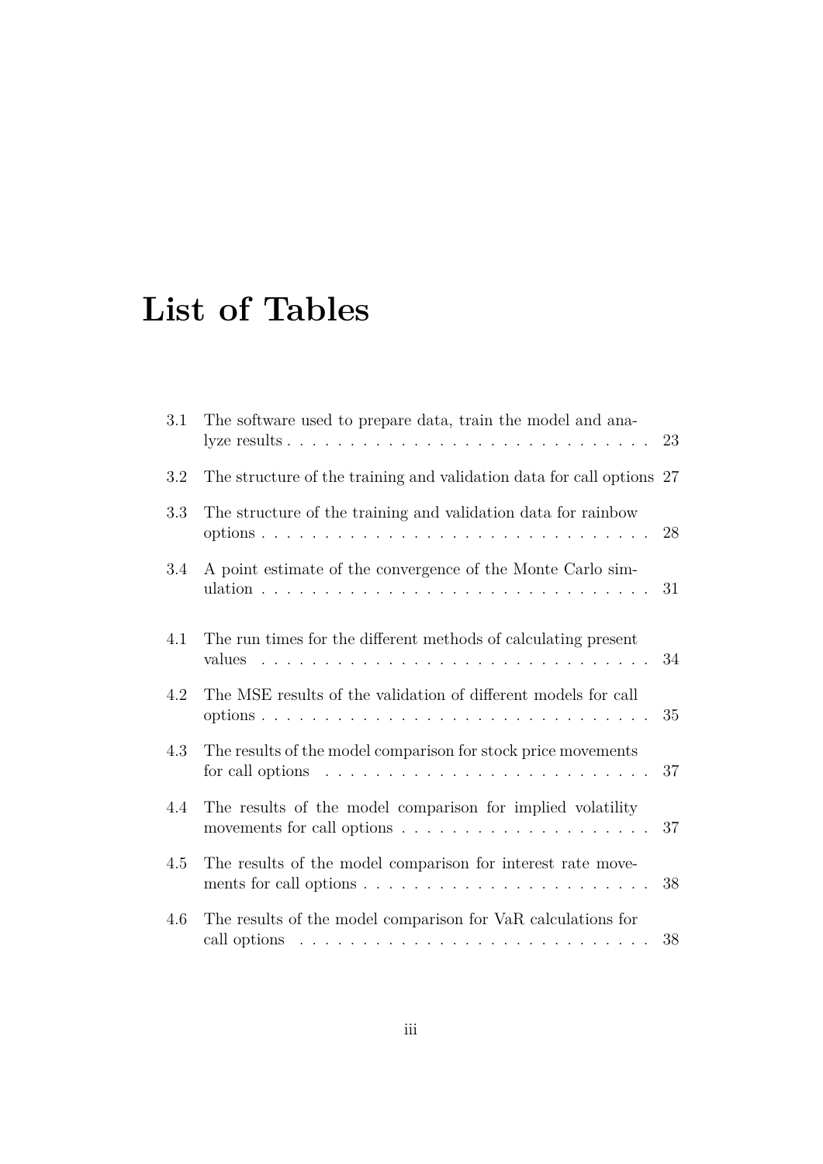# **List of Tables**

| 3.1     | The software used to prepare data, train the model and ana-                                                                                        | 23 |
|---------|----------------------------------------------------------------------------------------------------------------------------------------------------|----|
| 3.2     | The structure of the training and validation data for call options 27                                                                              |    |
| 3.3     | The structure of the training and validation data for rainbow                                                                                      | 28 |
| 3.4     | A point estimate of the convergence of the Monte Carlo sim-                                                                                        | 31 |
| 4.1     | The run times for the different methods of calculating present<br>values                                                                           | 34 |
| 4.2     | The MSE results of the validation of different models for call                                                                                     | 35 |
| $4.3\,$ | The results of the model comparison for stock price movements<br>for call options $\ldots \ldots \ldots \ldots \ldots \ldots \ldots \ldots \ldots$ | 37 |
| 4.4     | The results of the model comparison for implied volatility                                                                                         | 37 |
| 4.5     | The results of the model comparison for interest rate move-<br>ments for call options $\dots \dots \dots \dots \dots \dots \dots \dots \dots$      | 38 |
| 4.6     | The results of the model comparison for VaR calculations for                                                                                       | 38 |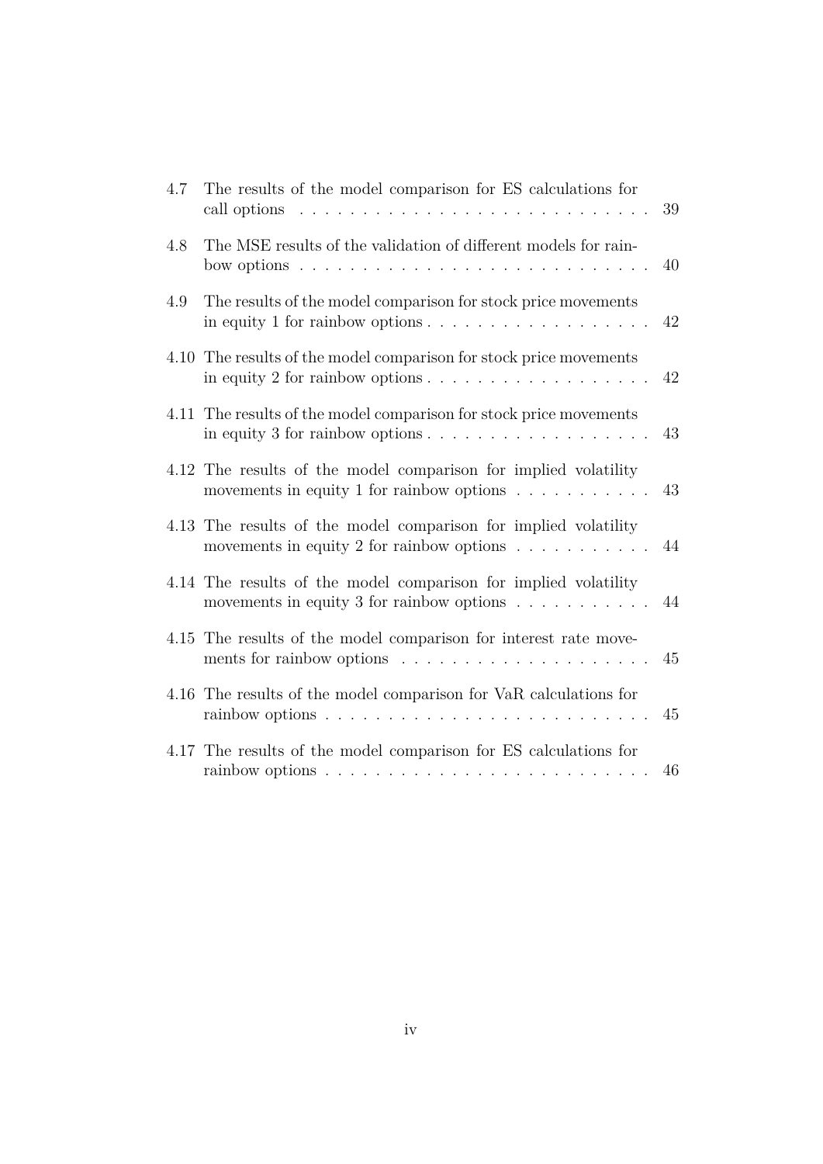| 4.7 | The results of the model comparison for ES calculations for<br>call options<br>.<br>$\sim 10^{11}$                                                   | 39 |
|-----|------------------------------------------------------------------------------------------------------------------------------------------------------|----|
| 4.8 | The MSE results of the validation of different models for rain-<br>.<br>bow options                                                                  | 40 |
| 4.9 | The results of the model comparison for stock price movements<br>in equity 1 for rainbow options $\dots \dots \dots \dots \dots \dots \dots$         | 42 |
|     | 4.10 The results of the model comparison for stock price movements<br>in equity 2 for rainbow options $\ldots \ldots \ldots \ldots \ldots$           | 42 |
|     | 4.11 The results of the model comparison for stock price movements<br>in equity 3 for rainbow options $\dots \dots \dots \dots \dots \dots \dots$    | 43 |
|     | 4.12 The results of the model comparison for implied volatility<br>movements in equity 1 for rainbow options $\ldots \ldots \ldots$                  | 43 |
|     | 4.13 The results of the model comparison for implied volatility<br>movements in equity 2 for rainbow options $\ldots \ldots \ldots$                  | 44 |
|     | 4.14 The results of the model comparison for implied volatility<br>movements in equity 3 for rainbow options $\ldots \ldots \ldots$                  | 44 |
|     | 4.15 The results of the model comparison for interest rate move-                                                                                     | 45 |
|     | 4.16 The results of the model comparison for VaR calculations for<br>rainbow options $\dots \dots \dots \dots \dots \dots \dots$                     | 45 |
|     | 4.17 The results of the model comparison for ES calculations for<br>rainbow options $\ldots \ldots \ldots \ldots \ldots \ldots \ldots \ldots \ldots$ | 46 |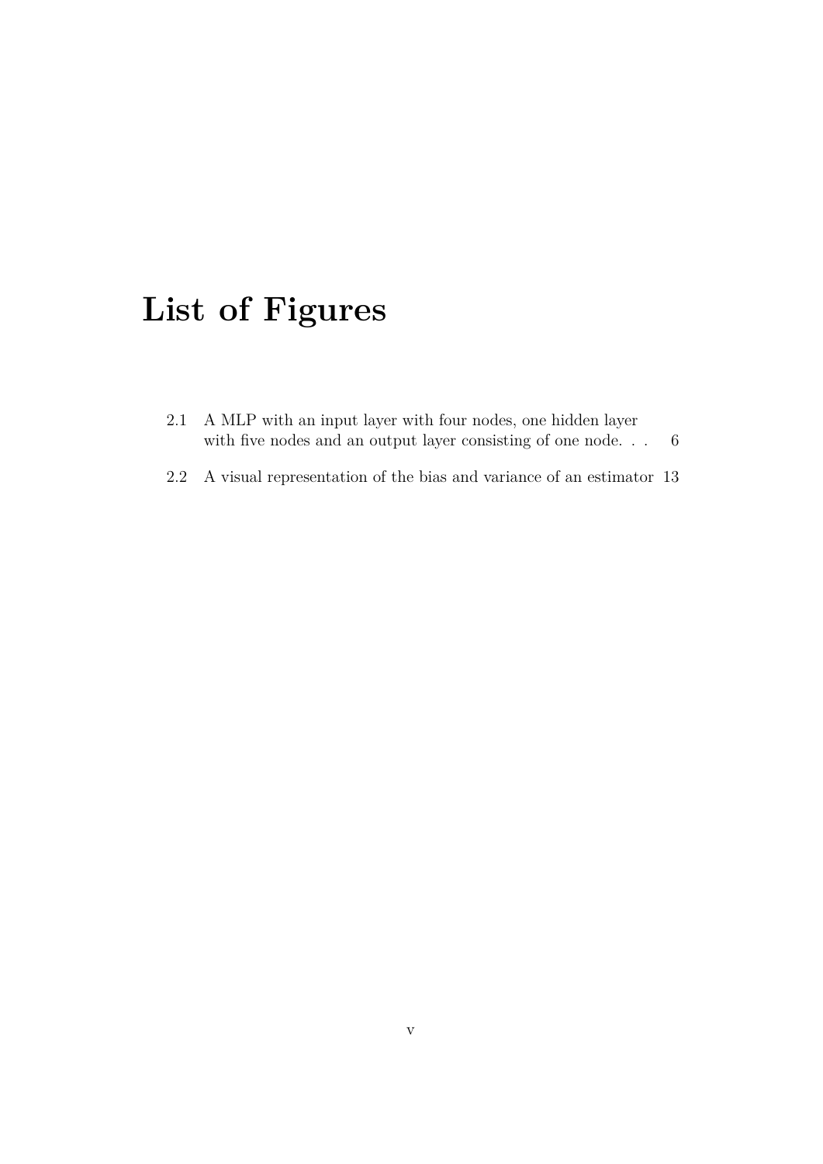# **List of Figures**

| 2.1 A MLP with an input layer with four nodes, one hidden layer |  |
|-----------------------------------------------------------------|--|
| with five nodes and an output layer consisting of one node      |  |

2.2 A visual representation of the bias and variance of an estimator 13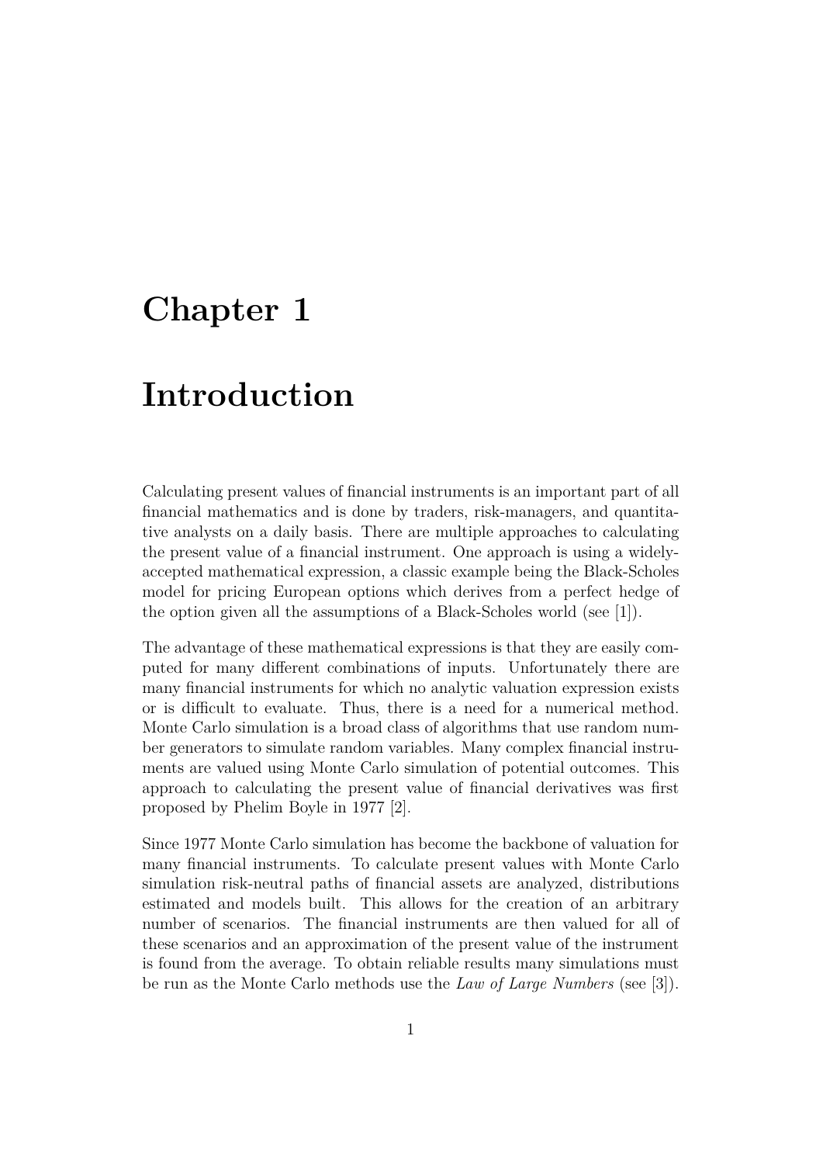## **Chapter 1**

## **Introduction**

Calculating present values of financial instruments is an important part of all financial mathematics and is done by traders, risk-managers, and quantitative analysts on a daily basis. There are multiple approaches to calculating the present value of a financial instrument. One approach is using a widelyaccepted mathematical expression, a classic example being the Black-Scholes model for pricing European options which derives from a perfect hedge of the option given all the assumptions of a Black-Scholes world (see [1]).

The advantage of these mathematical expressions is that they are easily computed for many different combinations of inputs. Unfortunately there are many financial instruments for which no analytic valuation expression exists or is difficult to evaluate. Thus, there is a need for a numerical method. Monte Carlo simulation is a broad class of algorithms that use random number generators to simulate random variables. Many complex financial instruments are valued using Monte Carlo simulation of potential outcomes. This approach to calculating the present value of financial derivatives was first proposed by Phelim Boyle in 1977 [2].

Since 1977 Monte Carlo simulation has become the backbone of valuation for many financial instruments. To calculate present values with Monte Carlo simulation risk-neutral paths of financial assets are analyzed, distributions estimated and models built. This allows for the creation of an arbitrary number of scenarios. The financial instruments are then valued for all of these scenarios and an approximation of the present value of the instrument is found from the average. To obtain reliable results many simulations must be run as the Monte Carlo methods use the *Law of Large Numbers* (see [3]).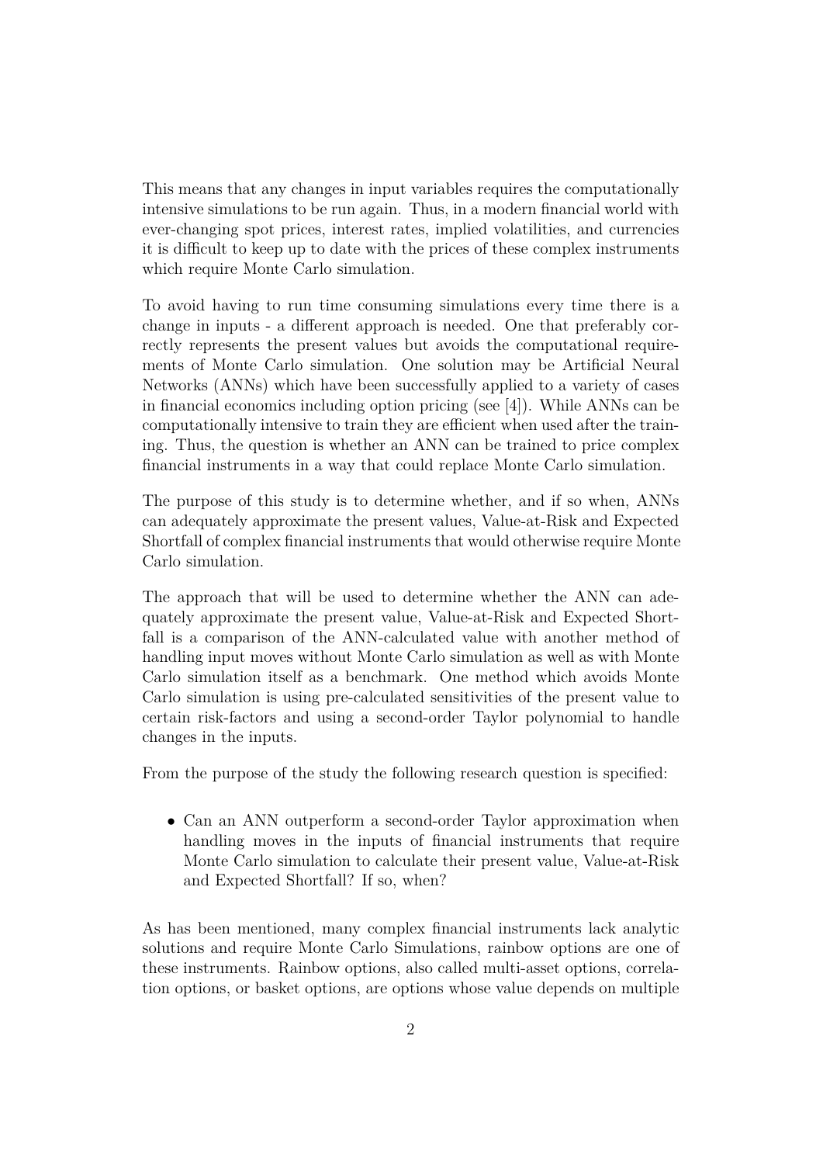This means that any changes in input variables requires the computationally intensive simulations to be run again. Thus, in a modern financial world with ever-changing spot prices, interest rates, implied volatilities, and currencies it is difficult to keep up to date with the prices of these complex instruments which require Monte Carlo simulation.

To avoid having to run time consuming simulations every time there is a change in inputs - a different approach is needed. One that preferably correctly represents the present values but avoids the computational requirements of Monte Carlo simulation. One solution may be Artificial Neural Networks (ANNs) which have been successfully applied to a variety of cases in financial economics including option pricing (see [4]). While ANNs can be computationally intensive to train they are efficient when used after the training. Thus, the question is whether an ANN can be trained to price complex financial instruments in a way that could replace Monte Carlo simulation.

The purpose of this study is to determine whether, and if so when, ANNs can adequately approximate the present values, Value-at-Risk and Expected Shortfall of complex financial instruments that would otherwise require Monte Carlo simulation.

The approach that will be used to determine whether the ANN can adequately approximate the present value, Value-at-Risk and Expected Shortfall is a comparison of the ANN-calculated value with another method of handling input moves without Monte Carlo simulation as well as with Monte Carlo simulation itself as a benchmark. One method which avoids Monte Carlo simulation is using pre-calculated sensitivities of the present value to certain risk-factors and using a second-order Taylor polynomial to handle changes in the inputs.

From the purpose of the study the following research question is specified:

• Can an ANN outperform a second-order Taylor approximation when handling moves in the inputs of financial instruments that require Monte Carlo simulation to calculate their present value, Value-at-Risk and Expected Shortfall? If so, when?

As has been mentioned, many complex financial instruments lack analytic solutions and require Monte Carlo Simulations, rainbow options are one of these instruments. Rainbow options, also called multi-asset options, correlation options, or basket options, are options whose value depends on multiple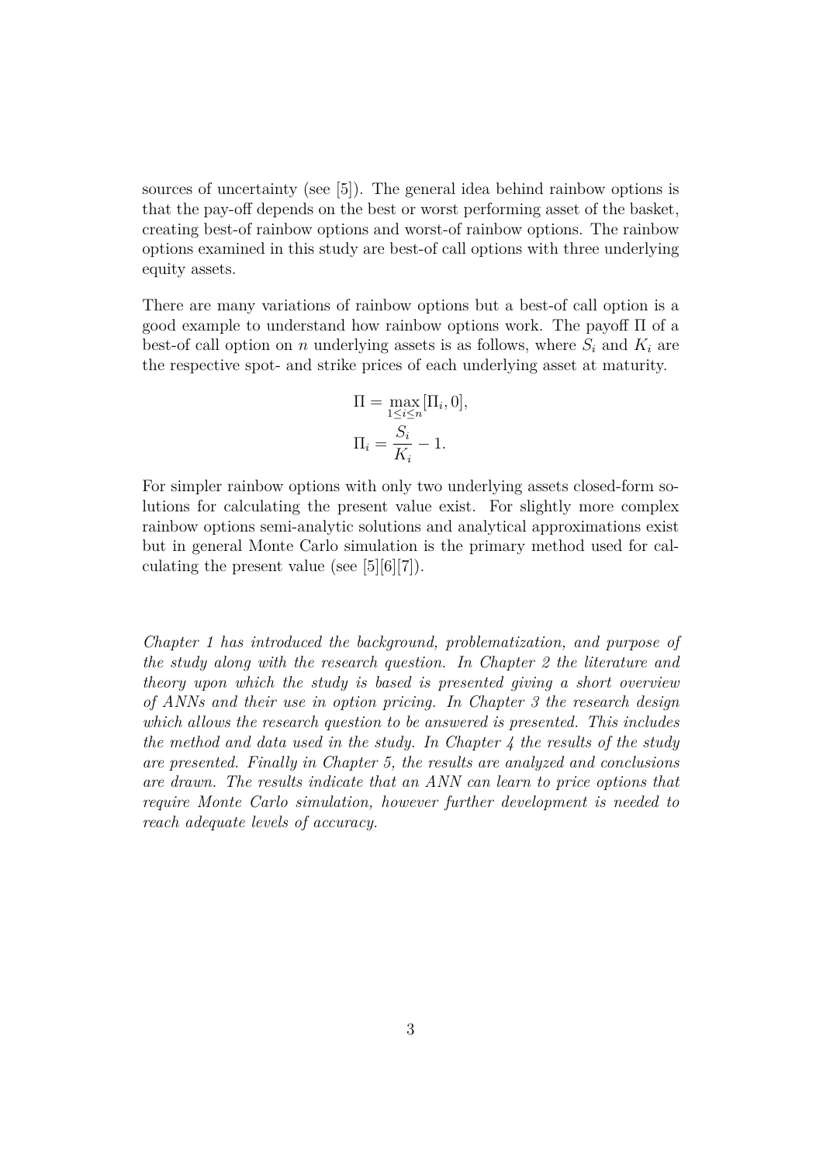sources of uncertainty (see [5]). The general idea behind rainbow options is that the pay-off depends on the best or worst performing asset of the basket, creating best-of rainbow options and worst-of rainbow options. The rainbow options examined in this study are best-of call options with three underlying equity assets.

There are many variations of rainbow options but a best-of call option is a good example to understand how rainbow options work. The payoff Π of a best-of call option on n underlying assets is as follows, where  $S_i$  and  $K_i$  are the respective spot- and strike prices of each underlying asset at maturity.

$$
\Pi = \max_{1 \le i \le n} [\Pi_i, 0],
$$
  

$$
\Pi_i = \frac{S_i}{K_i} - 1.
$$

For simpler rainbow options with only two underlying assets closed-form solutions for calculating the present value exist. For slightly more complex rainbow options semi-analytic solutions and analytical approximations exist but in general Monte Carlo simulation is the primary method used for calculating the present value (see [5][6][7]).

*Chapter 1 has introduced the background, problematization, and purpose of the study along with the research question. In Chapter 2 the literature and theory upon which the study is based is presented giving a short overview of ANNs and their use in option pricing. In Chapter 3 the research design which allows the research question to be answered is presented. This includes the method and data used in the study. In Chapter 4 the results of the study are presented. Finally in Chapter 5, the results are analyzed and conclusions are drawn. The results indicate that an ANN can learn to price options that require Monte Carlo simulation, however further development is needed to reach adequate levels of accuracy.*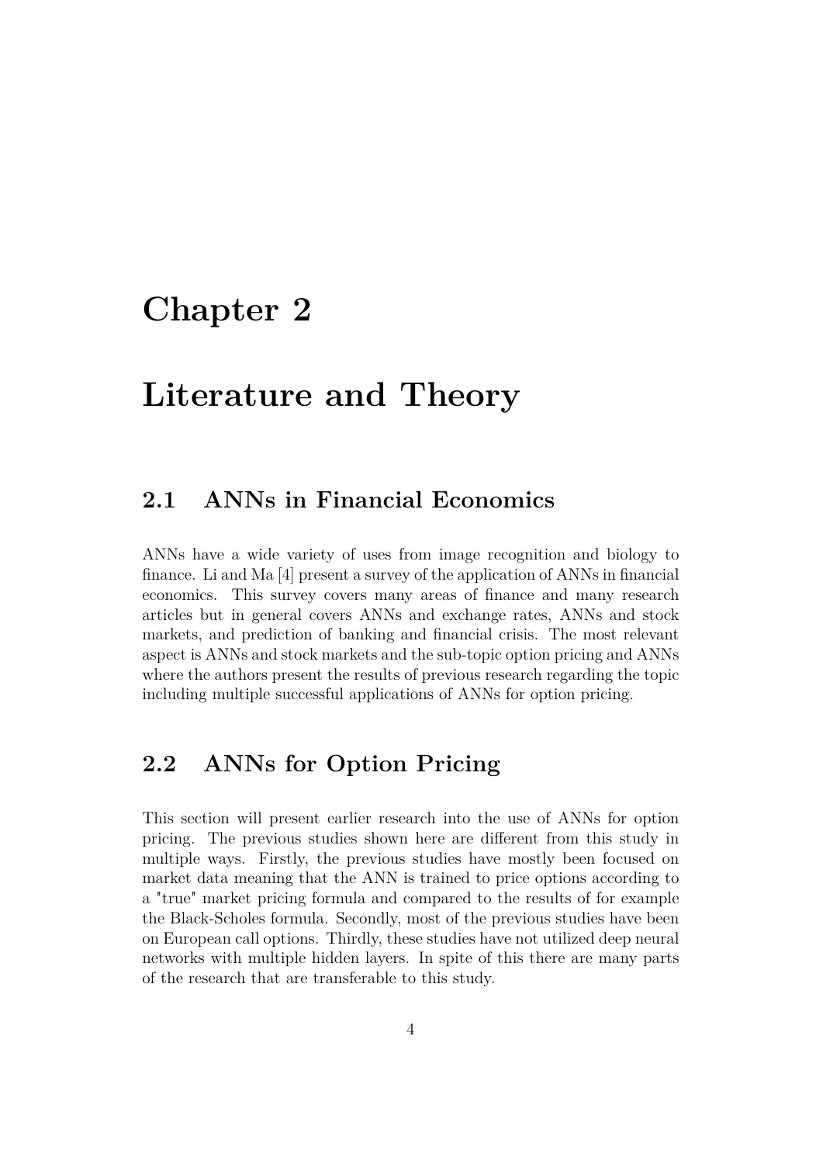## **Chapter 2**

## **Literature and Theory**

### **2.1 ANNs in Financial Economics**

ANNs have a wide variety of uses from image recognition and biology to finance. Li and Ma [4] present a survey of the application of ANNs in financial economics. This survey covers many areas of finance and many research articles but in general covers ANNs and exchange rates, ANNs and stock markets, and prediction of banking and financial crisis. The most relevant aspect is ANNs and stock markets and the sub-topic option pricing and ANNs where the authors present the results of previous research regarding the topic including multiple successful applications of ANNs for option pricing.

### **2.2 ANNs for Option Pricing**

This section will present earlier research into the use of ANNs for option pricing. The previous studies shown here are different from this study in multiple ways. Firstly, the previous studies have mostly been focused on market data meaning that the ANN is trained to price options according to a "true" market pricing formula and compared to the results of for example the Black-Scholes formula. Secondly, most of the previous studies have been on European call options. Thirdly, these studies have not utilized deep neural networks with multiple hidden layers. In spite of this there are many parts of the research that are transferable to this study.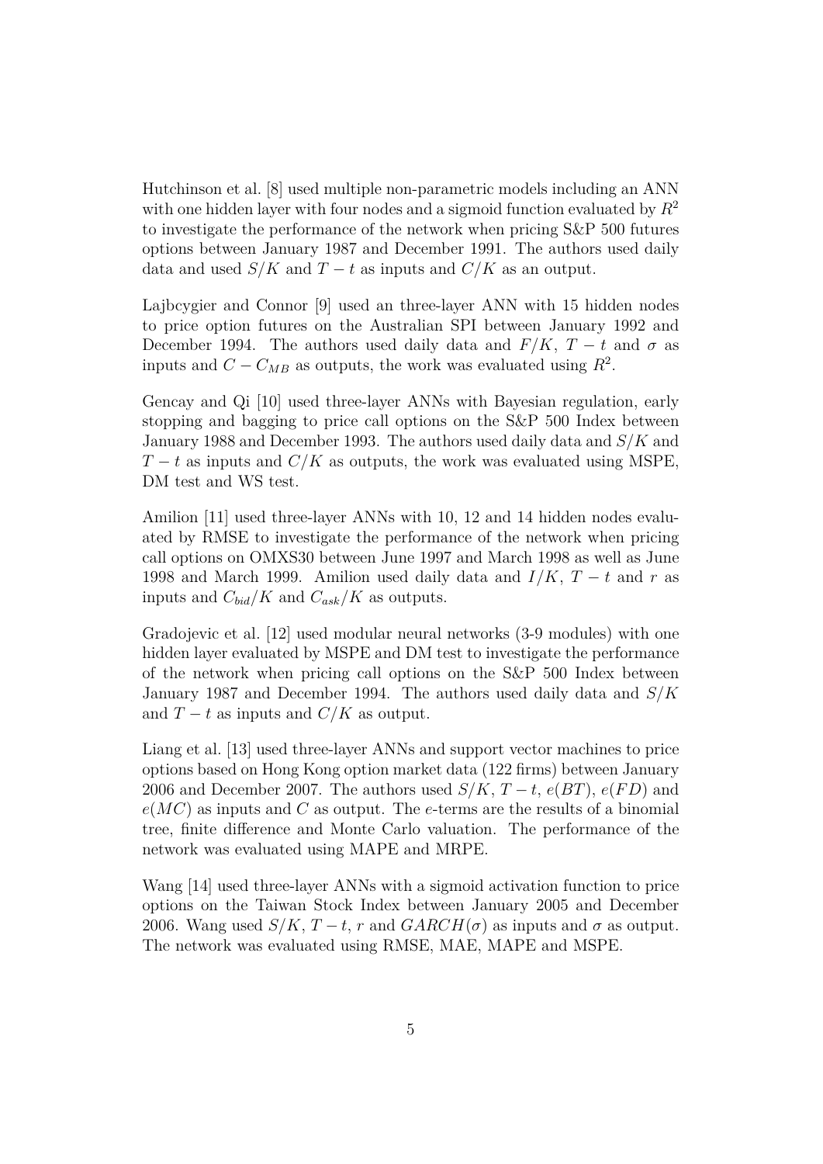Hutchinson et al. [8] used multiple non-parametric models including an ANN with one hidden layer with four nodes and a sigmoid function evaluated by  $R^2$ to investigate the performance of the network when pricing S&P 500 futures options between January 1987 and December 1991. The authors used daily data and used  $S/K$  and  $T-t$  as inputs and  $C/K$  as an output.

Lajbcygier and Connor [9] used an three-layer ANN with 15 hidden nodes to price option futures on the Australian SPI between January 1992 and December 1994. The authors used daily data and  $F/K$ ,  $T-t$  and  $\sigma$  as inputs and  $C - C_{MB}$  as outputs, the work was evaluated using  $R^2$ .

Gencay and Qi [10] used three-layer ANNs with Bayesian regulation, early stopping and bagging to price call options on the S&P 500 Index between January 1988 and December 1993. The authors used daily data and  $S/K$  and  $T-t$  as inputs and  $C/K$  as outputs, the work was evaluated using MSPE, DM test and WS test.

Amilion [11] used three-layer ANNs with 10, 12 and 14 hidden nodes evaluated by RMSE to investigate the performance of the network when pricing call options on OMXS30 between June 1997 and March 1998 as well as June 1998 and March 1999. Amilion used daily data and  $I/K$ ,  $T-t$  and r as inputs and  $C_{bid}/K$  and  $C_{ask}/K$  as outputs.

Gradojevic et al. [12] used modular neural networks (3-9 modules) with one hidden layer evaluated by MSPE and DM test to investigate the performance of the network when pricing call options on the S&P 500 Index between January 1987 and December 1994. The authors used daily data and  $S/K$ and  $T - t$  as inputs and  $C/K$  as output.

Liang et al. [13] used three-layer ANNs and support vector machines to price options based on Hong Kong option market data (122 firms) between January 2006 and December 2007. The authors used  $S/K$ ,  $T-t$ ,  $e(BT)$ ,  $e(FD)$  and  $e(MC)$  as inputs and C as output. The e-terms are the results of a binomial tree, finite difference and Monte Carlo valuation. The performance of the network was evaluated using MAPE and MRPE.

Wang [14] used three-layer ANNs with a sigmoid activation function to price options on the Taiwan Stock Index between January 2005 and December 2006. Wang used  $S/K$ ,  $T-t$ , r and  $GARCH(\sigma)$  as inputs and  $\sigma$  as output. The network was evaluated using RMSE, MAE, MAPE and MSPE.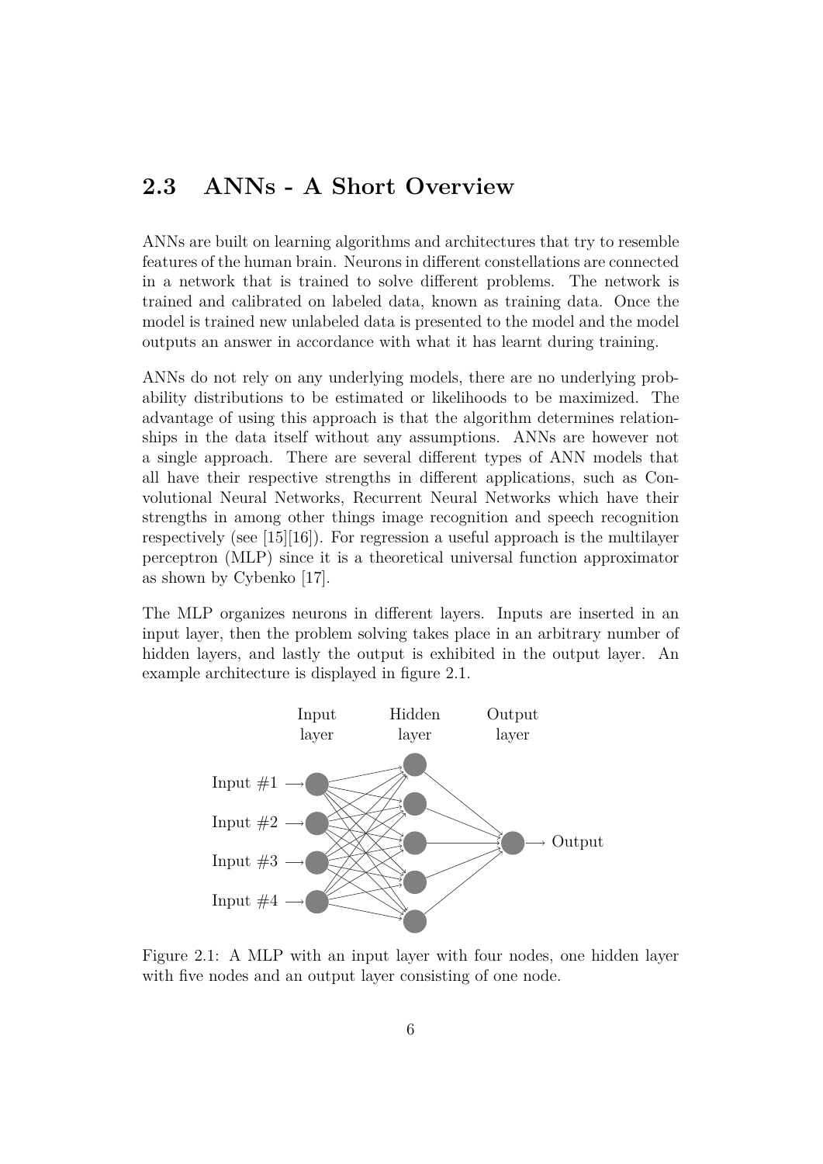### **2.3 ANNs - A Short Overview**

ANNs are built on learning algorithms and architectures that try to resemble features of the human brain. Neurons in different constellations are connected in a network that is trained to solve different problems. The network is trained and calibrated on labeled data, known as training data. Once the model is trained new unlabeled data is presented to the model and the model outputs an answer in accordance with what it has learnt during training.

ANNs do not rely on any underlying models, there are no underlying probability distributions to be estimated or likelihoods to be maximized. The advantage of using this approach is that the algorithm determines relationships in the data itself without any assumptions. ANNs are however not a single approach. There are several different types of ANN models that all have their respective strengths in different applications, such as Convolutional Neural Networks, Recurrent Neural Networks which have their strengths in among other things image recognition and speech recognition respectively (see [15][16]). For regression a useful approach is the multilayer perceptron (MLP) since it is a theoretical universal function approximator as shown by Cybenko [17].

The MLP organizes neurons in different layers. Inputs are inserted in an input layer, then the problem solving takes place in an arbitrary number of hidden layers, and lastly the output is exhibited in the output layer. An example architecture is displayed in figure 2.1.



Figure 2.1: A MLP with an input layer with four nodes, one hidden layer with five nodes and an output layer consisting of one node.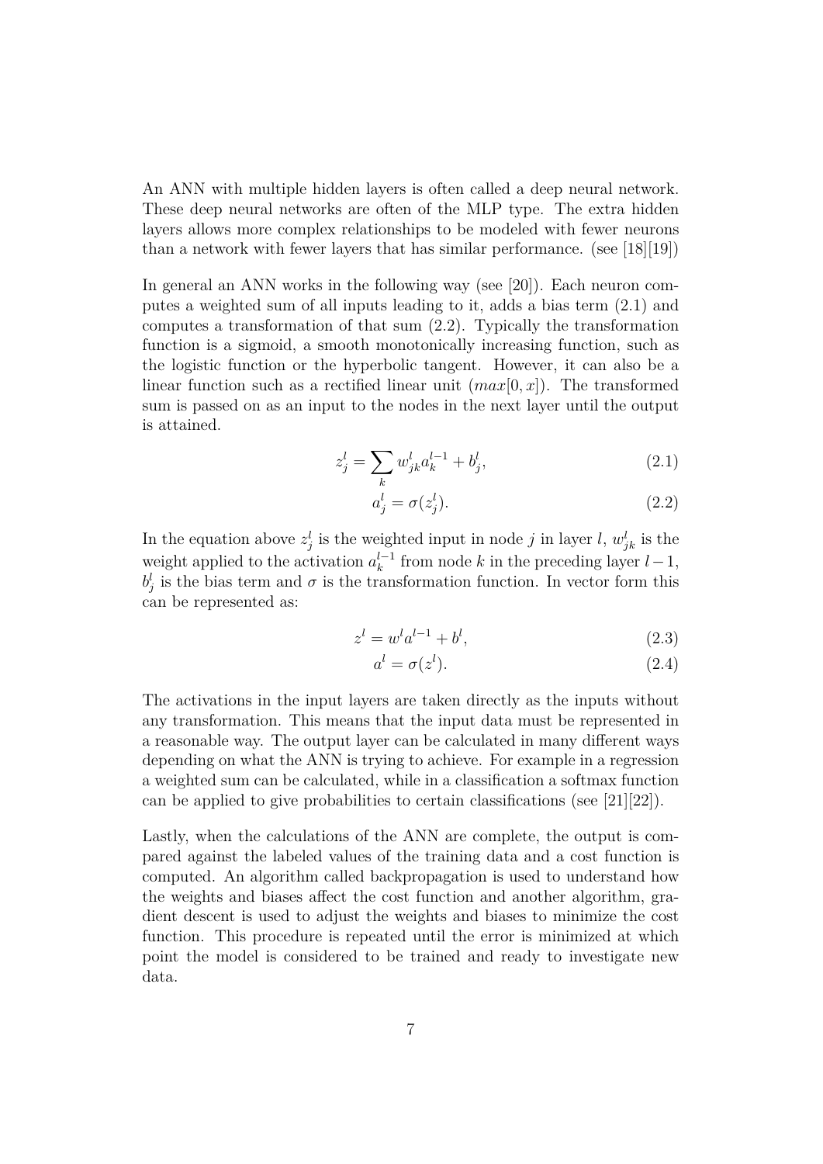An ANN with multiple hidden layers is often called a deep neural network. These deep neural networks are often of the MLP type. The extra hidden layers allows more complex relationships to be modeled with fewer neurons than a network with fewer layers that has similar performance. (see [18][19])

In general an ANN works in the following way (see [20]). Each neuron computes a weighted sum of all inputs leading to it, adds a bias term (2.1) and computes a transformation of that sum (2.2). Typically the transformation function is a sigmoid, a smooth monotonically increasing function, such as the logistic function or the hyperbolic tangent. However, it can also be a linear function such as a rectified linear unit  $(max[0, x])$ . The transformed sum is passed on as an input to the nodes in the next layer until the output is attained.

$$
z_j^l = \sum_k w_{jk}^l a_k^{l-1} + b_j^l,
$$
\n(2.1)

$$
a_j^l = \sigma(z_j^l). \tag{2.2}
$$

In the equation above  $z_j^l$  is the weighted input in node j in layer l,  $w_{jk}^l$  is the weight applied to the activation  $a_k^{l-1}$  $k<sup>l-1</sup>$  from node k in the preceding layer  $l-1$ ,  $b_j^l$  is the bias term and  $\sigma$  is the transformation function. In vector form this can be represented as:

$$
z^{l} = w^{l} a^{l-1} + b^{l}, \tag{2.3}
$$

$$
a^l = \sigma(z^l). \tag{2.4}
$$

The activations in the input layers are taken directly as the inputs without any transformation. This means that the input data must be represented in a reasonable way. The output layer can be calculated in many different ways depending on what the ANN is trying to achieve. For example in a regression a weighted sum can be calculated, while in a classification a softmax function can be applied to give probabilities to certain classifications (see [21][22]).

Lastly, when the calculations of the ANN are complete, the output is compared against the labeled values of the training data and a cost function is computed. An algorithm called backpropagation is used to understand how the weights and biases affect the cost function and another algorithm, gradient descent is used to adjust the weights and biases to minimize the cost function. This procedure is repeated until the error is minimized at which point the model is considered to be trained and ready to investigate new data.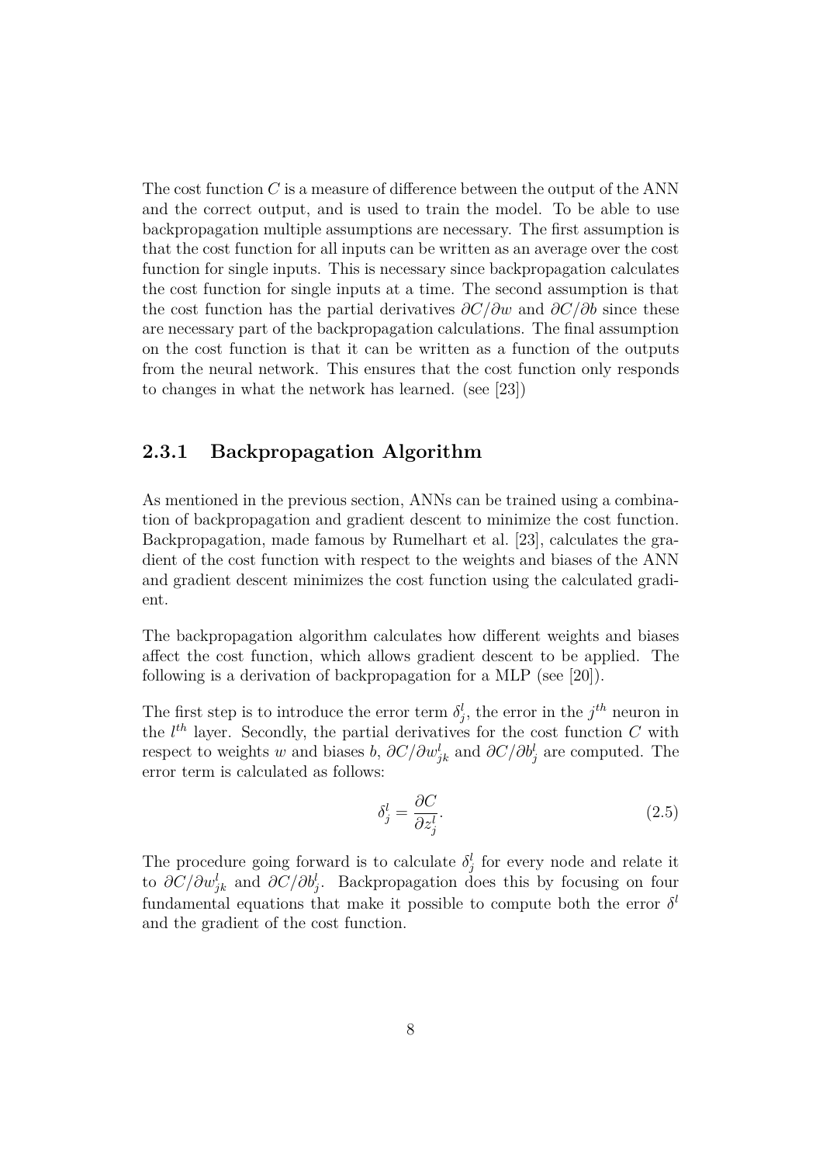The cost function  $C$  is a measure of difference between the output of the ANN and the correct output, and is used to train the model. To be able to use backpropagation multiple assumptions are necessary. The first assumption is that the cost function for all inputs can be written as an average over the cost function for single inputs. This is necessary since backpropagation calculates the cost function for single inputs at a time. The second assumption is that the cost function has the partial derivatives  $\partial C/\partial w$  and  $\partial C/\partial b$  since these are necessary part of the backpropagation calculations. The final assumption on the cost function is that it can be written as a function of the outputs from the neural network. This ensures that the cost function only responds to changes in what the network has learned. (see [23])

#### **2.3.1 Backpropagation Algorithm**

As mentioned in the previous section, ANNs can be trained using a combination of backpropagation and gradient descent to minimize the cost function. Backpropagation, made famous by Rumelhart et al. [23], calculates the gradient of the cost function with respect to the weights and biases of the ANN and gradient descent minimizes the cost function using the calculated gradient.

The backpropagation algorithm calculates how different weights and biases affect the cost function, which allows gradient descent to be applied. The following is a derivation of backpropagation for a MLP (see [20]).

The first step is to introduce the error term  $\delta_j^l$ , the error in the  $j^{th}$  neuron in the  $l^{th}$  layer. Secondly, the partial derivatives for the cost function C with respect to weights w and biases b,  $\partial C/\partial w_{jk}^l$  and  $\partial C/\partial b_j^l$  are computed. The error term is calculated as follows:

$$
\delta_j^l = \frac{\partial C}{\partial z_j^l}.\tag{2.5}
$$

The procedure going forward is to calculate  $\delta_j^l$  for every node and relate it to  $\partial C/\partial w_{jk}^l$  and  $\partial C/\partial b_j^l$ . Backpropagation does this by focusing on four fundamental equations that make it possible to compute both the error  $\delta^l$ and the gradient of the cost function.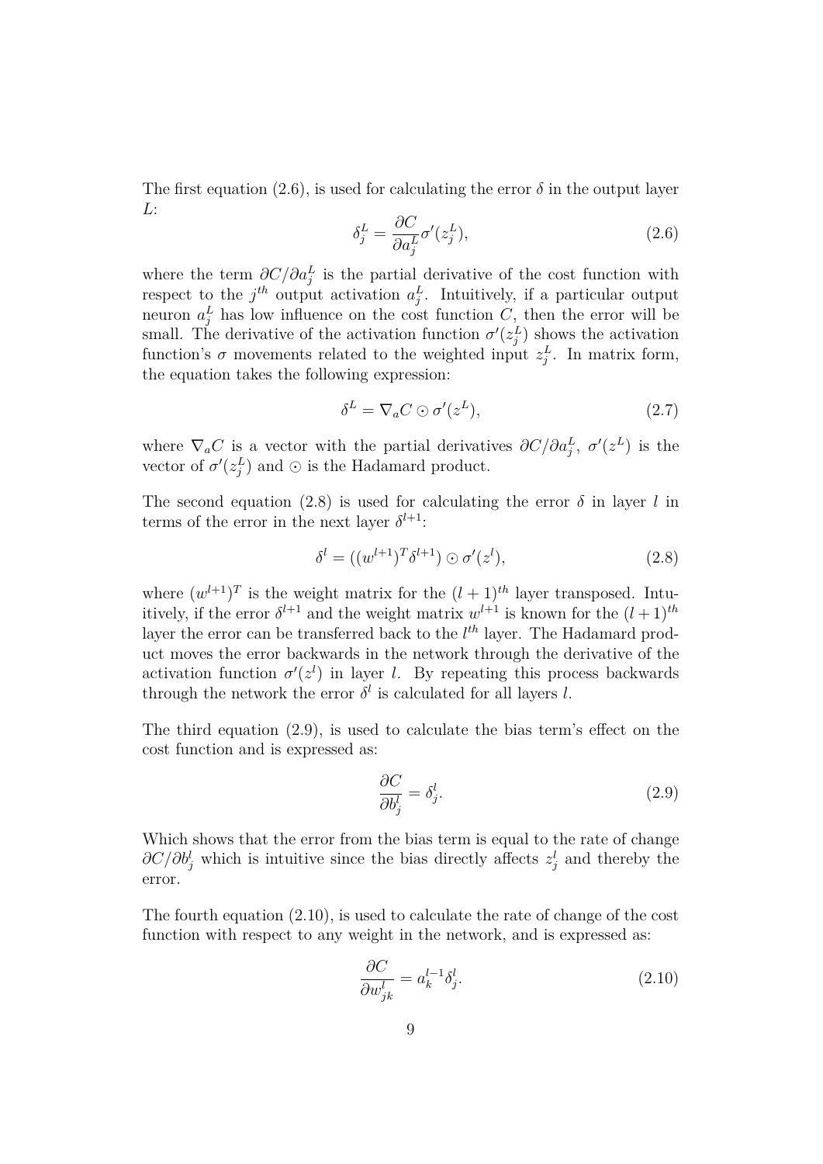The first equation (2.6), is used for calculating the error  $\delta$  in the output layer L:

$$
\delta_j^L = \frac{\partial C}{\partial a_j^L} \sigma'(z_j^L),\tag{2.6}
$$

where the term  $\partial C/\partial a_j^L$  is the partial derivative of the cost function with respect to the  $j^{th}$  output activation  $a_j^L$ . Intuitively, if a particular output neuron  $a_j^L$  has low influence on the cost function C, then the error will be small. The derivative of the activation function  $\sigma'(z_j^L)$  shows the activation function's  $\sigma$  movements related to the weighted input  $z_j^L$ . In matrix form, the equation takes the following expression:

$$
\delta^L = \nabla_a C \odot \sigma'(z^L),\tag{2.7}
$$

where  $\nabla_a C$  is a vector with the partial derivatives  $\partial C/\partial a_j^L$ ,  $\sigma'(z^L)$  is the vector of  $\sigma'(z_j^L)$  and  $\odot$  is the Hadamard product.

The second equation (2.8) is used for calculating the error  $\delta$  in layer l in terms of the error in the next layer  $\delta^{l+1}$ :

$$
\delta^l = ((w^{l+1})^T \delta^{l+1}) \odot \sigma'(z^l),\tag{2.8}
$$

where  $(w^{l+1})^T$  is the weight matrix for the  $(l+1)^{th}$  layer transposed. Intuitively, if the error  $\delta^{l+1}$  and the weight matrix  $w^{l+1}$  is known for the  $(l+1)^{th}$ layer the error can be transferred back to the  $l^{th}$  layer. The Hadamard product moves the error backwards in the network through the derivative of the activation function  $\sigma'(z^l)$  in layer l. By repeating this process backwards through the network the error  $\delta^l$  is calculated for all layers l.

The third equation (2.9), is used to calculate the bias term's effect on the cost function and is expressed as:

$$
\frac{\partial C}{\partial b_j^l} = \delta_j^l. \tag{2.9}
$$

Which shows that the error from the bias term is equal to the rate of change  $\partial C/\partial b_j^l$  which is intuitive since the bias directly affects  $z_j^l$  and thereby the error.

The fourth equation (2.10), is used to calculate the rate of change of the cost function with respect to any weight in the network, and is expressed as:

$$
\frac{\partial C}{\partial w_{jk}^l} = a_k^{l-1} \delta_j^l. \tag{2.10}
$$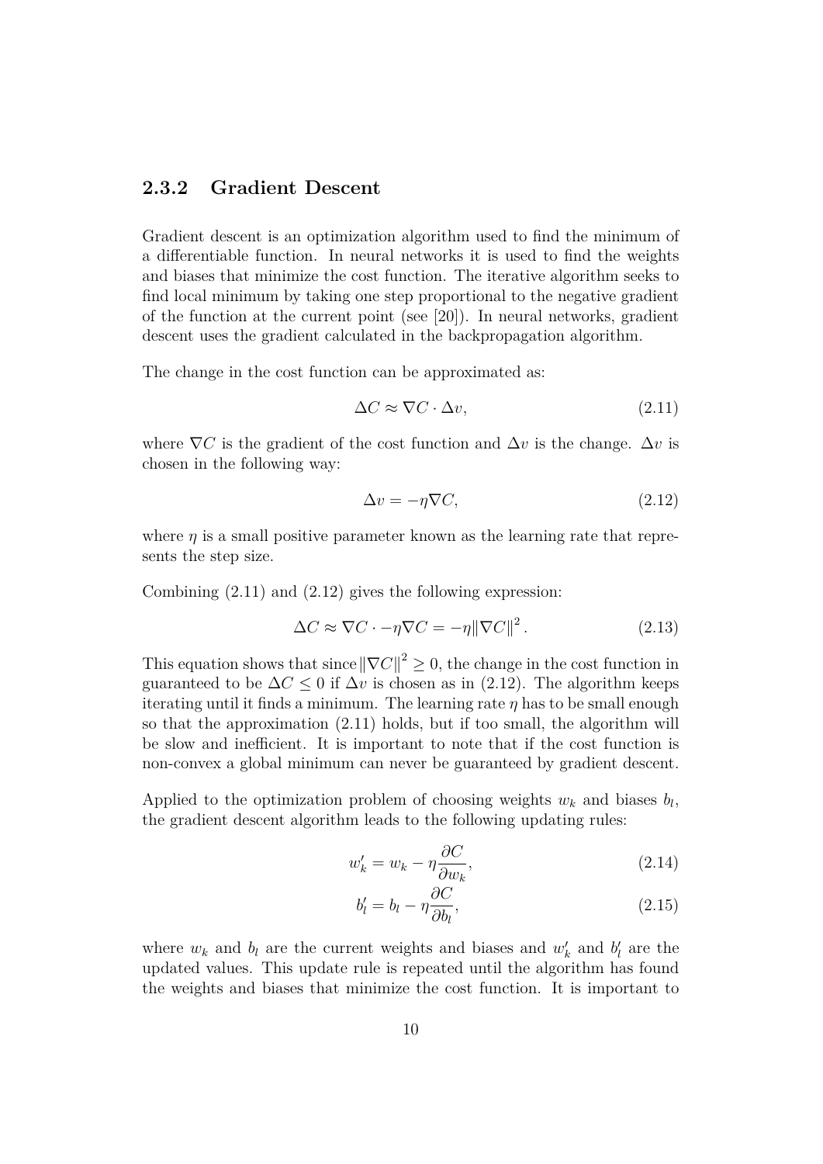#### **2.3.2 Gradient Descent**

Gradient descent is an optimization algorithm used to find the minimum of a differentiable function. In neural networks it is used to find the weights and biases that minimize the cost function. The iterative algorithm seeks to find local minimum by taking one step proportional to the negative gradient of the function at the current point (see [20]). In neural networks, gradient descent uses the gradient calculated in the backpropagation algorithm.

The change in the cost function can be approximated as:

$$
\Delta C \approx \nabla C \cdot \Delta v,\tag{2.11}
$$

where  $\nabla C$  is the gradient of the cost function and  $\Delta v$  is the change.  $\Delta v$  is chosen in the following way:

$$
\Delta v = -\eta \nabla C,\tag{2.12}
$$

where  $\eta$  is a small positive parameter known as the learning rate that represents the step size.

Combining (2.11) and (2.12) gives the following expression:

$$
\Delta C \approx \nabla C \cdot -\eta \nabla C = -\eta \|\nabla C\|^2. \tag{2.13}
$$

This equation shows that since  $\|\nabla C\|^2 \geq 0$ , the change in the cost function in guaranteed to be  $\Delta C \leq 0$  if  $\Delta v$  is chosen as in (2.12). The algorithm keeps iterating until it finds a minimum. The learning rate  $\eta$  has to be small enough so that the approximation (2.11) holds, but if too small, the algorithm will be slow and inefficient. It is important to note that if the cost function is non-convex a global minimum can never be guaranteed by gradient descent.

Applied to the optimization problem of choosing weights  $w_k$  and biases  $b_l$ , the gradient descent algorithm leads to the following updating rules:

$$
w'_k = w_k - \eta \frac{\partial C}{\partial w_k},\tag{2.14}
$$

$$
b'_{l} = b_{l} - \eta \frac{\partial C}{\partial b_{l}},
$$
\n(2.15)

where  $w_k$  and  $b_l$  are the current weights and biases and  $w'_k$  and  $b'_l$  are the updated values. This update rule is repeated until the algorithm has found the weights and biases that minimize the cost function. It is important to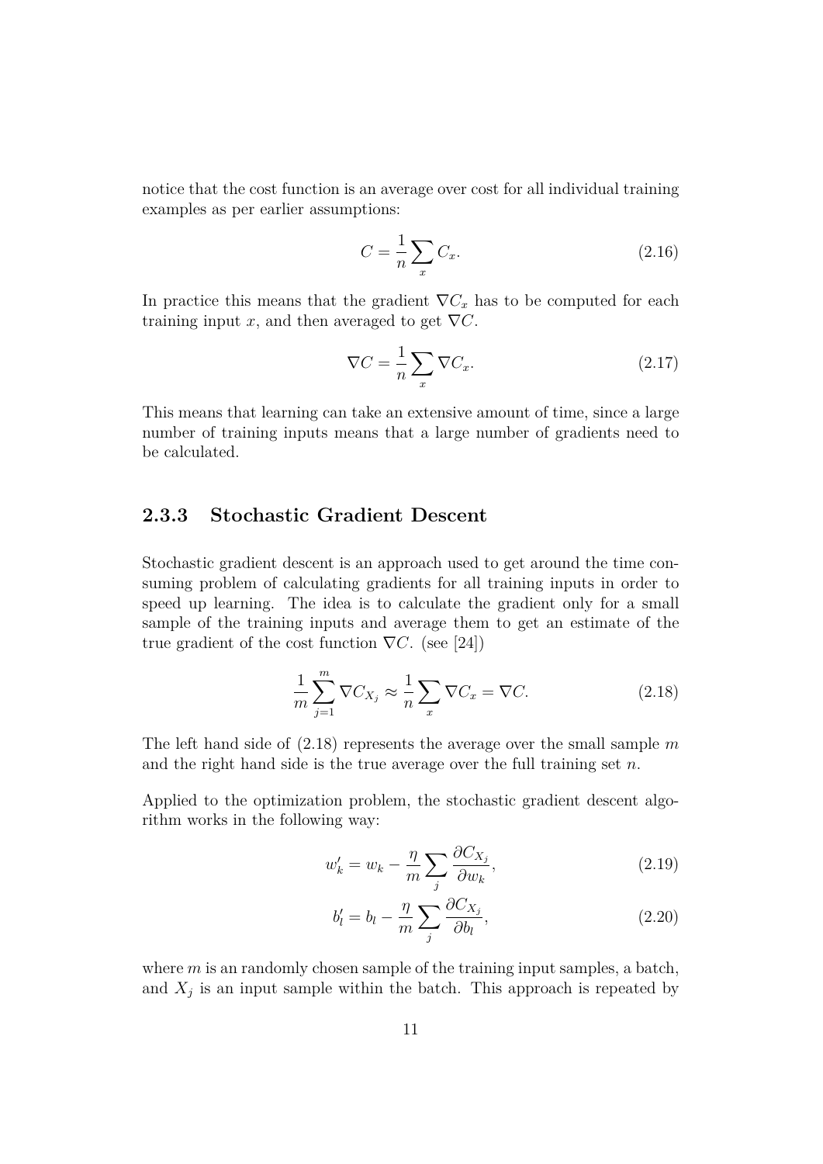notice that the cost function is an average over cost for all individual training examples as per earlier assumptions:

$$
C = \frac{1}{n} \sum_{x} C_x.
$$
\n(2.16)

In practice this means that the gradient  $\nabla C_x$  has to be computed for each training input x, and then averaged to get  $\nabla C$ .

$$
\nabla C = \frac{1}{n} \sum_{x} \nabla C_x.
$$
 (2.17)

This means that learning can take an extensive amount of time, since a large number of training inputs means that a large number of gradients need to be calculated.

#### **2.3.3 Stochastic Gradient Descent**

Stochastic gradient descent is an approach used to get around the time consuming problem of calculating gradients for all training inputs in order to speed up learning. The idea is to calculate the gradient only for a small sample of the training inputs and average them to get an estimate of the true gradient of the cost function  $\nabla C$ . (see [24])

$$
\frac{1}{m}\sum_{j=1}^{m}\nabla C_{X_j} \approx \frac{1}{n}\sum_{x}\nabla C_x = \nabla C.
$$
\n(2.18)

The left hand side of  $(2.18)$  represents the average over the small sample m and the right hand side is the true average over the full training set  $n$ .

Applied to the optimization problem, the stochastic gradient descent algorithm works in the following way:

$$
w'_k = w_k - \frac{\eta}{m} \sum_j \frac{\partial C_{X_j}}{\partial w_k},\tag{2.19}
$$

$$
b'_{l} = b_{l} - \frac{\eta}{m} \sum_{j} \frac{\partial C_{X_{j}}}{\partial b_{l}},
$$
\n(2.20)

where  $m$  is an randomly chosen sample of the training input samples, a batch, and  $X_j$  is an input sample within the batch. This approach is repeated by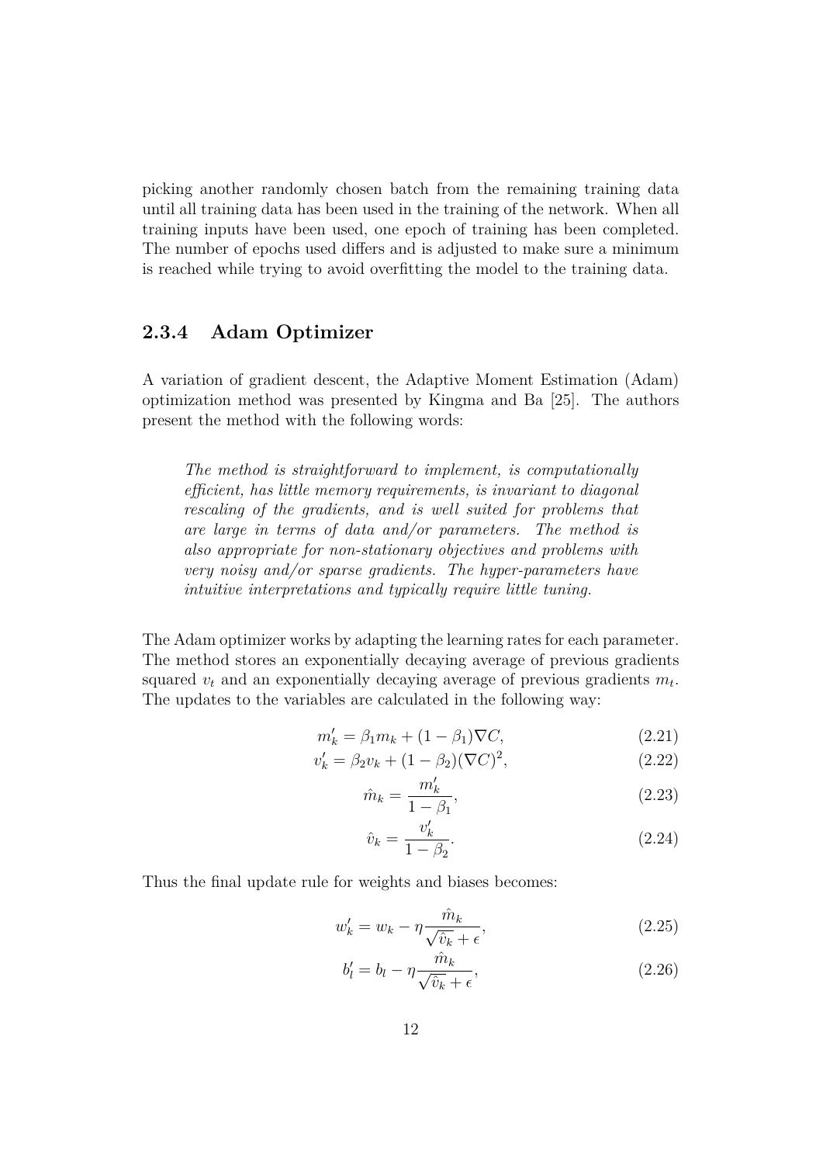picking another randomly chosen batch from the remaining training data until all training data has been used in the training of the network. When all training inputs have been used, one epoch of training has been completed. The number of epochs used differs and is adjusted to make sure a minimum is reached while trying to avoid overfitting the model to the training data.

#### **2.3.4 Adam Optimizer**

A variation of gradient descent, the Adaptive Moment Estimation (Adam) optimization method was presented by Kingma and Ba [25]. The authors present the method with the following words:

*The method is straightforward to implement, is computationally efficient, has little memory requirements, is invariant to diagonal rescaling of the gradients, and is well suited for problems that are large in terms of data and/or parameters. The method is also appropriate for non-stationary objectives and problems with very noisy and/or sparse gradients. The hyper-parameters have intuitive interpretations and typically require little tuning.*

The Adam optimizer works by adapting the learning rates for each parameter. The method stores an exponentially decaying average of previous gradients squared  $v_t$  and an exponentially decaying average of previous gradients  $m_t$ . The updates to the variables are calculated in the following way:

$$
m'_k = \beta_1 m_k + (1 - \beta_1)\nabla C,\tag{2.21}
$$

$$
v'_{k} = \beta_{2}v_{k} + (1 - \beta_{2})(\nabla C)^{2}, \qquad (2.22)
$$

$$
\hat{m}_k = \frac{m'_k}{1 - \beta_1},\tag{2.23}
$$

$$
\hat{v}_k = \frac{v'_k}{1 - \beta_2}.\tag{2.24}
$$

Thus the final update rule for weights and biases becomes:

$$
w'_{k} = w_{k} - \eta \frac{\hat{m}_{k}}{\sqrt{\hat{v}_{k}} + \epsilon},
$$
\n(2.25)

$$
b'_{l} = b_{l} - \eta \frac{\hat{m}_{k}}{\sqrt{\hat{v}_{k}} + \epsilon},
$$
\n(2.26)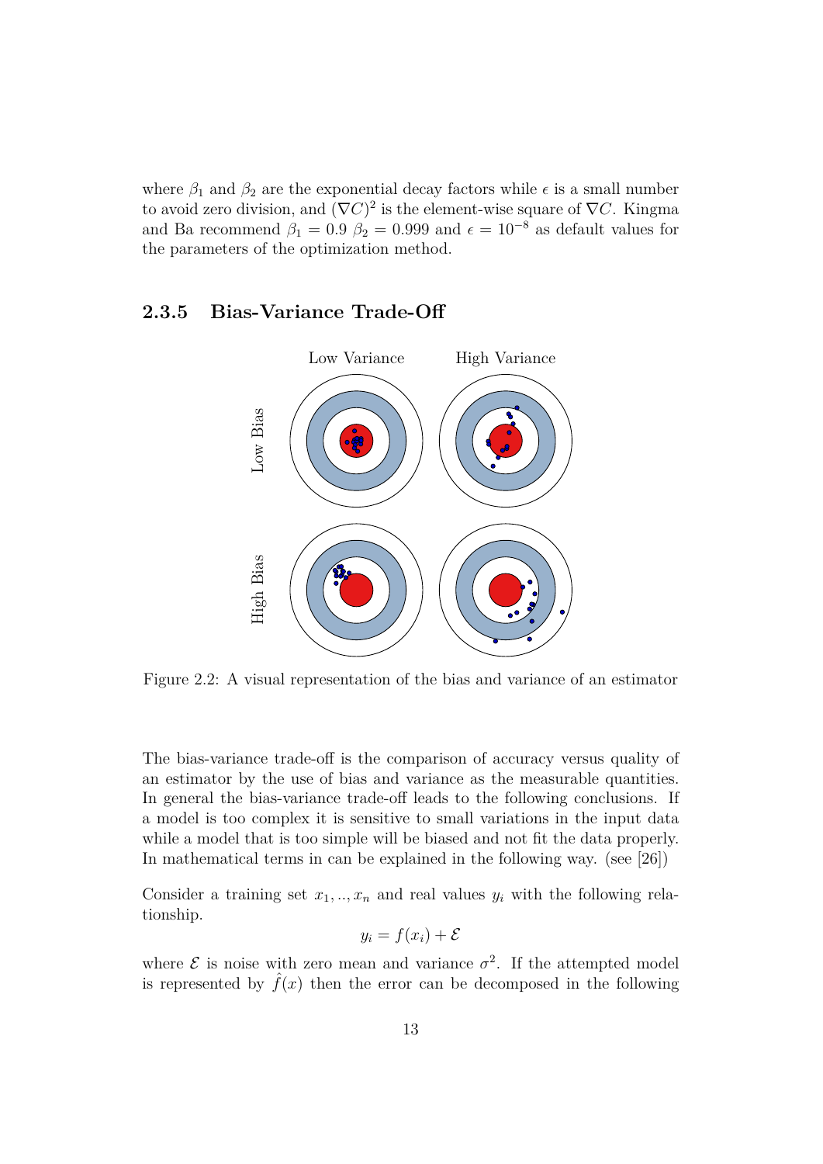where  $\beta_1$  and  $\beta_2$  are the exponential decay factors while  $\epsilon$  is a small number to avoid zero division, and  $(\nabla C)^2$  is the element-wise square of  $\nabla C$ . Kingma and Ba recommend  $\beta_1 = 0.9 \ \beta_2 = 0.999$  and  $\epsilon = 10^{-8}$  as default values for the parameters of the optimization method.

#### **2.3.5 Bias-Variance Trade-Off**



Figure 2.2: A visual representation of the bias and variance of an estimator

The bias-variance trade-off is the comparison of accuracy versus quality of an estimator by the use of bias and variance as the measurable quantities. In general the bias-variance trade-off leads to the following conclusions. If a model is too complex it is sensitive to small variations in the input data while a model that is too simple will be biased and not fit the data properly. In mathematical terms in can be explained in the following way. (see [26])

Consider a training set  $x_1, \ldots, x_n$  and real values  $y_i$  with the following relationship.

$$
y_i = f(x_i) + \mathcal{E}
$$

where  $\mathcal E$  is noise with zero mean and variance  $\sigma^2$ . If the attempted model is represented by  $f(x)$  then the error can be decomposed in the following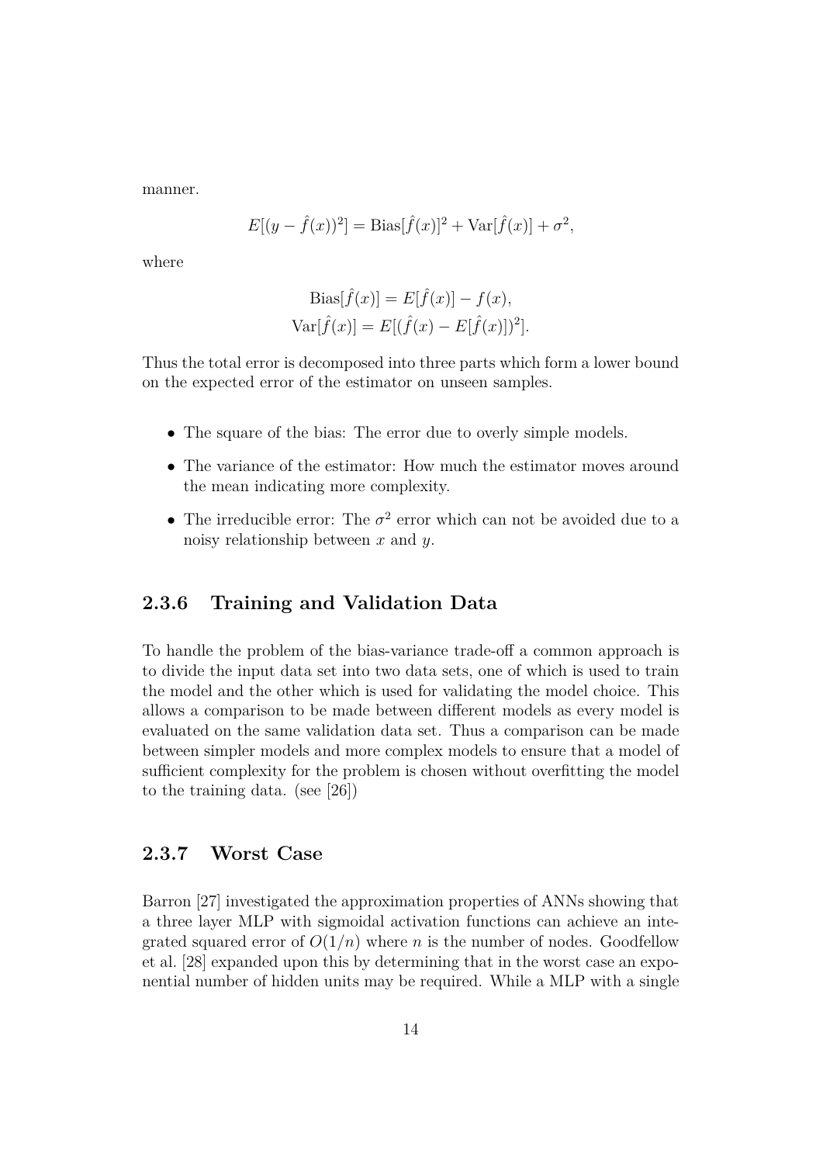manner.

$$
E[(y - \hat{f}(x))^2] = \text{Bias}[\hat{f}(x)]^2 + \text{Var}[\hat{f}(x)] + \sigma^2,
$$

where

Bias[
$$
\hat{f}(x)
$$
] = E[ $\hat{f}(x)$ ] -  $f(x)$ ,  
Var[ $\hat{f}(x)$ ] = E[ $(\hat{f}(x) - E[\hat{f}(x)])^2$ ].

Thus the total error is decomposed into three parts which form a lower bound on the expected error of the estimator on unseen samples.

- The square of the bias: The error due to overly simple models.
- The variance of the estimator: How much the estimator moves around the mean indicating more complexity.
- The irreducible error: The  $\sigma^2$  error which can not be avoided due to a noisy relationship between  $x$  and  $y$ .

#### **2.3.6 Training and Validation Data**

To handle the problem of the bias-variance trade-off a common approach is to divide the input data set into two data sets, one of which is used to train the model and the other which is used for validating the model choice. This allows a comparison to be made between different models as every model is evaluated on the same validation data set. Thus a comparison can be made between simpler models and more complex models to ensure that a model of sufficient complexity for the problem is chosen without overfitting the model to the training data. (see [26])

#### **2.3.7 Worst Case**

Barron [27] investigated the approximation properties of ANNs showing that a three layer MLP with sigmoidal activation functions can achieve an integrated squared error of  $O(1/n)$  where n is the number of nodes. Goodfellow et al. [28] expanded upon this by determining that in the worst case an exponential number of hidden units may be required. While a MLP with a single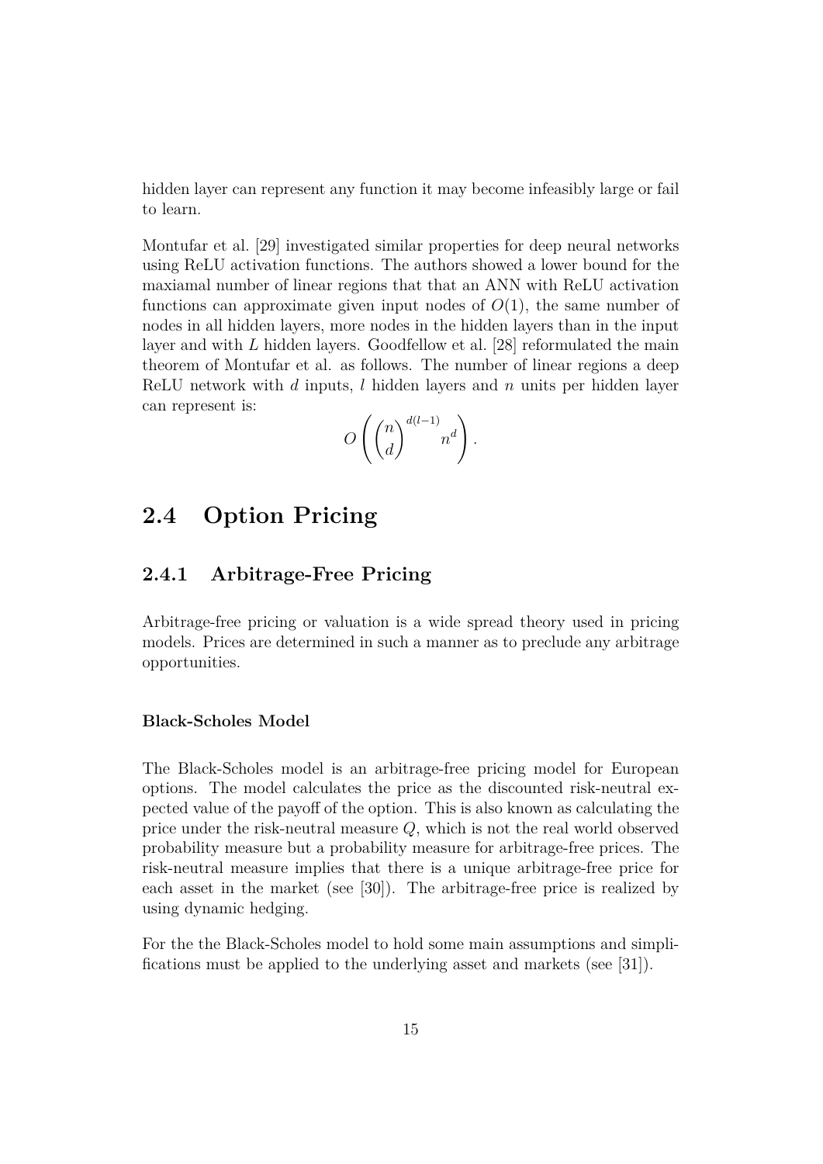hidden layer can represent any function it may become infeasibly large or fail to learn.

Montufar et al. [29] investigated similar properties for deep neural networks using ReLU activation functions. The authors showed a lower bound for the maxiamal number of linear regions that that an ANN with ReLU activation functions can approximate given input nodes of  $O(1)$ , the same number of nodes in all hidden layers, more nodes in the hidden layers than in the input layer and with  $L$  hidden layers. Goodfellow et al. [28] reformulated the main theorem of Montufar et al. as follows. The number of linear regions a deep ReLU network with  $d$  inputs,  $l$  hidden layers and  $n$  units per hidden layer can represent is:

$$
O\left(\binom{n}{d}^{d(l-1)}n^d\right).
$$

### **2.4 Option Pricing**

#### **2.4.1 Arbitrage-Free Pricing**

Arbitrage-free pricing or valuation is a wide spread theory used in pricing models. Prices are determined in such a manner as to preclude any arbitrage opportunities.

#### **Black-Scholes Model**

The Black-Scholes model is an arbitrage-free pricing model for European options. The model calculates the price as the discounted risk-neutral expected value of the payoff of the option. This is also known as calculating the price under the risk-neutral measure Q, which is not the real world observed probability measure but a probability measure for arbitrage-free prices. The risk-neutral measure implies that there is a unique arbitrage-free price for each asset in the market (see [30]). The arbitrage-free price is realized by using dynamic hedging.

For the the Black-Scholes model to hold some main assumptions and simplifications must be applied to the underlying asset and markets (see [31]).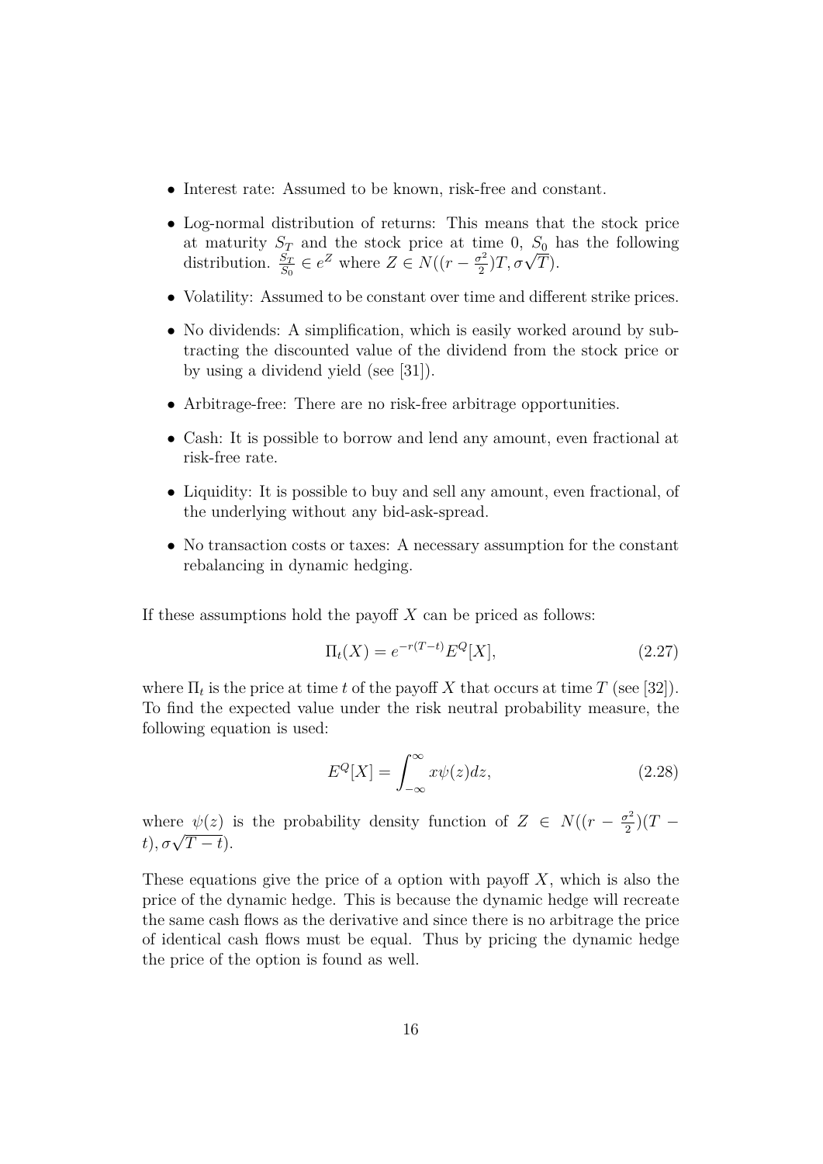- Interest rate: Assumed to be known, risk-free and constant.
- Log-normal distribution of returns: This means that the stock price at maturity  $S_T$  and the stock price at time 0,  $S_0$  has the following distribution.  $\frac{S_T}{S_0} \in e^Z$  where  $Z \in N((r - \frac{\sigma^2}{2})$  $\frac{\partial^2}{\partial^2}$   $T, \sigma \sqrt{T}$ .
- Volatility: Assumed to be constant over time and different strike prices.
- No dividends: A simplification, which is easily worked around by subtracting the discounted value of the dividend from the stock price or by using a dividend yield (see [31]).
- Arbitrage-free: There are no risk-free arbitrage opportunities.
- Cash: It is possible to borrow and lend any amount, even fractional at risk-free rate.
- Liquidity: It is possible to buy and sell any amount, even fractional, of the underlying without any bid-ask-spread.
- No transaction costs or taxes: A necessary assumption for the constant rebalancing in dynamic hedging.

If these assumptions hold the payoff  $X$  can be priced as follows:

$$
\Pi_t(X) = e^{-r(T-t)} E^Q[X], \tag{2.27}
$$

where  $\Pi_t$  is the price at time t of the payoff X that occurs at time T (see [32]). To find the expected value under the risk neutral probability measure, the following equation is used:

$$
E^{Q}[X] = \int_{-\infty}^{\infty} x\psi(z)dz,
$$
\n(2.28)

where  $\psi(z)$  is the probability density function of  $Z \in N((r - \frac{\sigma^2}{2}))$  $\frac{r^2}{2}(T$ where  $\frac{\psi(z)}{t}, \sigma\sqrt{T-t}$ .

These equations give the price of a option with payoff  $X$ , which is also the price of the dynamic hedge. This is because the dynamic hedge will recreate the same cash flows as the derivative and since there is no arbitrage the price of identical cash flows must be equal. Thus by pricing the dynamic hedge the price of the option is found as well.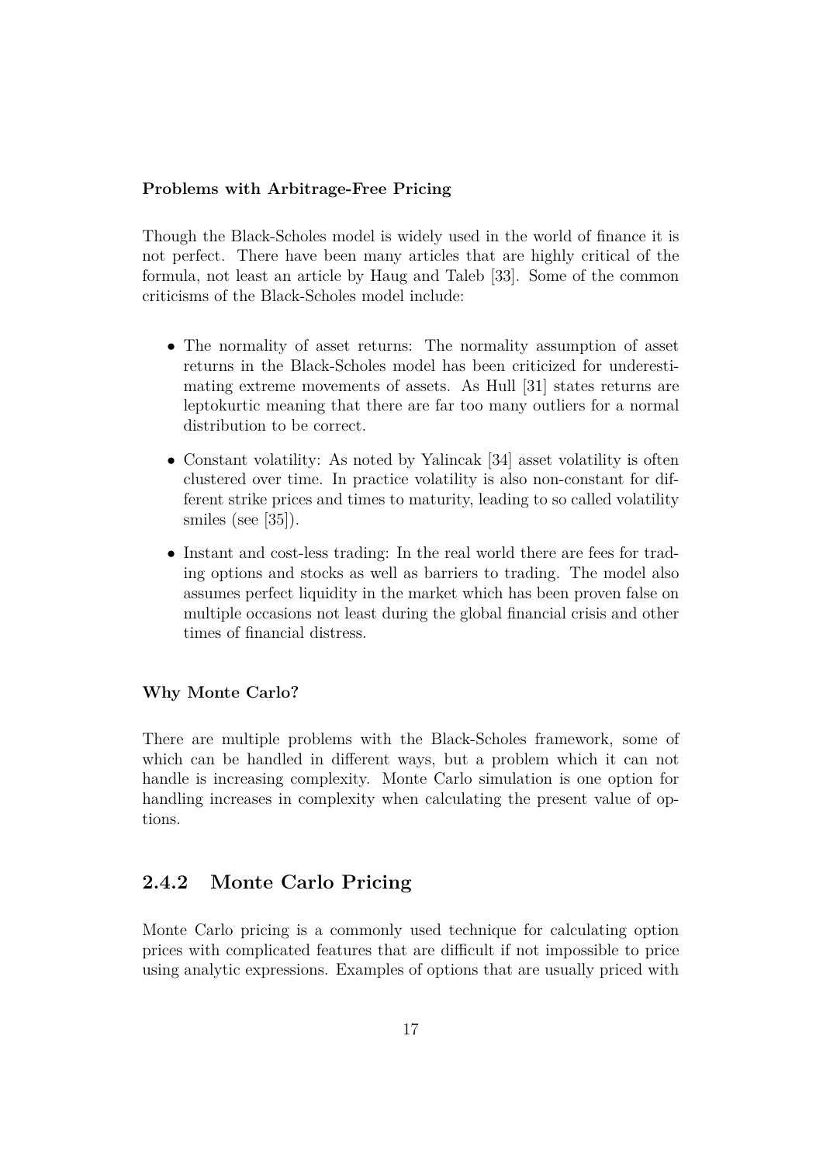#### **Problems with Arbitrage-Free Pricing**

Though the Black-Scholes model is widely used in the world of finance it is not perfect. There have been many articles that are highly critical of the formula, not least an article by Haug and Taleb [33]. Some of the common criticisms of the Black-Scholes model include:

- The normality of asset returns: The normality assumption of asset returns in the Black-Scholes model has been criticized for underestimating extreme movements of assets. As Hull [31] states returns are leptokurtic meaning that there are far too many outliers for a normal distribution to be correct.
- Constant volatility: As noted by Yalincak [34] asset volatility is often clustered over time. In practice volatility is also non-constant for different strike prices and times to maturity, leading to so called volatility smiles (see [35]).
- Instant and cost-less trading: In the real world there are fees for trading options and stocks as well as barriers to trading. The model also assumes perfect liquidity in the market which has been proven false on multiple occasions not least during the global financial crisis and other times of financial distress.

#### **Why Monte Carlo?**

There are multiple problems with the Black-Scholes framework, some of which can be handled in different ways, but a problem which it can not handle is increasing complexity. Monte Carlo simulation is one option for handling increases in complexity when calculating the present value of options.

#### **2.4.2 Monte Carlo Pricing**

Monte Carlo pricing is a commonly used technique for calculating option prices with complicated features that are difficult if not impossible to price using analytic expressions. Examples of options that are usually priced with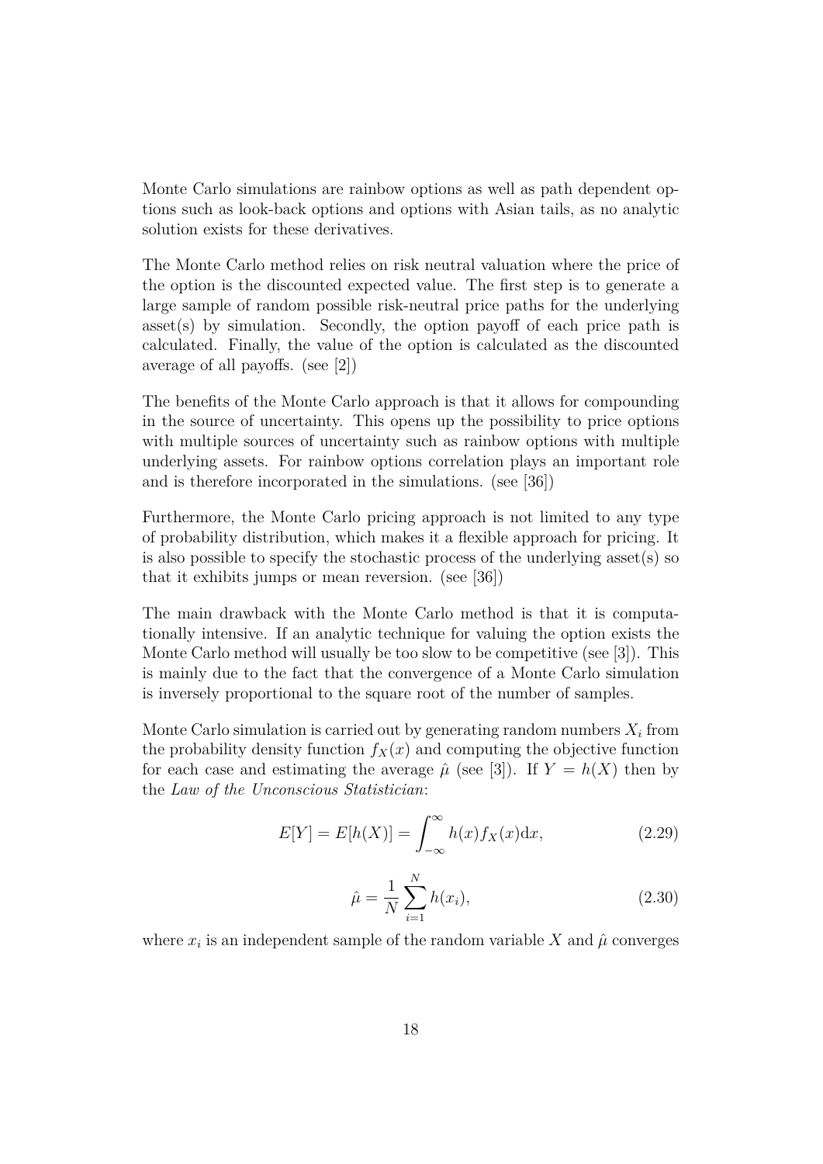Monte Carlo simulations are rainbow options as well as path dependent options such as look-back options and options with Asian tails, as no analytic solution exists for these derivatives.

The Monte Carlo method relies on risk neutral valuation where the price of the option is the discounted expected value. The first step is to generate a large sample of random possible risk-neutral price paths for the underlying asset(s) by simulation. Secondly, the option payoff of each price path is calculated. Finally, the value of the option is calculated as the discounted average of all payoffs. (see [2])

The benefits of the Monte Carlo approach is that it allows for compounding in the source of uncertainty. This opens up the possibility to price options with multiple sources of uncertainty such as rainbow options with multiple underlying assets. For rainbow options correlation plays an important role and is therefore incorporated in the simulations. (see [36])

Furthermore, the Monte Carlo pricing approach is not limited to any type of probability distribution, which makes it a flexible approach for pricing. It is also possible to specify the stochastic process of the underlying asset(s) so that it exhibits jumps or mean reversion. (see [36])

The main drawback with the Monte Carlo method is that it is computationally intensive. If an analytic technique for valuing the option exists the Monte Carlo method will usually be too slow to be competitive (see [3]). This is mainly due to the fact that the convergence of a Monte Carlo simulation is inversely proportional to the square root of the number of samples.

Monte Carlo simulation is carried out by generating random numbers  $X_i$  from the probability density function  $f_X(x)$  and computing the objective function for each case and estimating the average  $\hat{\mu}$  (see [3]). If  $Y = h(X)$  then by the *Law of the Unconscious Statistician*:

$$
E[Y] = E[h(X)] = \int_{-\infty}^{\infty} h(x) f_X(x) \mathrm{d}x,\tag{2.29}
$$

$$
\hat{\mu} = \frac{1}{N} \sum_{i=1}^{N} h(x_i),
$$
\n(2.30)

where  $x_i$  is an independent sample of the random variable X and  $\hat{\mu}$  converges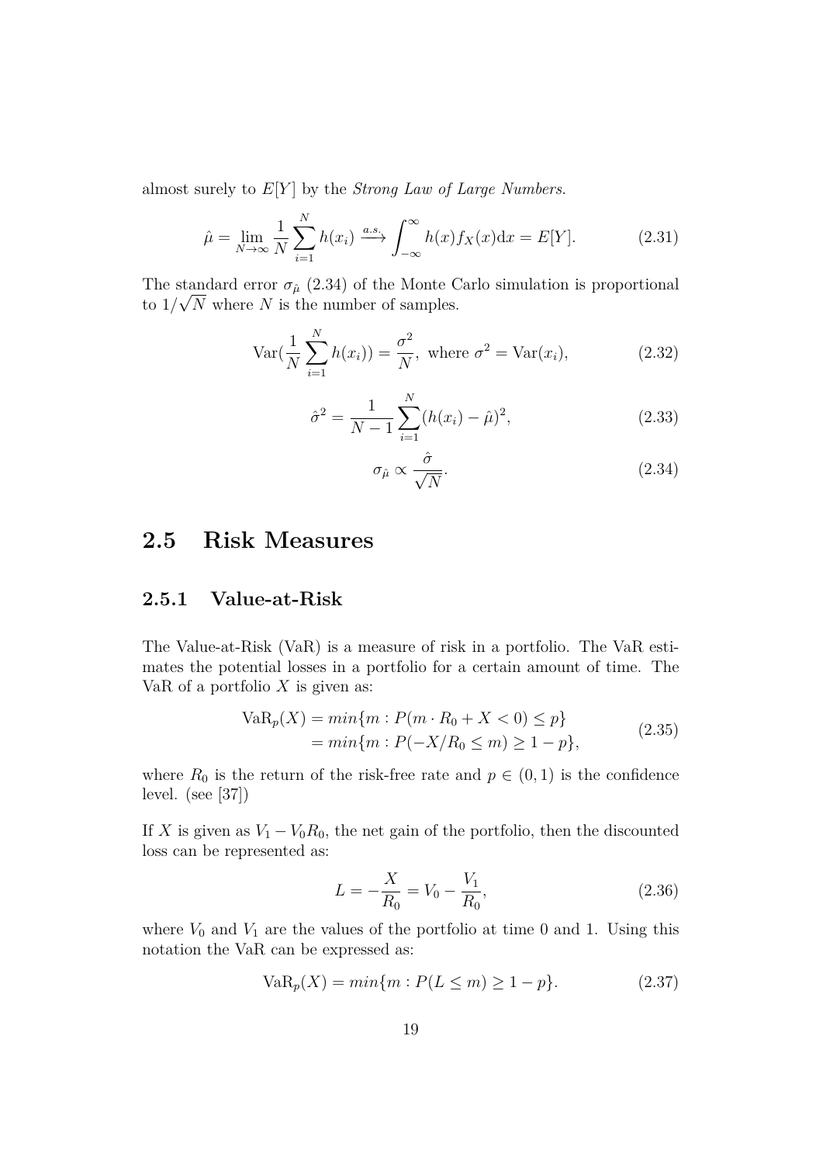almost surely to E[Y ] by the *Strong Law of Large Numbers*.

$$
\hat{\mu} = \lim_{N \to \infty} \frac{1}{N} \sum_{i=1}^{N} h(x_i) \xrightarrow{a.s.} \int_{-\infty}^{\infty} h(x) f_X(x) dx = E[Y]. \tag{2.31}
$$

The standard error  $\sigma_{\hat{\mu}}$  (2.34) of the Monte Carlo simulation is proportional to  $1/\sqrt{N}$  where N is the number of samples.

$$
\text{Var}\left(\frac{1}{N}\sum_{i=1}^{N}h(x_i)\right) = \frac{\sigma^2}{N}, \text{ where } \sigma^2 = \text{Var}(x_i), \tag{2.32}
$$

$$
\hat{\sigma}^2 = \frac{1}{N-1} \sum_{i=1}^{N} (h(x_i) - \hat{\mu})^2,
$$
\n(2.33)

$$
\sigma_{\hat{\mu}} \propto \frac{\hat{\sigma}}{\sqrt{N}}.\tag{2.34}
$$

### **2.5 Risk Measures**

#### **2.5.1 Value-at-Risk**

The Value-at-Risk (VaR) is a measure of risk in a portfolio. The VaR estimates the potential losses in a portfolio for a certain amount of time. The VaR of a portfolio  $X$  is given as:

$$
VaR_p(X) = min\{m : P(m \cdot R_0 + X < 0) \le p\}
$$
\n
$$
= min\{m : P(-X/R_0 \le m) \ge 1 - p\},\tag{2.35}
$$

where  $R_0$  is the return of the risk-free rate and  $p \in (0,1)$  is the confidence level. (see [37])

If X is given as  $V_1 - V_0 R_0$ , the net gain of the portfolio, then the discounted loss can be represented as:

$$
L = -\frac{X}{R_0} = V_0 - \frac{V_1}{R_0},\tag{2.36}
$$

where  $V_0$  and  $V_1$  are the values of the portfolio at time 0 and 1. Using this notation the VaR can be expressed as:

$$
VaR_p(X) = min\{m : P(L \le m) \ge 1 - p\}.
$$
 (2.37)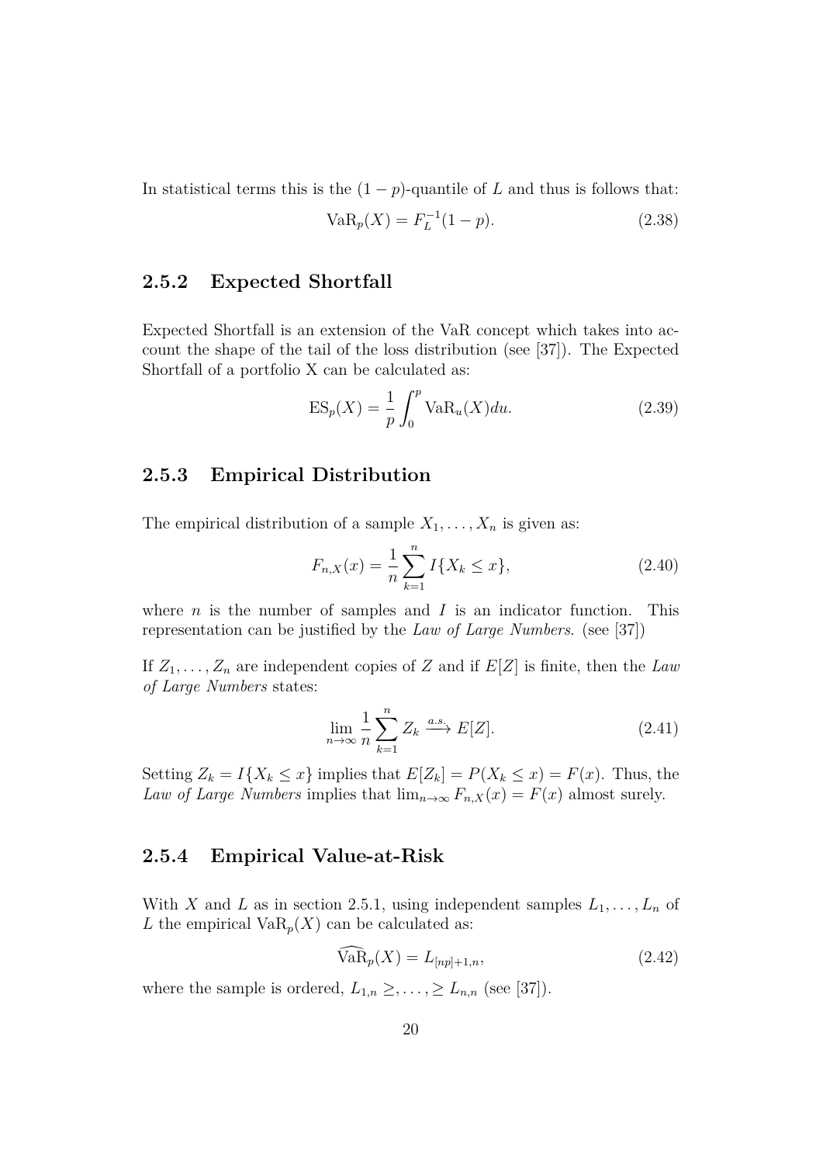In statistical terms this is the  $(1 - p)$ -quantile of L and thus is follows that:

$$
VaR_p(X) = F_L^{-1}(1-p).
$$
\n(2.38)

#### **2.5.2 Expected Shortfall**

Expected Shortfall is an extension of the VaR concept which takes into account the shape of the tail of the loss distribution (see [37]). The Expected Shortfall of a portfolio X can be calculated as:

$$
ES_p(X) = \frac{1}{p} \int_0^p \text{VaR}_u(X) du.
$$
 (2.39)

#### **2.5.3 Empirical Distribution**

The empirical distribution of a sample  $X_1, \ldots, X_n$  is given as:

$$
F_{n,X}(x) = \frac{1}{n} \sum_{k=1}^{n} I\{X_k \le x\},\tag{2.40}
$$

where  $n$  is the number of samples and  $I$  is an indicator function. This representation can be justified by the *Law of Large Numbers*. (see [37])

If  $Z_1, \ldots, Z_n$  are independent copies of Z and if  $E[Z]$  is finite, then the *Law of Large Numbers* states:

$$
\lim_{n \to \infty} \frac{1}{n} \sum_{k=1}^{n} Z_k \xrightarrow{a.s.} E[Z]. \tag{2.41}
$$

Setting  $Z_k = I\{X_k \leq x\}$  implies that  $E[Z_k] = P(X_k \leq x) = F(x)$ . Thus, the *Law of Large Numbers* implies that  $\lim_{n\to\infty} F_{n,X}(x) = F(x)$  almost surely.

#### **2.5.4 Empirical Value-at-Risk**

With X and L as in section 2.5.1, using independent samples  $L_1, \ldots, L_n$  of L the empirical  $VaR_p(X)$  can be calculated as:

$$
VaR_p(X) = L_{[np]+1,n},
$$
\n(2.42)

where the sample is ordered,  $L_{1,n} \geq, \ldots, \geq L_{n,n}$  (see [37]).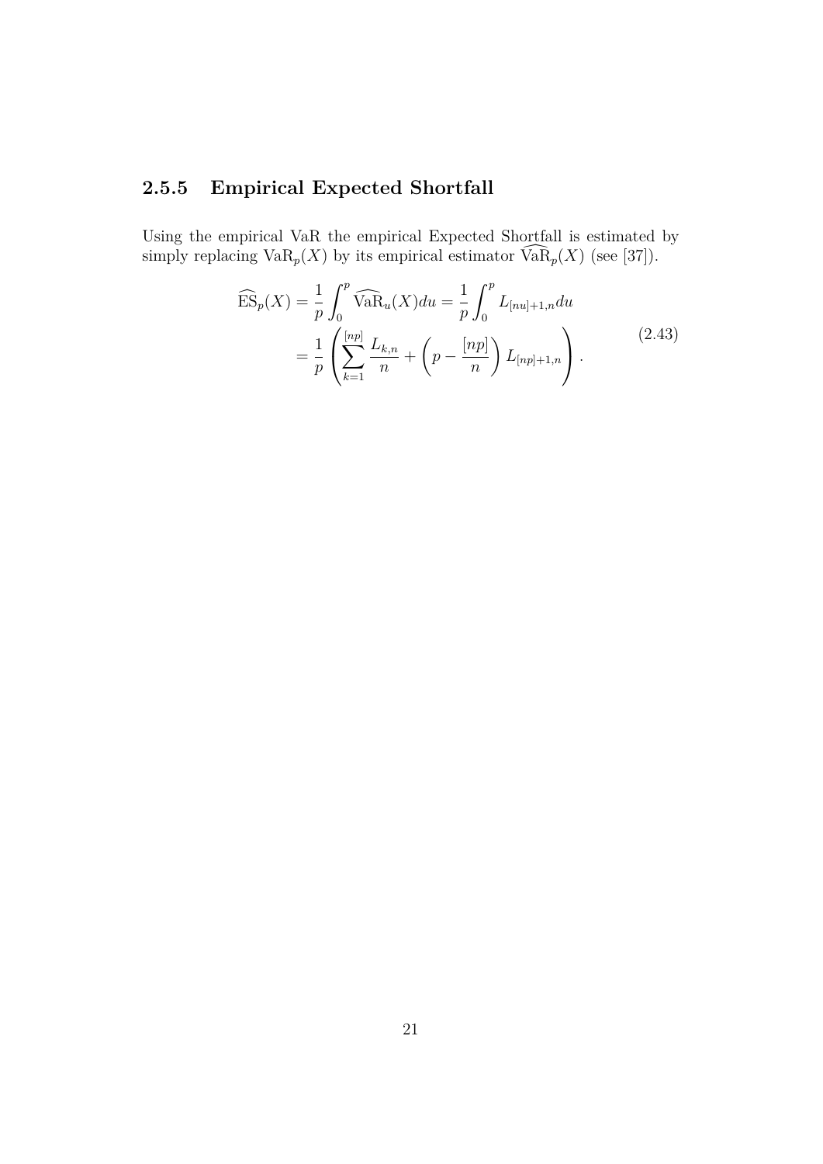## **2.5.5 Empirical Expected Shortfall**

Using the empirical VaR the empirical Expected Shortfall is estimated by simply replacing  $\text{VaR}_p(X)$  by its empirical estimator  $\widehat{\text{VaR}}_p(X)$  (see [37]).

$$
\widehat{\text{ES}}_p(X) = \frac{1}{p} \int_0^p \widehat{\text{VaR}}_u(X) du = \frac{1}{p} \int_0^p L_{[nu]+1,n} du
$$
  
= 
$$
\frac{1}{p} \left( \sum_{k=1}^{[np]} \frac{L_{k,n}}{n} + \left( p - \frac{[np]}{n} \right) L_{[np]+1,n} \right).
$$
 (2.43)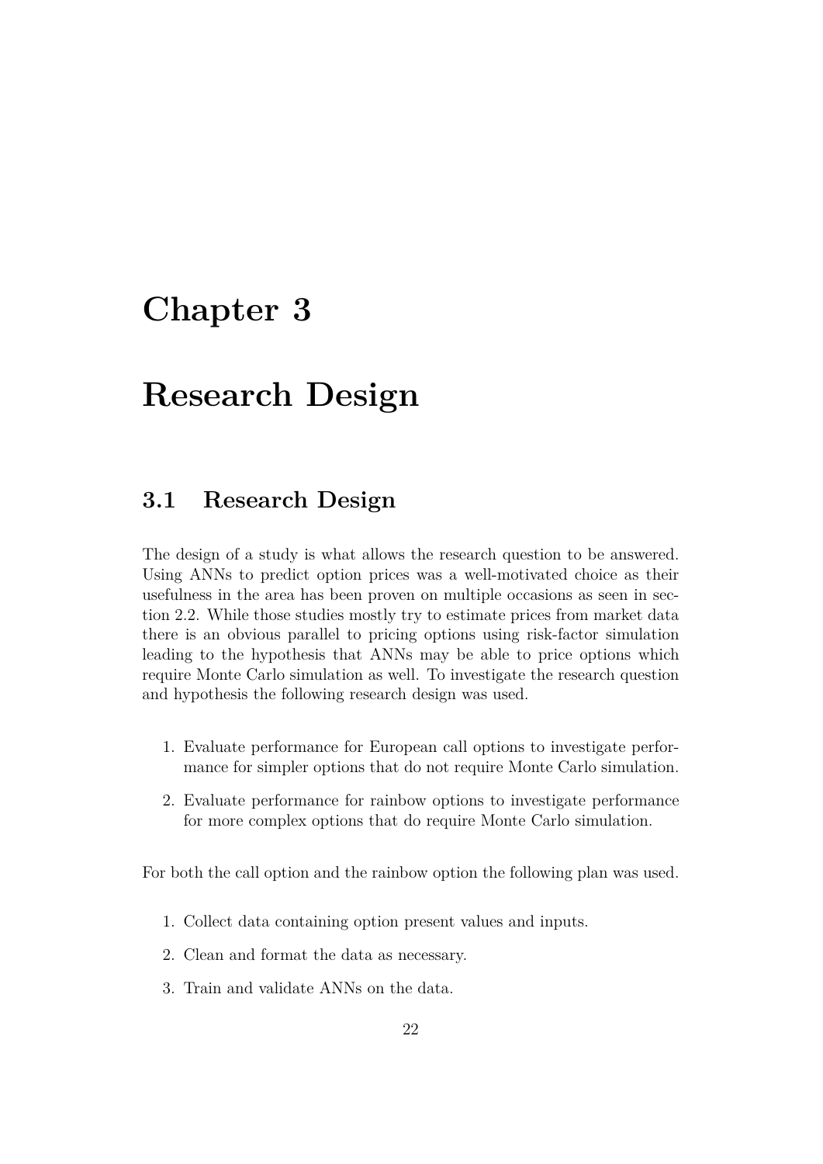# **Chapter 3**

# **Research Design**

## **3.1 Research Design**

The design of a study is what allows the research question to be answered. Using ANNs to predict option prices was a well-motivated choice as their usefulness in the area has been proven on multiple occasions as seen in section 2.2. While those studies mostly try to estimate prices from market data there is an obvious parallel to pricing options using risk-factor simulation leading to the hypothesis that ANNs may be able to price options which require Monte Carlo simulation as well. To investigate the research question and hypothesis the following research design was used.

- 1. Evaluate performance for European call options to investigate performance for simpler options that do not require Monte Carlo simulation.
- 2. Evaluate performance for rainbow options to investigate performance for more complex options that do require Monte Carlo simulation.

For both the call option and the rainbow option the following plan was used.

- 1. Collect data containing option present values and inputs.
- 2. Clean and format the data as necessary.
- 3. Train and validate ANNs on the data.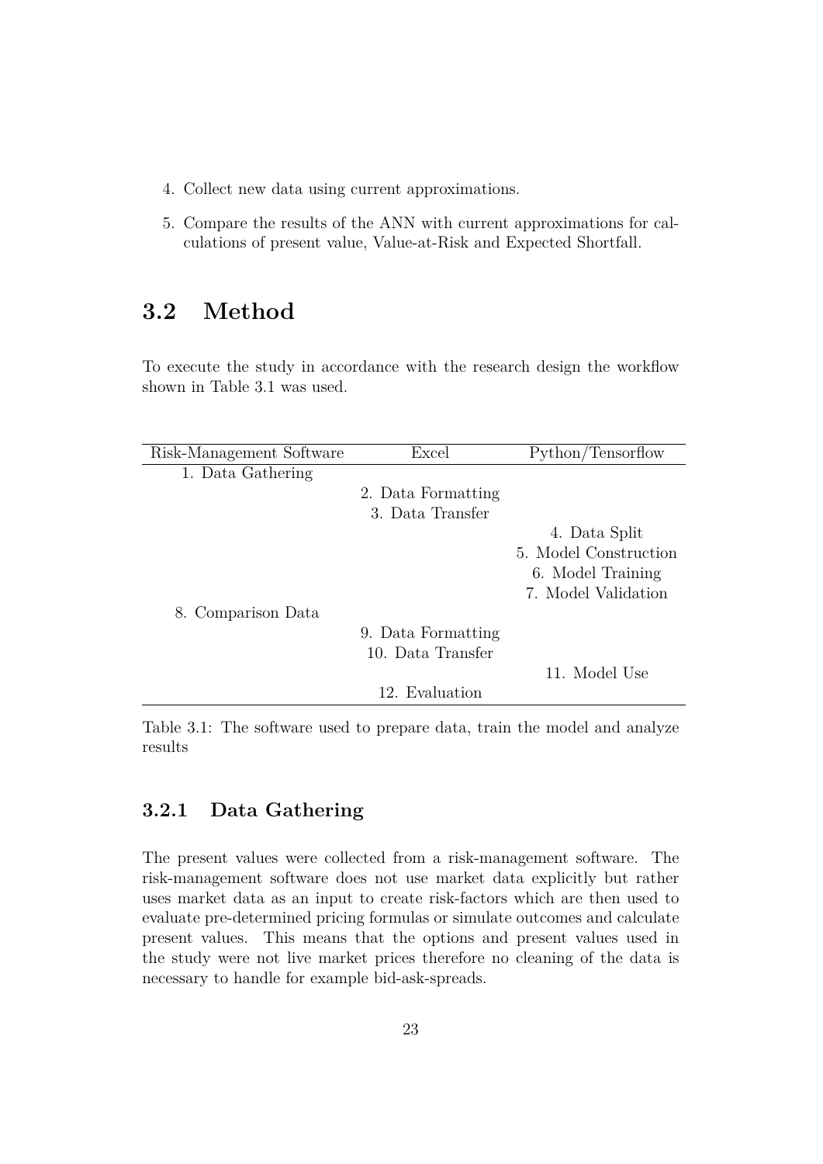- 4. Collect new data using current approximations.
- 5. Compare the results of the ANN with current approximations for calculations of present value, Value-at-Risk and Expected Shortfall.

# **3.2 Method**

To execute the study in accordance with the research design the workflow shown in Table 3.1 was used.

| Risk-Management Software | Excel              | Python/Tensorflow     |
|--------------------------|--------------------|-----------------------|
| 1. Data Gathering        |                    |                       |
|                          | 2. Data Formatting |                       |
|                          | 3. Data Transfer   |                       |
|                          |                    | 4. Data Split         |
|                          |                    | 5. Model Construction |
|                          |                    | 6. Model Training     |
|                          |                    | 7. Model Validation   |
| 8. Comparison Data       |                    |                       |
|                          | 9. Data Formatting |                       |
|                          | 10. Data Transfer  |                       |
|                          |                    | 11. Model Use         |
|                          | 12. Evaluation     |                       |

Table 3.1: The software used to prepare data, train the model and analyze results

## **3.2.1 Data Gathering**

The present values were collected from a risk-management software. The risk-management software does not use market data explicitly but rather uses market data as an input to create risk-factors which are then used to evaluate pre-determined pricing formulas or simulate outcomes and calculate present values. This means that the options and present values used in the study were not live market prices therefore no cleaning of the data is necessary to handle for example bid-ask-spreads.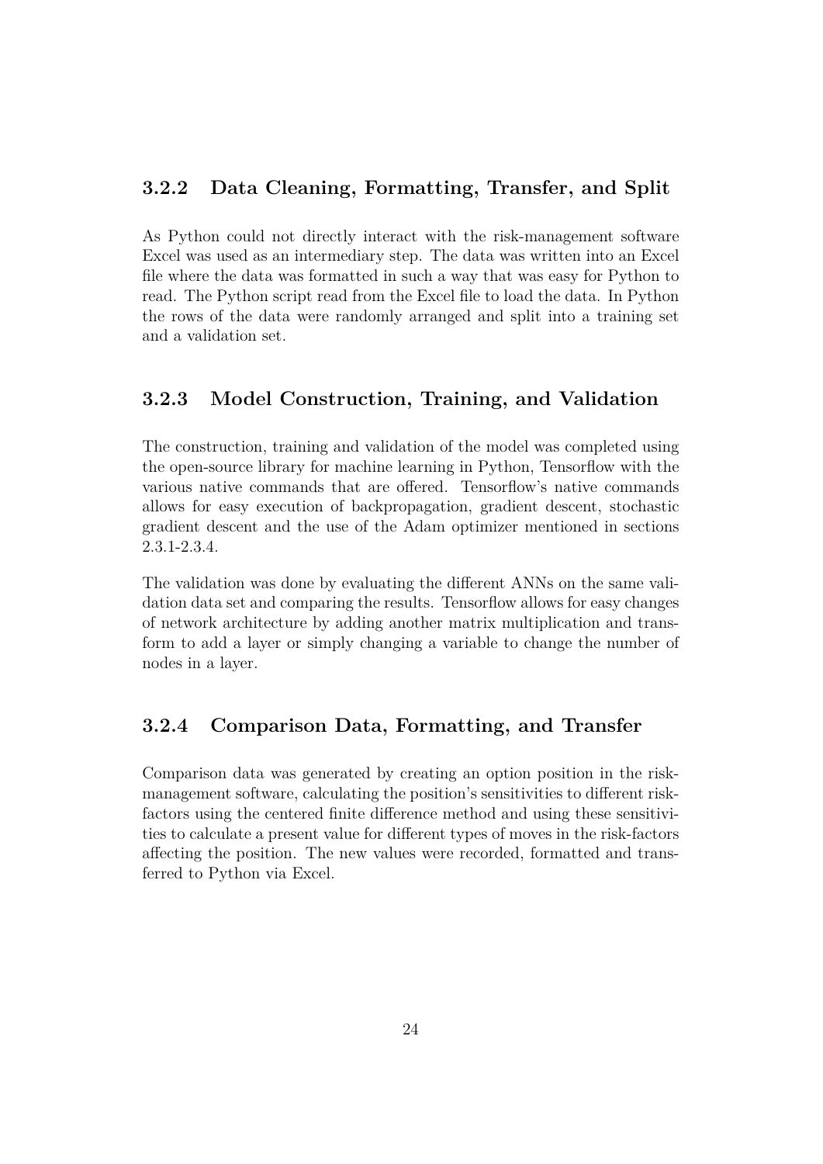## **3.2.2 Data Cleaning, Formatting, Transfer, and Split**

As Python could not directly interact with the risk-management software Excel was used as an intermediary step. The data was written into an Excel file where the data was formatted in such a way that was easy for Python to read. The Python script read from the Excel file to load the data. In Python the rows of the data were randomly arranged and split into a training set and a validation set.

## **3.2.3 Model Construction, Training, and Validation**

The construction, training and validation of the model was completed using the open-source library for machine learning in Python, Tensorflow with the various native commands that are offered. Tensorflow's native commands allows for easy execution of backpropagation, gradient descent, stochastic gradient descent and the use of the Adam optimizer mentioned in sections 2.3.1-2.3.4.

The validation was done by evaluating the different ANNs on the same validation data set and comparing the results. Tensorflow allows for easy changes of network architecture by adding another matrix multiplication and transform to add a layer or simply changing a variable to change the number of nodes in a layer.

## **3.2.4 Comparison Data, Formatting, and Transfer**

Comparison data was generated by creating an option position in the riskmanagement software, calculating the position's sensitivities to different riskfactors using the centered finite difference method and using these sensitivities to calculate a present value for different types of moves in the risk-factors affecting the position. The new values were recorded, formatted and transferred to Python via Excel.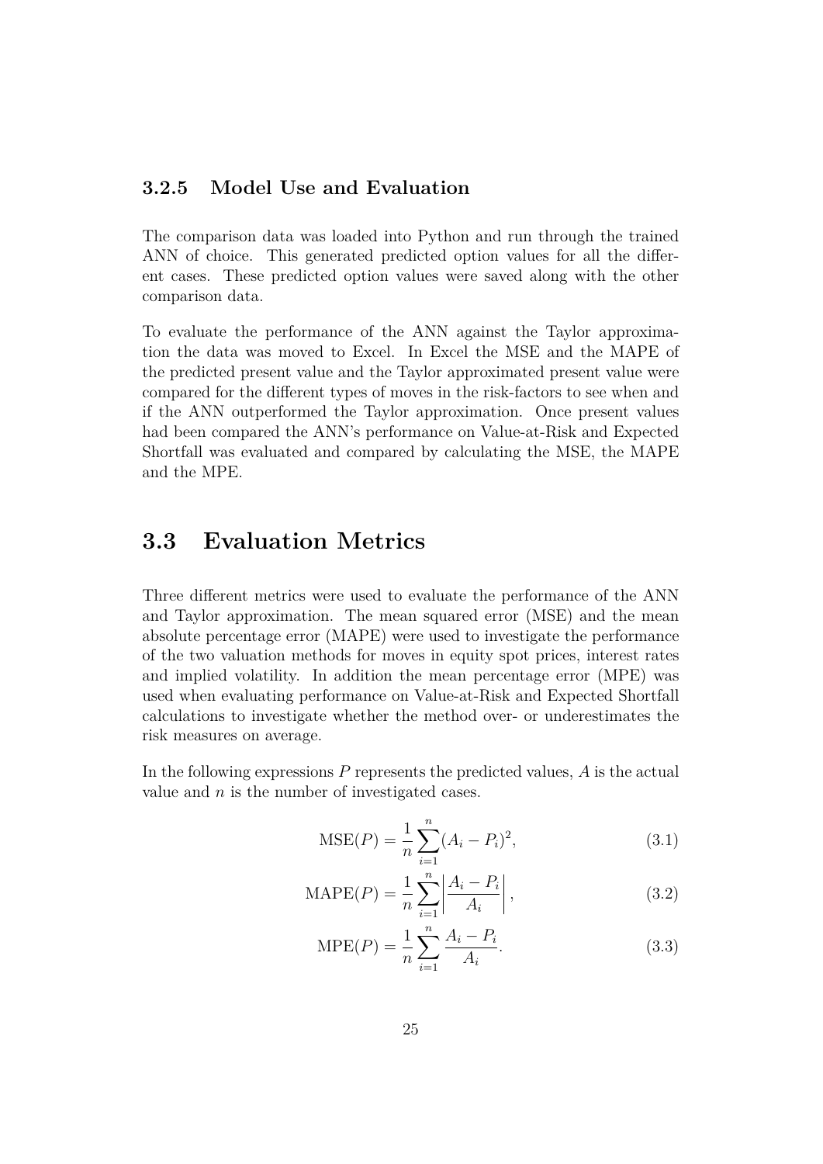### **3.2.5 Model Use and Evaluation**

The comparison data was loaded into Python and run through the trained ANN of choice. This generated predicted option values for all the different cases. These predicted option values were saved along with the other comparison data.

To evaluate the performance of the ANN against the Taylor approximation the data was moved to Excel. In Excel the MSE and the MAPE of the predicted present value and the Taylor approximated present value were compared for the different types of moves in the risk-factors to see when and if the ANN outperformed the Taylor approximation. Once present values had been compared the ANN's performance on Value-at-Risk and Expected Shortfall was evaluated and compared by calculating the MSE, the MAPE and the MPE.

## **3.3 Evaluation Metrics**

Three different metrics were used to evaluate the performance of the ANN and Taylor approximation. The mean squared error (MSE) and the mean absolute percentage error (MAPE) were used to investigate the performance of the two valuation methods for moves in equity spot prices, interest rates and implied volatility. In addition the mean percentage error (MPE) was used when evaluating performance on Value-at-Risk and Expected Shortfall calculations to investigate whether the method over- or underestimates the risk measures on average.

In the following expressions  $P$  represents the predicted values,  $A$  is the actual value and  $n$  is the number of investigated cases.

$$
MSE(P) = \frac{1}{n} \sum_{i=1}^{n} (A_i - P_i)^2,
$$
\n(3.1)

$$
MAPE(P) = \frac{1}{n} \sum_{i=1}^{n} \left| \frac{A_i - P_i}{A_i} \right|,
$$
\n(3.2)

$$
MPE(P) = \frac{1}{n} \sum_{i=1}^{n} \frac{A_i - P_i}{A_i}.
$$
 (3.3)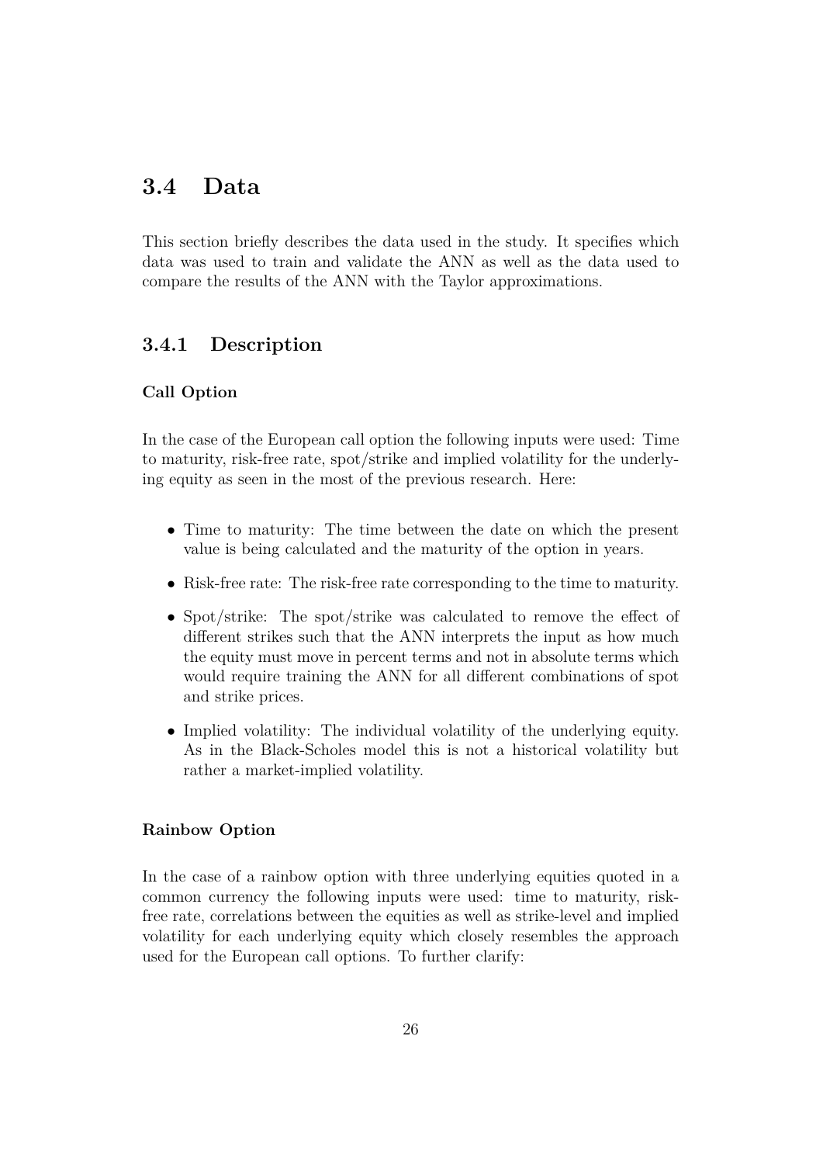# **3.4 Data**

This section briefly describes the data used in the study. It specifies which data was used to train and validate the ANN as well as the data used to compare the results of the ANN with the Taylor approximations.

## **3.4.1 Description**

#### **Call Option**

In the case of the European call option the following inputs were used: Time to maturity, risk-free rate, spot/strike and implied volatility for the underlying equity as seen in the most of the previous research. Here:

- Time to maturity: The time between the date on which the present value is being calculated and the maturity of the option in years.
- Risk-free rate: The risk-free rate corresponding to the time to maturity.
- Spot/strike: The spot/strike was calculated to remove the effect of different strikes such that the ANN interprets the input as how much the equity must move in percent terms and not in absolute terms which would require training the ANN for all different combinations of spot and strike prices.
- Implied volatility: The individual volatility of the underlying equity. As in the Black-Scholes model this is not a historical volatility but rather a market-implied volatility.

#### **Rainbow Option**

In the case of a rainbow option with three underlying equities quoted in a common currency the following inputs were used: time to maturity, riskfree rate, correlations between the equities as well as strike-level and implied volatility for each underlying equity which closely resembles the approach used for the European call options. To further clarify: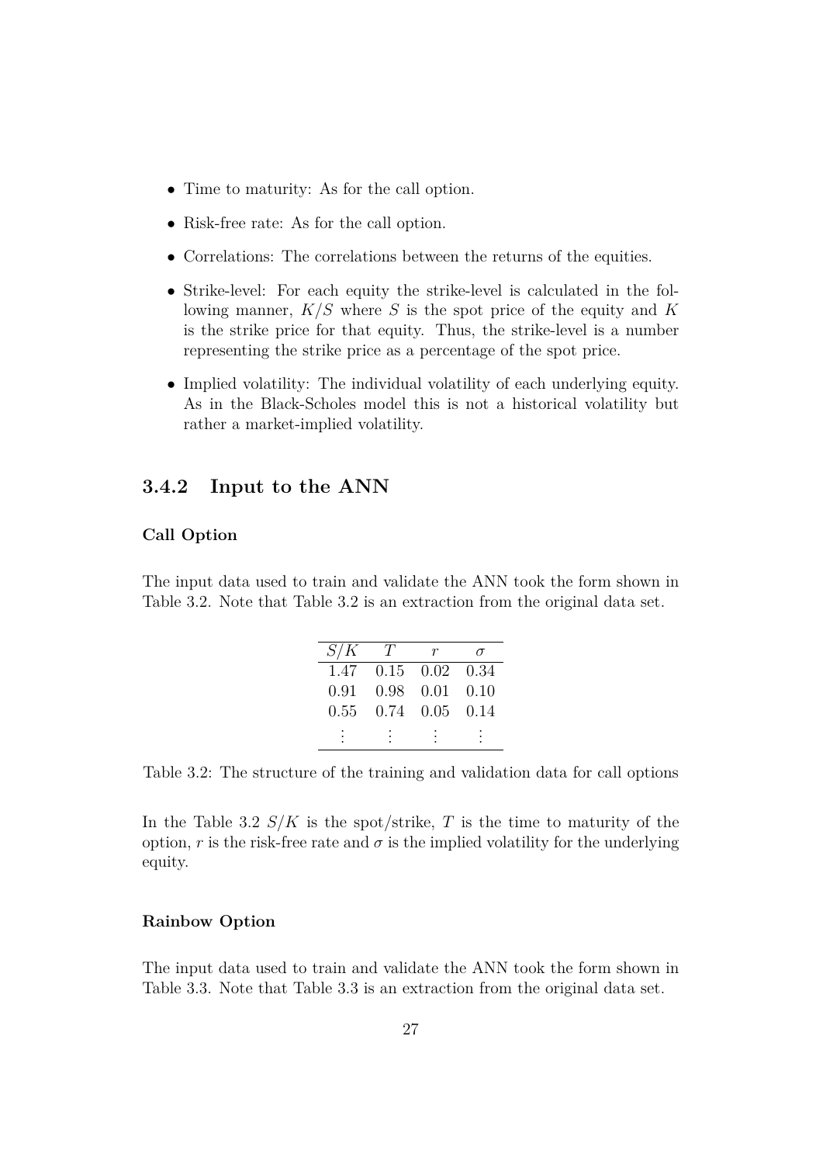- Time to maturity: As for the call option.
- Risk-free rate: As for the call option.
- Correlations: The correlations between the returns of the equities.
- Strike-level: For each equity the strike-level is calculated in the following manner,  $K/S$  where S is the spot price of the equity and K is the strike price for that equity. Thus, the strike-level is a number representing the strike price as a percentage of the spot price.
- Implied volatility: The individual volatility of each underlying equity. As in the Black-Scholes model this is not a historical volatility but rather a market-implied volatility.

#### **3.4.2 Input to the ANN**

#### **Call Option**

The input data used to train and validate the ANN took the form shown in Table 3.2. Note that Table 3.2 is an extraction from the original data set.

| S/K  | T |                      |      |
|------|---|----------------------|------|
| 1.47 |   | $0.15$ $0.02$ $0.34$ |      |
| 0.91 |   | $0.98$ $0.01$        | 0.10 |
| 0.55 |   | $0.74$ $0.05$ $0.14$ |      |
|      |   |                      |      |

Table 3.2: The structure of the training and validation data for call options

In the Table 3.2  $S/K$  is the spot/strike, T is the time to maturity of the option, r is the risk-free rate and  $\sigma$  is the implied volatility for the underlying equity.

#### **Rainbow Option**

The input data used to train and validate the ANN took the form shown in Table 3.3. Note that Table 3.3 is an extraction from the original data set.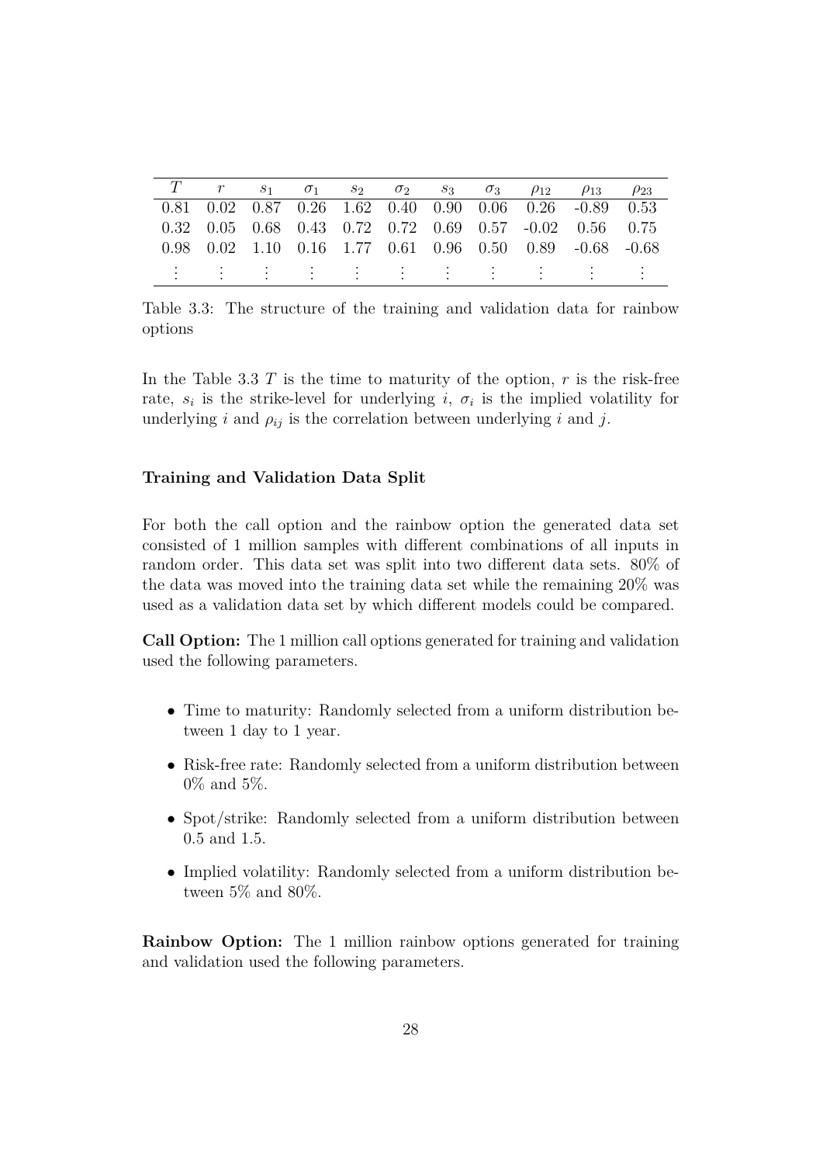|  |  |  |  | T $r = s_1 = \sigma_1 = s_2 = \sigma_2 = s_3 = \sigma_3 = \rho_{12} = \rho_{13} = \rho_{23}$ |  |
|--|--|--|--|----------------------------------------------------------------------------------------------|--|
|  |  |  |  | $0.81$ $0.02$ $0.87$ $0.26$ $1.62$ $0.40$ $0.90$ $0.06$ $0.26$ $-0.89$ $0.53$                |  |
|  |  |  |  | $0.32$ $0.05$ $0.68$ $0.43$ $0.72$ $0.72$ $0.69$ $0.57$ $-0.02$ $0.56$ $0.75$                |  |
|  |  |  |  | $0.98$ $0.02$ $1.10$ $0.16$ $1.77$ $0.61$ $0.96$ $0.50$ $0.89$ $-0.68$ $-0.68$               |  |
|  |  |  |  | 生物生物生物 生物生物 生物生物生物 生物生物                                                                      |  |

Table 3.3: The structure of the training and validation data for rainbow options

In the Table 3.3 T is the time to maturity of the option,  $r$  is the risk-free rate,  $s_i$  is the strike-level for underlying i,  $\sigma_i$  is the implied volatility for underlying i and  $\rho_{ij}$  is the correlation between underlying i and j.

#### **Training and Validation Data Split**

For both the call option and the rainbow option the generated data set consisted of 1 million samples with different combinations of all inputs in random order. This data set was split into two different data sets. 80% of the data was moved into the training data set while the remaining 20% was used as a validation data set by which different models could be compared.

**Call Option:** The 1 million call options generated for training and validation used the following parameters.

- Time to maturity: Randomly selected from a uniform distribution between 1 day to 1 year.
- Risk-free rate: Randomly selected from a uniform distribution between 0% and 5%.
- Spot/strike: Randomly selected from a uniform distribution between 0.5 and 1.5.
- Implied volatility: Randomly selected from a uniform distribution between 5% and 80%.

**Rainbow Option:** The 1 million rainbow options generated for training and validation used the following parameters.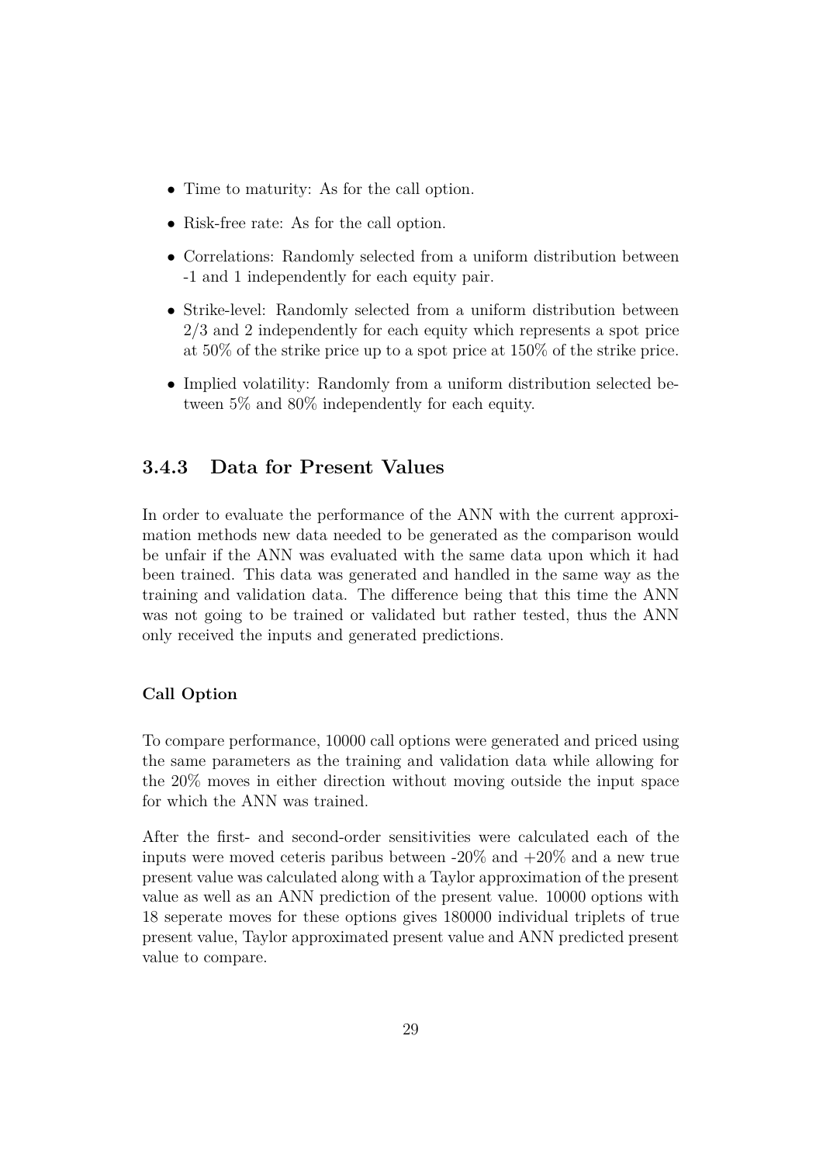- Time to maturity: As for the call option.
- Risk-free rate: As for the call option.
- Correlations: Randomly selected from a uniform distribution between -1 and 1 independently for each equity pair.
- Strike-level: Randomly selected from a uniform distribution between 2/3 and 2 independently for each equity which represents a spot price at 50% of the strike price up to a spot price at 150% of the strike price.
- Implied volatility: Randomly from a uniform distribution selected between 5% and 80% independently for each equity.

## **3.4.3 Data for Present Values**

In order to evaluate the performance of the ANN with the current approximation methods new data needed to be generated as the comparison would be unfair if the ANN was evaluated with the same data upon which it had been trained. This data was generated and handled in the same way as the training and validation data. The difference being that this time the ANN was not going to be trained or validated but rather tested, thus the ANN only received the inputs and generated predictions.

#### **Call Option**

To compare performance, 10000 call options were generated and priced using the same parameters as the training and validation data while allowing for the 20% moves in either direction without moving outside the input space for which the ANN was trained.

After the first- and second-order sensitivities were calculated each of the inputs were moved ceteris paribus between  $-20\%$  and  $+20\%$  and a new true present value was calculated along with a Taylor approximation of the present value as well as an ANN prediction of the present value. 10000 options with 18 seperate moves for these options gives 180000 individual triplets of true present value, Taylor approximated present value and ANN predicted present value to compare.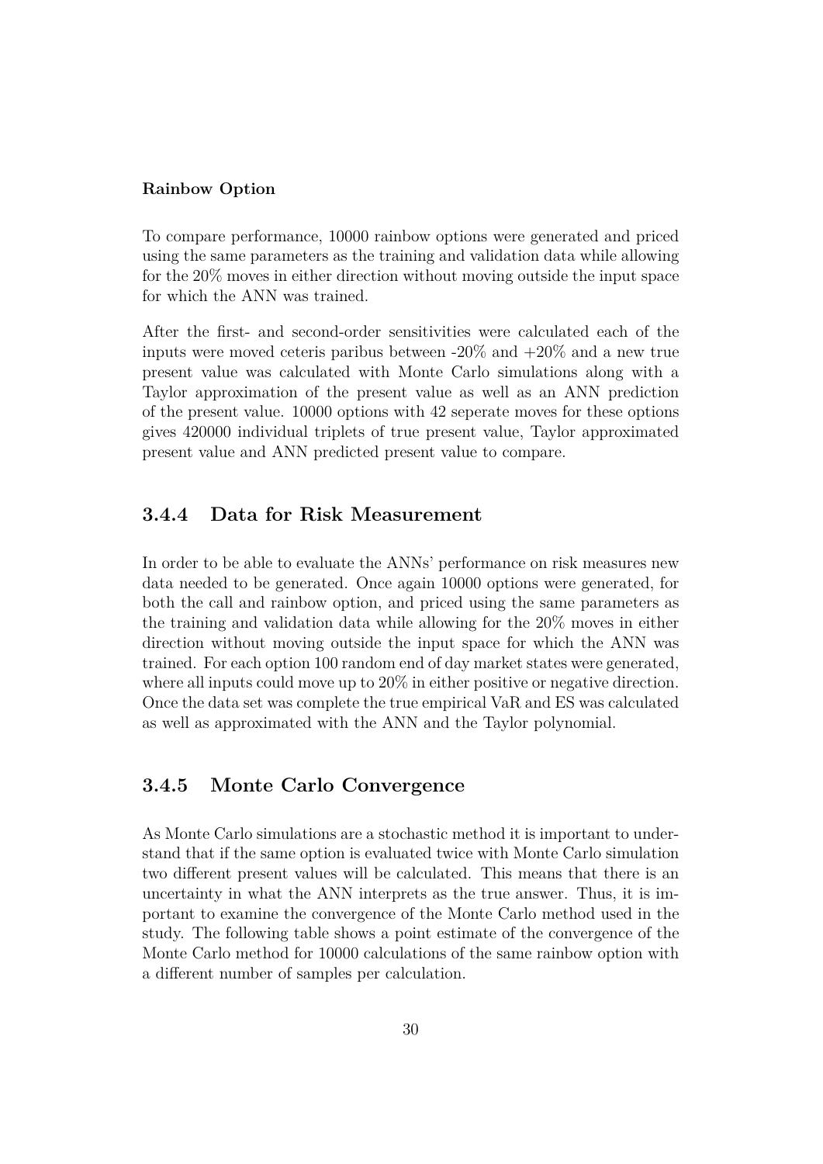#### **Rainbow Option**

To compare performance, 10000 rainbow options were generated and priced using the same parameters as the training and validation data while allowing for the 20% moves in either direction without moving outside the input space for which the ANN was trained.

After the first- and second-order sensitivities were calculated each of the inputs were moved ceteris paribus between  $-20\%$  and  $+20\%$  and a new true present value was calculated with Monte Carlo simulations along with a Taylor approximation of the present value as well as an ANN prediction of the present value. 10000 options with 42 seperate moves for these options gives 420000 individual triplets of true present value, Taylor approximated present value and ANN predicted present value to compare.

#### **3.4.4 Data for Risk Measurement**

In order to be able to evaluate the ANNs' performance on risk measures new data needed to be generated. Once again 10000 options were generated, for both the call and rainbow option, and priced using the same parameters as the training and validation data while allowing for the 20% moves in either direction without moving outside the input space for which the ANN was trained. For each option 100 random end of day market states were generated, where all inputs could move up to  $20\%$  in either positive or negative direction. Once the data set was complete the true empirical VaR and ES was calculated as well as approximated with the ANN and the Taylor polynomial.

### **3.4.5 Monte Carlo Convergence**

As Monte Carlo simulations are a stochastic method it is important to understand that if the same option is evaluated twice with Monte Carlo simulation two different present values will be calculated. This means that there is an uncertainty in what the ANN interprets as the true answer. Thus, it is important to examine the convergence of the Monte Carlo method used in the study. The following table shows a point estimate of the convergence of the Monte Carlo method for 10000 calculations of the same rainbow option with a different number of samples per calculation.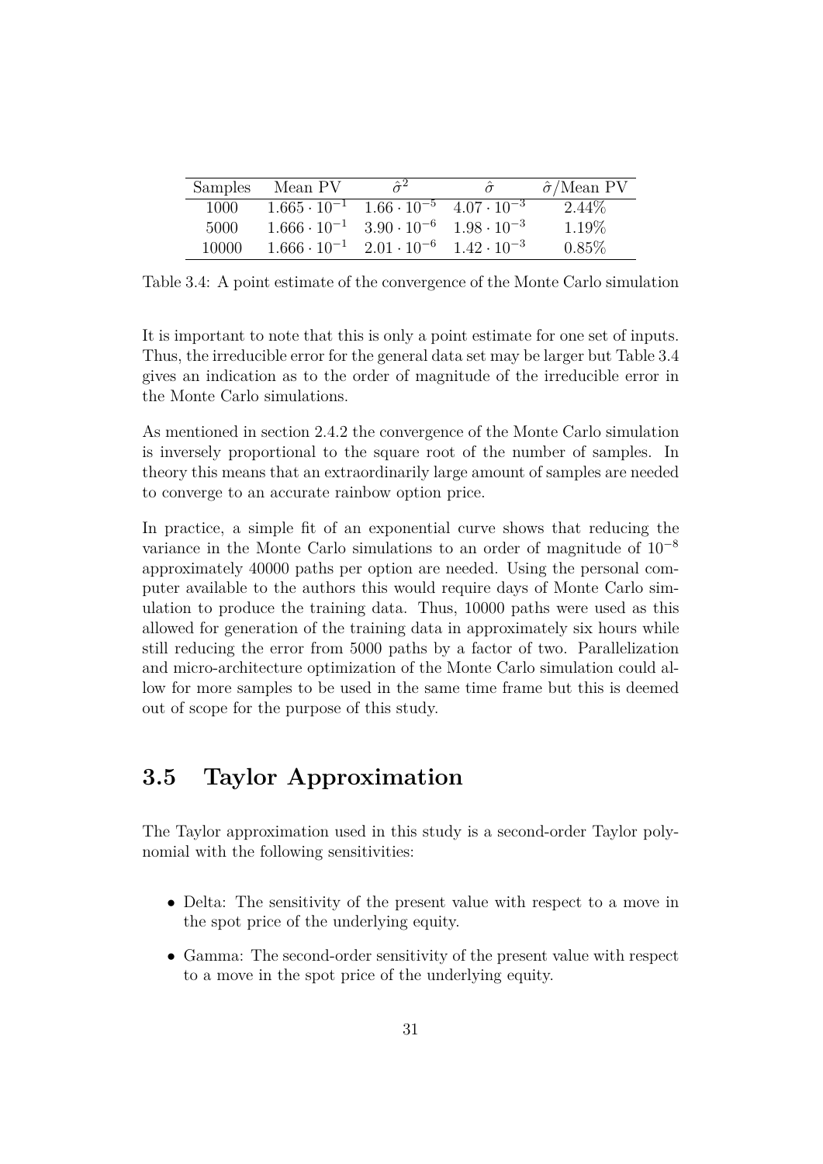| Samples | Mean PV                                                         | $\hat{\sigma}^2$                          | $\hat{\sigma}$       | $\hat{\sigma}$ /Mean PV |
|---------|-----------------------------------------------------------------|-------------------------------------------|----------------------|-------------------------|
| 1000    | $1.665 \cdot 10^{-1}$ $1.66 \cdot 10^{-5}$ $4.07 \cdot 10^{-3}$ |                                           |                      | $2.44\%$                |
| 5000    | $1.666 \cdot 10^{-1}$                                           | $3.90 \cdot 10^{-6}$ $1.98 \cdot 10^{-3}$ |                      | 1.19\%                  |
| 10000   | $1.666 \cdot 10^{-1}$                                           | $2.01 \cdot 10^{-6}$                      | $1.42 \cdot 10^{-3}$ | $0.85\%$                |

Table 3.4: A point estimate of the convergence of the Monte Carlo simulation

It is important to note that this is only a point estimate for one set of inputs. Thus, the irreducible error for the general data set may be larger but Table 3.4 gives an indication as to the order of magnitude of the irreducible error in the Monte Carlo simulations.

As mentioned in section 2.4.2 the convergence of the Monte Carlo simulation is inversely proportional to the square root of the number of samples. In theory this means that an extraordinarily large amount of samples are needed to converge to an accurate rainbow option price.

In practice, a simple fit of an exponential curve shows that reducing the variance in the Monte Carlo simulations to an order of magnitude of 10<sup>−</sup><sup>8</sup> approximately 40000 paths per option are needed. Using the personal computer available to the authors this would require days of Monte Carlo simulation to produce the training data. Thus, 10000 paths were used as this allowed for generation of the training data in approximately six hours while still reducing the error from 5000 paths by a factor of two. Parallelization and micro-architecture optimization of the Monte Carlo simulation could allow for more samples to be used in the same time frame but this is deemed out of scope for the purpose of this study.

## **3.5 Taylor Approximation**

The Taylor approximation used in this study is a second-order Taylor polynomial with the following sensitivities:

- Delta: The sensitivity of the present value with respect to a move in the spot price of the underlying equity.
- Gamma: The second-order sensitivity of the present value with respect to a move in the spot price of the underlying equity.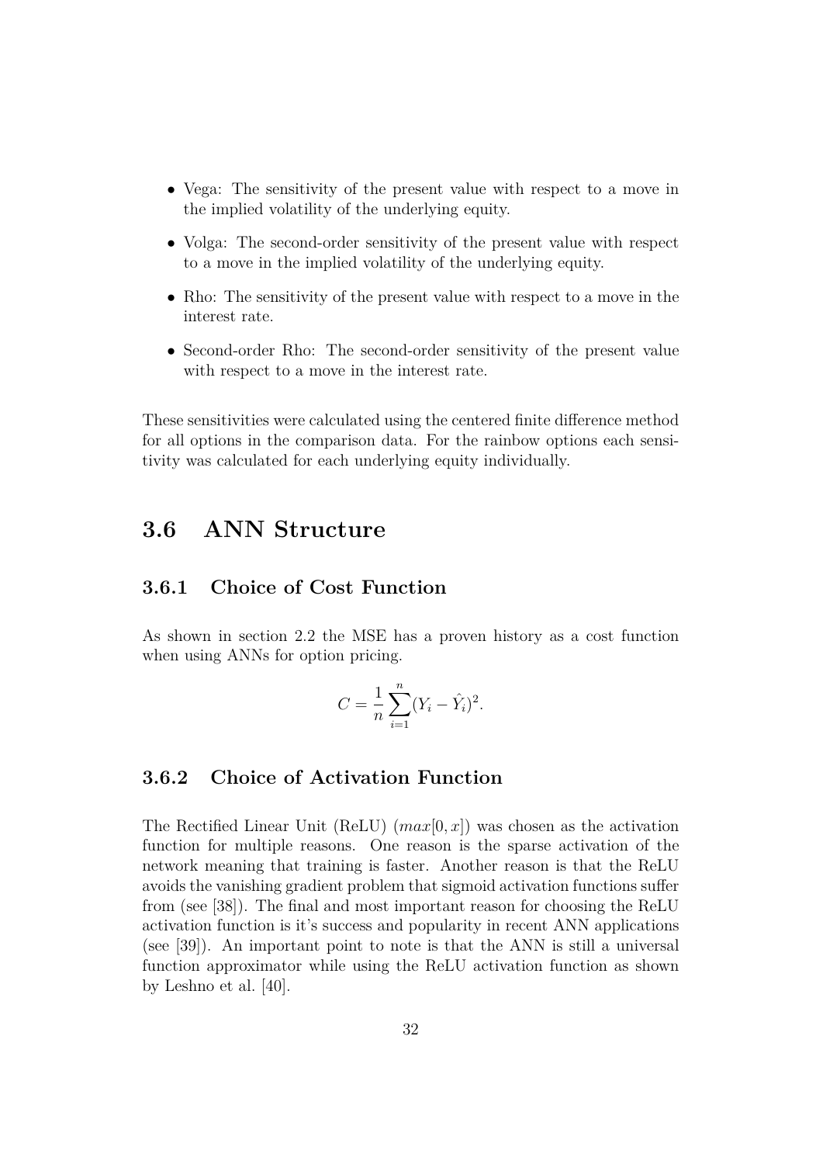- Vega: The sensitivity of the present value with respect to a move in the implied volatility of the underlying equity.
- Volga: The second-order sensitivity of the present value with respect to a move in the implied volatility of the underlying equity.
- Rho: The sensitivity of the present value with respect to a move in the interest rate.
- Second-order Rho: The second-order sensitivity of the present value with respect to a move in the interest rate.

These sensitivities were calculated using the centered finite difference method for all options in the comparison data. For the rainbow options each sensitivity was calculated for each underlying equity individually.

## **3.6 ANN Structure**

### **3.6.1 Choice of Cost Function**

As shown in section 2.2 the MSE has a proven history as a cost function when using ANNs for option pricing.

$$
C = \frac{1}{n} \sum_{i=1}^{n} (Y_i - \hat{Y}_i)^2.
$$

## **3.6.2 Choice of Activation Function**

The Rectified Linear Unit (ReLU)  $(max[0, x])$  was chosen as the activation function for multiple reasons. One reason is the sparse activation of the network meaning that training is faster. Another reason is that the ReLU avoids the vanishing gradient problem that sigmoid activation functions suffer from (see [38]). The final and most important reason for choosing the ReLU activation function is it's success and popularity in recent ANN applications (see [39]). An important point to note is that the ANN is still a universal function approximator while using the ReLU activation function as shown by Leshno et al. [40].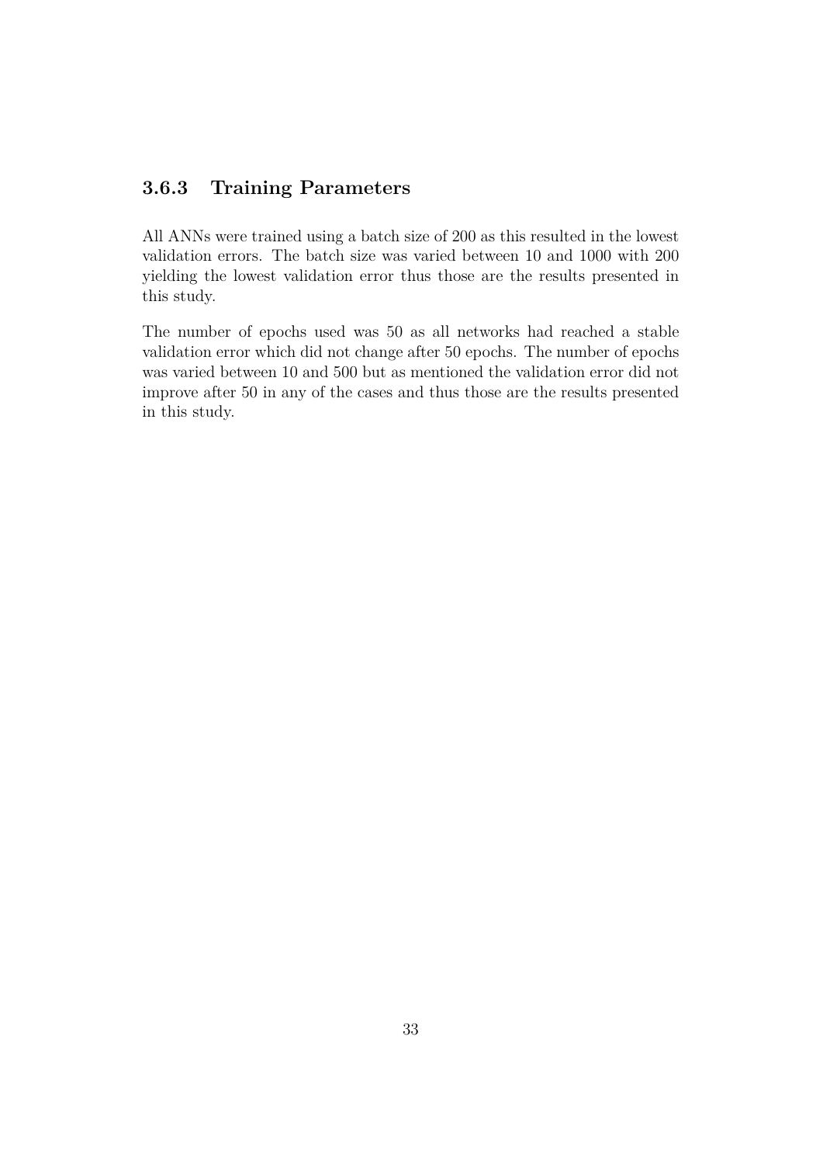## **3.6.3 Training Parameters**

All ANNs were trained using a batch size of 200 as this resulted in the lowest validation errors. The batch size was varied between 10 and 1000 with 200 yielding the lowest validation error thus those are the results presented in this study.

The number of epochs used was 50 as all networks had reached a stable validation error which did not change after 50 epochs. The number of epochs was varied between 10 and 500 but as mentioned the validation error did not improve after 50 in any of the cases and thus those are the results presented in this study.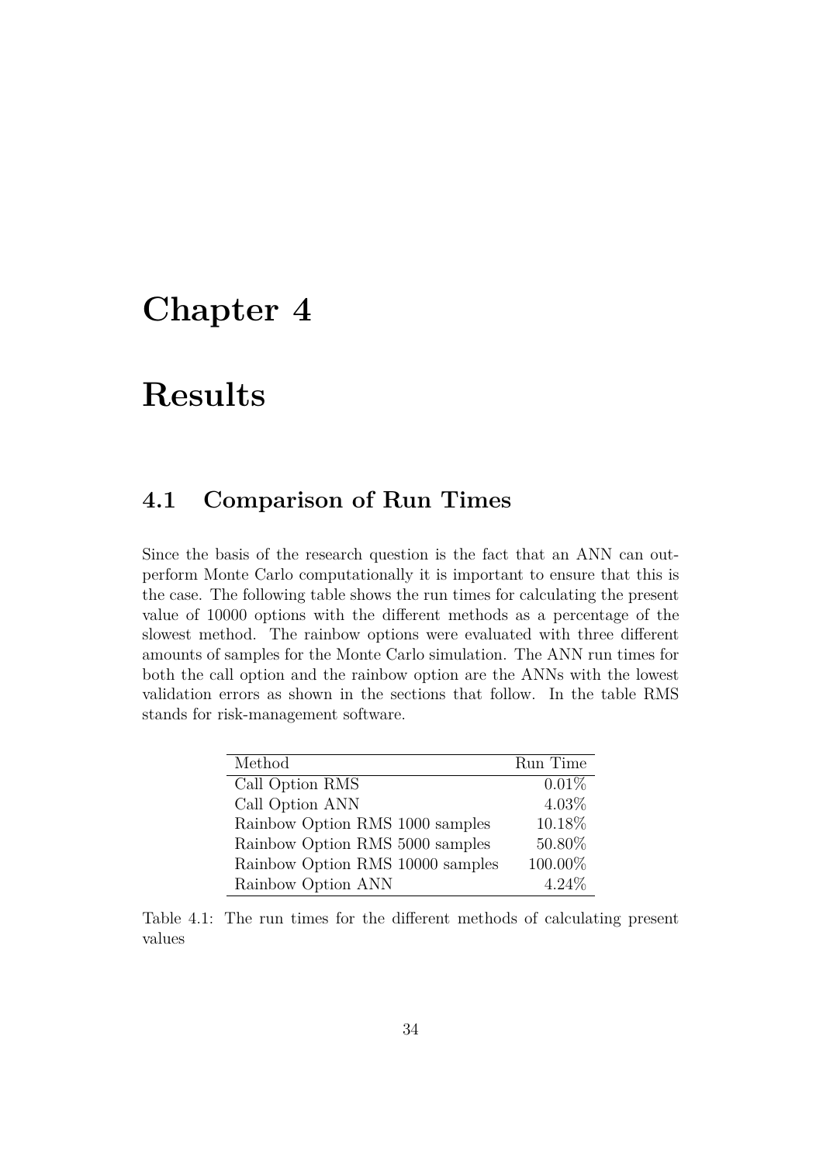# **Chapter 4**

# **Results**

# **4.1 Comparison of Run Times**

Since the basis of the research question is the fact that an ANN can outperform Monte Carlo computationally it is important to ensure that this is the case. The following table shows the run times for calculating the present value of 10000 options with the different methods as a percentage of the slowest method. The rainbow options were evaluated with three different amounts of samples for the Monte Carlo simulation. The ANN run times for both the call option and the rainbow option are the ANNs with the lowest validation errors as shown in the sections that follow. In the table RMS stands for risk-management software.

| Method                           | Run Time |
|----------------------------------|----------|
| Call Option RMS                  | 0.01%    |
| Call Option ANN                  | $4.03\%$ |
| Rainbow Option RMS 1000 samples  | 10.18%   |
| Rainbow Option RMS 5000 samples  | 50.80%   |
| Rainbow Option RMS 10000 samples | 100.00%  |
| Rainbow Option ANN               | 4.24%    |

Table 4.1: The run times for the different methods of calculating present values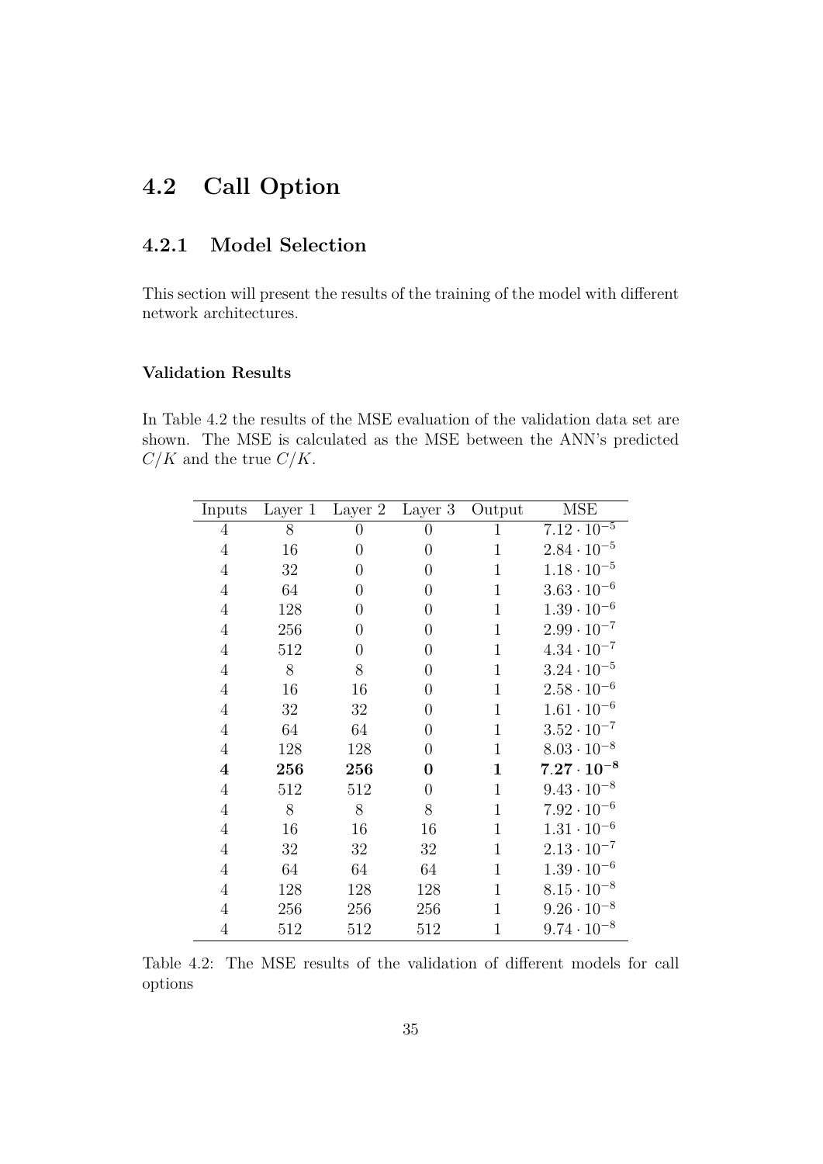# **4.2 Call Option**

## **4.2.1 Model Selection**

This section will present the results of the training of the model with different network architectures.

#### **Validation Results**

In Table 4.2 the results of the MSE evaluation of the validation data set are shown. The MSE is calculated as the MSE between the ANN's predicted  $C/K$  and the true  $C/K$ .

| Inputs           | Layer 1 | Layer 2          | Layer 3          | Output       | MSE                  |
|------------------|---------|------------------|------------------|--------------|----------------------|
| $\overline{4}$   | 8       | $\boldsymbol{0}$ | $\boldsymbol{0}$ | $\mathbf 1$  | $7.12 \cdot 10^{-5}$ |
| $\overline{4}$   | 16      | $\overline{0}$   | $\overline{0}$   | $\mathbf 1$  | $2.84 \cdot 10^{-5}$ |
| $\overline{4}$   | 32      | $\overline{0}$   | $\overline{0}$   | $\mathbf{1}$ | $1.18 \cdot 10^{-5}$ |
| $\overline{4}$   | 64      | $\overline{0}$   | $\overline{0}$   | $\mathbf{1}$ | $3.63 \cdot 10^{-6}$ |
| $\overline{4}$   | 128     | $\overline{0}$   | $\overline{0}$   | $\mathbf 1$  | $1.39 \cdot 10^{-6}$ |
| $\overline{4}$   | 256     | $\overline{0}$   | $\overline{0}$   | $\mathbf{1}$ | $2.99 \cdot 10^{-7}$ |
| $\overline{4}$   | 512     | $\overline{0}$   | $\overline{0}$   | $\mathbf{1}$ | $4.34 \cdot 10^{-7}$ |
| $\overline{4}$   | $8\,$   | 8                | $\overline{0}$   | $\mathbf{1}$ | $3.24 \cdot 10^{-5}$ |
| $\overline{4}$   | 16      | 16               | $\overline{0}$   | $\mathbf{1}$ | $2.58 \cdot 10^{-6}$ |
| $\overline{4}$   | 32      | 32               | $\boldsymbol{0}$ | $\mathbf{1}$ | $1.61 \cdot 10^{-6}$ |
| $\overline{4}$   | 64      | 64               | $\boldsymbol{0}$ | $\mathbf 1$  | $3.52 \cdot 10^{-7}$ |
| $\overline{4}$   | 128     | 128              | $\overline{0}$   | $\mathbf{1}$ | $8.03 \cdot 10^{-8}$ |
| $\boldsymbol{4}$ | 256     | 256              | $\boldsymbol{0}$ | $\mathbf 1$  | $7.27\cdot 10^{-8}$  |
| $\overline{4}$   | 512     | 512              | $\boldsymbol{0}$ | $\mathbf{1}$ | $9.43 \cdot 10^{-8}$ |
| $\overline{4}$   | $8\,$   | 8                | $8\,$            | $\mathbf{1}$ | $7.92 \cdot 10^{-6}$ |
| $\overline{4}$   | 16      | 16               | 16               | $\mathbf{1}$ | $1.31 \cdot 10^{-6}$ |
| $\overline{4}$   | 32      | 32               | 32               | $\mathbf{1}$ | $2.13 \cdot 10^{-7}$ |
| $\overline{4}$   | 64      | 64               | 64               | $\mathbf{1}$ | $1.39 \cdot 10^{-6}$ |
| $\overline{4}$   | 128     | 128              | 128              | $\mathbf{1}$ | $8.15 \cdot 10^{-8}$ |
| $\,4\,$          | 256     | 256              | 256              | $\mathbf{1}$ | $9.26 \cdot 10^{-8}$ |
| $\overline{4}$   | 512     | 512              | 512              | $\mathbf{1}$ | $9.74 \cdot 10^{-8}$ |

Table 4.2: The MSE results of the validation of different models for call options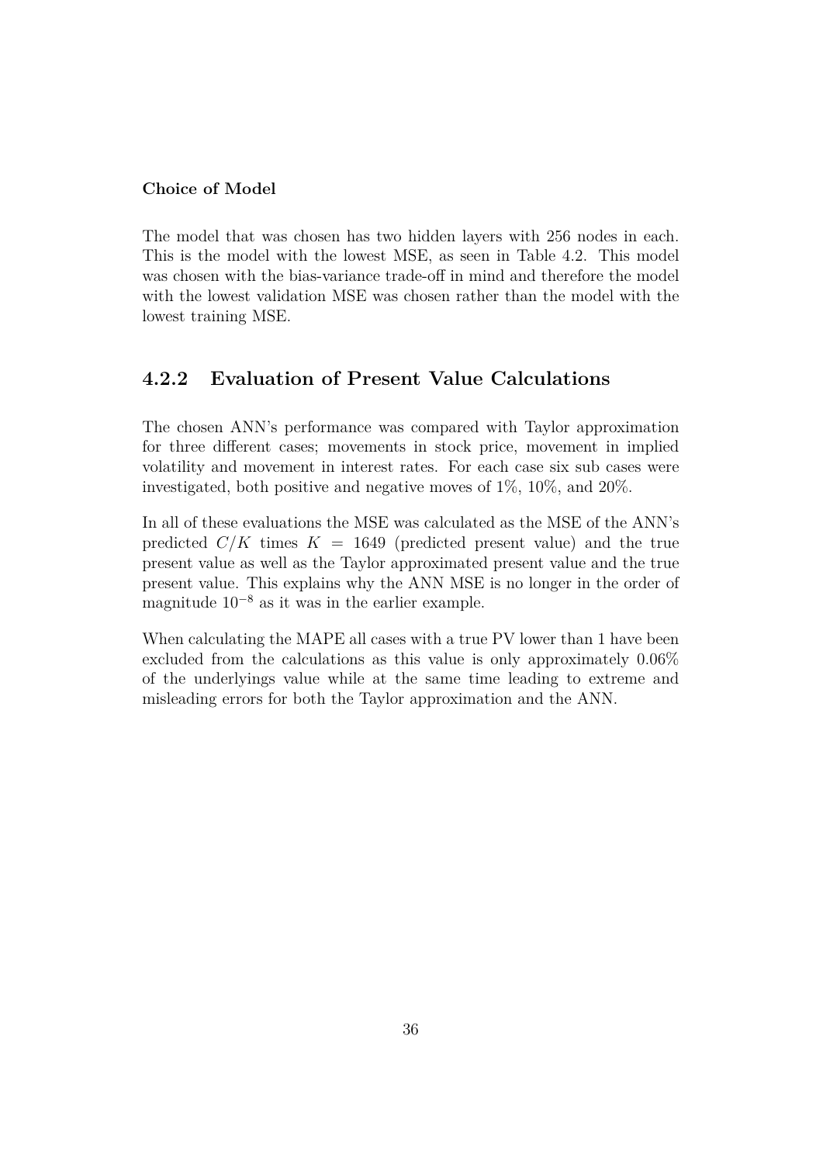#### **Choice of Model**

The model that was chosen has two hidden layers with 256 nodes in each. This is the model with the lowest MSE, as seen in Table 4.2. This model was chosen with the bias-variance trade-off in mind and therefore the model with the lowest validation MSE was chosen rather than the model with the lowest training MSE.

## **4.2.2 Evaluation of Present Value Calculations**

The chosen ANN's performance was compared with Taylor approximation for three different cases; movements in stock price, movement in implied volatility and movement in interest rates. For each case six sub cases were investigated, both positive and negative moves of 1%, 10%, and 20%.

In all of these evaluations the MSE was calculated as the MSE of the ANN's predicted  $C/K$  times  $K = 1649$  (predicted present value) and the true present value as well as the Taylor approximated present value and the true present value. This explains why the ANN MSE is no longer in the order of magnitude 10<sup>−</sup><sup>8</sup> as it was in the earlier example.

When calculating the MAPE all cases with a true PV lower than 1 have been excluded from the calculations as this value is only approximately 0.06% of the underlyings value while at the same time leading to extreme and misleading errors for both the Taylor approximation and the ANN.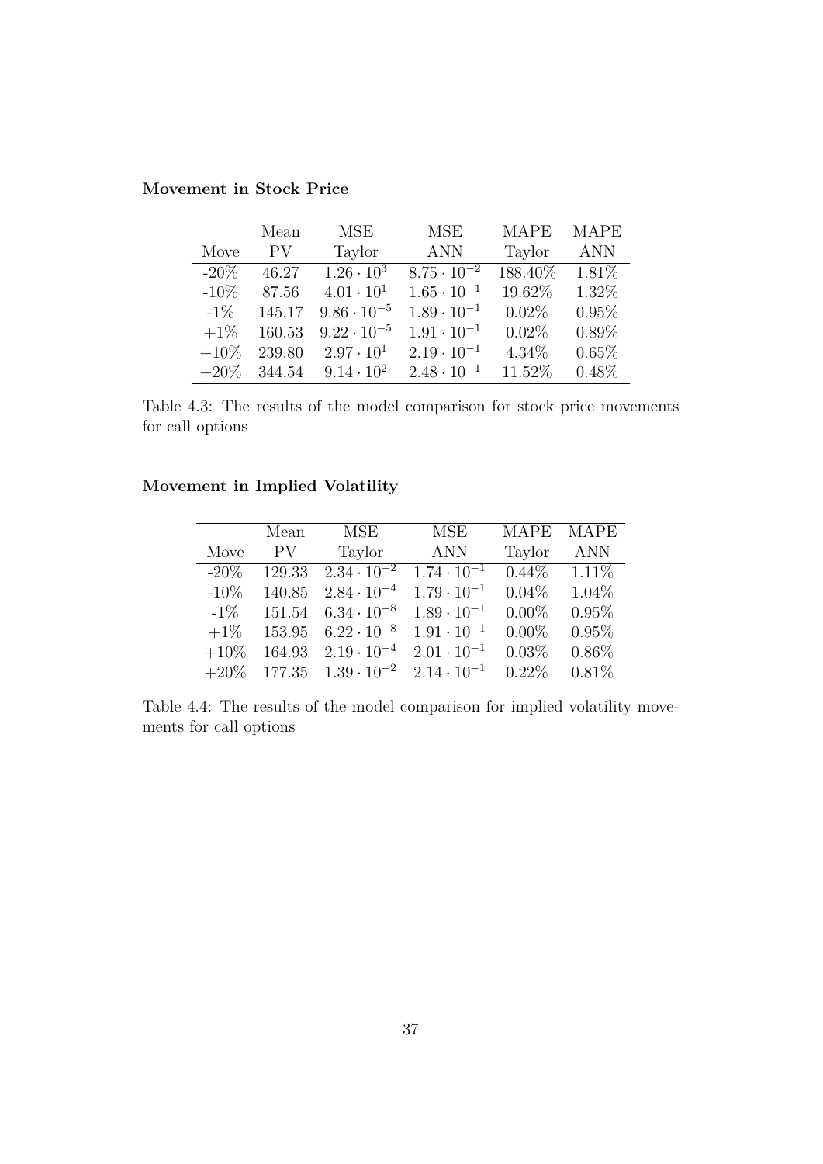**Movement in Stock Price**

|         | Mean           | <b>MSE</b>           | <b>MSE</b>           | <b>MAPE</b> | <b>MAPE</b> |
|---------|----------------|----------------------|----------------------|-------------|-------------|
| Move    | PV <sub></sub> | Taylor               | <b>ANN</b>           | Taylor      | <b>ANN</b>  |
| $-20\%$ | 46.27          | $1.26 \cdot 10^3$    | $8.75 \cdot 10^{-2}$ | 188.40%     | 1.81\%      |
| $-10\%$ | 87.56          | $4.01 \cdot 10^{1}$  | $1.65 \cdot 10^{-1}$ | 19.62%      | 1.32%       |
| $-1\%$  | 145.17         | $9.86 \cdot 10^{-5}$ | $1.89 \cdot 10^{-1}$ | $0.02\%$    | 0.95%       |
| $+1\%$  | 160.53         | $9.22 \cdot 10^{-5}$ | $1.91 \cdot 10^{-1}$ | $0.02\%$    | $0.89\%$    |
| $+10\%$ | 239.80         | $2.97 \cdot 10^{1}$  | $2.19 \cdot 10^{-1}$ | 4.34%       | 0.65%       |
| $+20\%$ | 344.54         | $9.14 \cdot 10^{2}$  | $2.48 \cdot 10^{-1}$ | 11.52%      | $0.48\%$    |

Table 4.3: The results of the model comparison for stock price movements for call options

## **Movement in Implied Volatility**

|         | Mean   | MSE                  | <b>MSE</b>           | <b>MAPE</b> | <b>MAPE</b> |
|---------|--------|----------------------|----------------------|-------------|-------------|
| Move    | PV     | Taylor               | <b>ANN</b>           | Taylor      | <b>ANN</b>  |
| $-20\%$ | 129.33 | $2.34 \cdot 10^{-2}$ | $1.74 \cdot 10^{-1}$ | $0.44\%$    | $1.11\%$    |
| $-10\%$ | 140.85 | $2.84 \cdot 10^{-4}$ | $1.79 \cdot 10^{-1}$ | $0.04\%$    | 1.04%       |
| $-1\%$  | 151.54 | $6.34 \cdot 10^{-8}$ | $1.89 \cdot 10^{-1}$ | $0.00\%$    | 0.95%       |
| $+1\%$  | 153.95 | $6.22 \cdot 10^{-8}$ | $1.91 \cdot 10^{-1}$ | $0.00\%$    | 0.95%       |
| $+10\%$ | 164.93 | $2.19 \cdot 10^{-4}$ | $2.01 \cdot 10^{-1}$ | 0.03%       | $0.86\%$    |
| $+20\%$ | 177.35 | $1.39 \cdot 10^{-2}$ | $2.14 \cdot 10^{-1}$ | $0.22\%$    | 0.81%       |

Table 4.4: The results of the model comparison for implied volatility movements for call options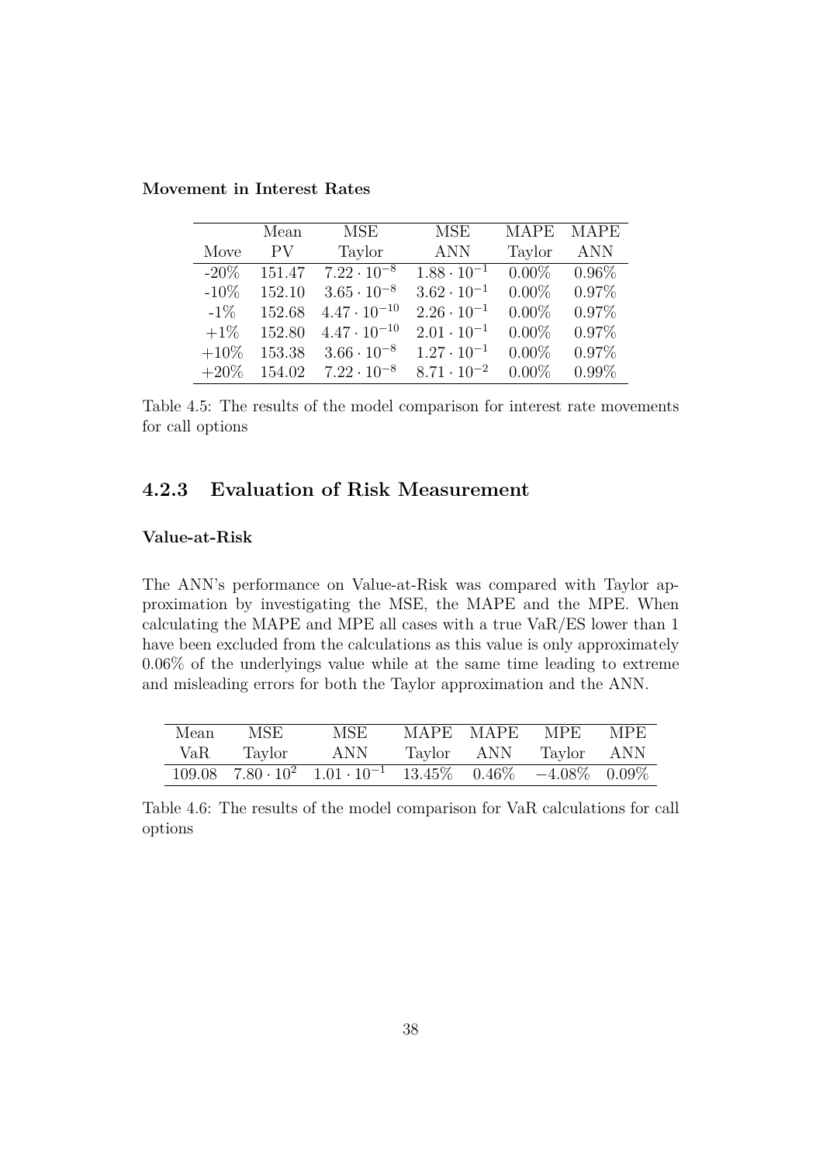|         | Mean   | MSE                   | MSE                  | <b>MAPE</b> | <b>MAPE</b> |
|---------|--------|-----------------------|----------------------|-------------|-------------|
| Move    | PV.    | Taylor                | <b>ANN</b>           | Taylor      | <b>ANN</b>  |
| $-20\%$ | 151.47 | $7.22 \cdot 10^{-8}$  | $1.88 \cdot 10^{-1}$ | $0.00\%$    | $0.96\%$    |
| $-10%$  | 152.10 | $3.65 \cdot 10^{-8}$  | $3.62 \cdot 10^{-1}$ | $0.00\%$    | $0.97\%$    |
| $-1\%$  | 152.68 | $4.47 \cdot 10^{-10}$ | $2.26 \cdot 10^{-1}$ | $0.00\%$    | $0.97\%$    |
| $+1\%$  | 152.80 | $4.47 \cdot 10^{-10}$ | $2.01 \cdot 10^{-1}$ | $0.00\%$    | $0.97\%$    |
| $+10\%$ | 153.38 | $3.66 \cdot 10^{-8}$  | $1.27 \cdot 10^{-1}$ | $0.00\%$    | $0.97\%$    |
| $+20\%$ | 154.02 | $7.22 \cdot 10^{-8}$  | $8.71 \cdot 10^{-2}$ | $0.00\%$    | $0.99\%$    |

**Movement in Interest Rates**

Table 4.5: The results of the model comparison for interest rate movements for call options

## **4.2.3 Evaluation of Risk Measurement**

#### **Value-at-Risk**

The ANN's performance on Value-at-Risk was compared with Taylor approximation by investigating the MSE, the MAPE and the MPE. When calculating the MAPE and MPE all cases with a true VaR/ES lower than 1 have been excluded from the calculations as this value is only approximately 0.06% of the underlyings value while at the same time leading to extreme and misleading errors for both the Taylor approximation and the ANN.

| Mean | MSE    | MSE                                                                                                                                              |  | MAPE MAPE MPE         | MPE |
|------|--------|--------------------------------------------------------------------------------------------------------------------------------------------------|--|-----------------------|-----|
| VaR  | Taylor | ANN                                                                                                                                              |  | Taylor ANN Taylor ANN |     |
|      |        | $\frac{109.08}{109.08}$ $\frac{7.80 \cdot 10^2}{1.01 \cdot 10^{-1}}$ $\frac{13.45\%}{13.45\%}$ $\frac{0.46\%}{10.46\%}$ $\frac{-4.08\%}{0.09\%}$ |  |                       |     |

Table 4.6: The results of the model comparison for VaR calculations for call options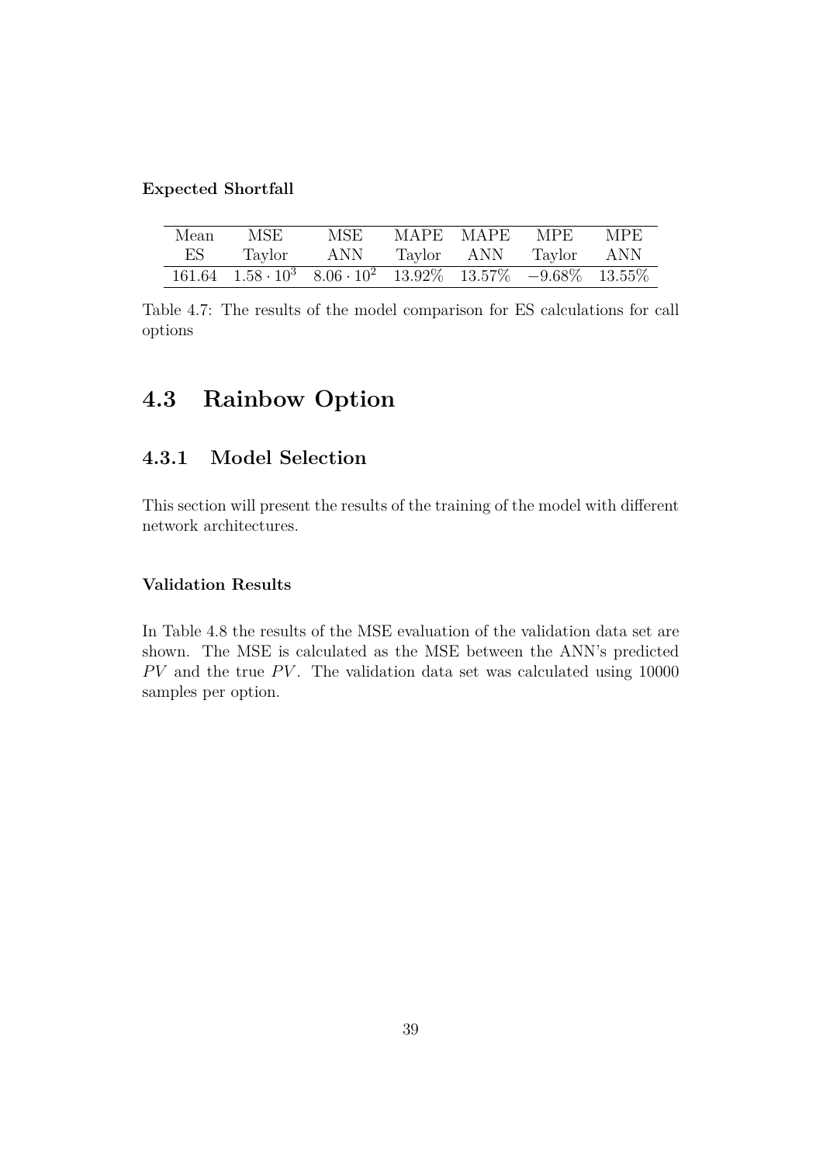#### **Expected Shortfall**

| Mean | MSE |                                                                                                                                                                   |  | MSE MAPE MAPE MPE MPE |  |
|------|-----|-------------------------------------------------------------------------------------------------------------------------------------------------------------------|--|-----------------------|--|
| ES   |     | Taylor ANN Taylor ANN Taylor ANN                                                                                                                                  |  |                       |  |
|      |     | $\overline{161.64}$ $\overline{1.58 \cdot 10^3}$ $\overline{8.06 \cdot 10^2}$ $\overline{13.92\%}$ $\overline{13.57\%}$ $\overline{-9.68\%}$ $\overline{13.55\%}$ |  |                       |  |

Table 4.7: The results of the model comparison for ES calculations for call options

# **4.3 Rainbow Option**

## **4.3.1 Model Selection**

This section will present the results of the training of the model with different network architectures.

#### **Validation Results**

In Table 4.8 the results of the MSE evaluation of the validation data set are shown. The MSE is calculated as the MSE between the ANN's predicted  $PV$  and the true  $PV$ . The validation data set was calculated using 10000 samples per option.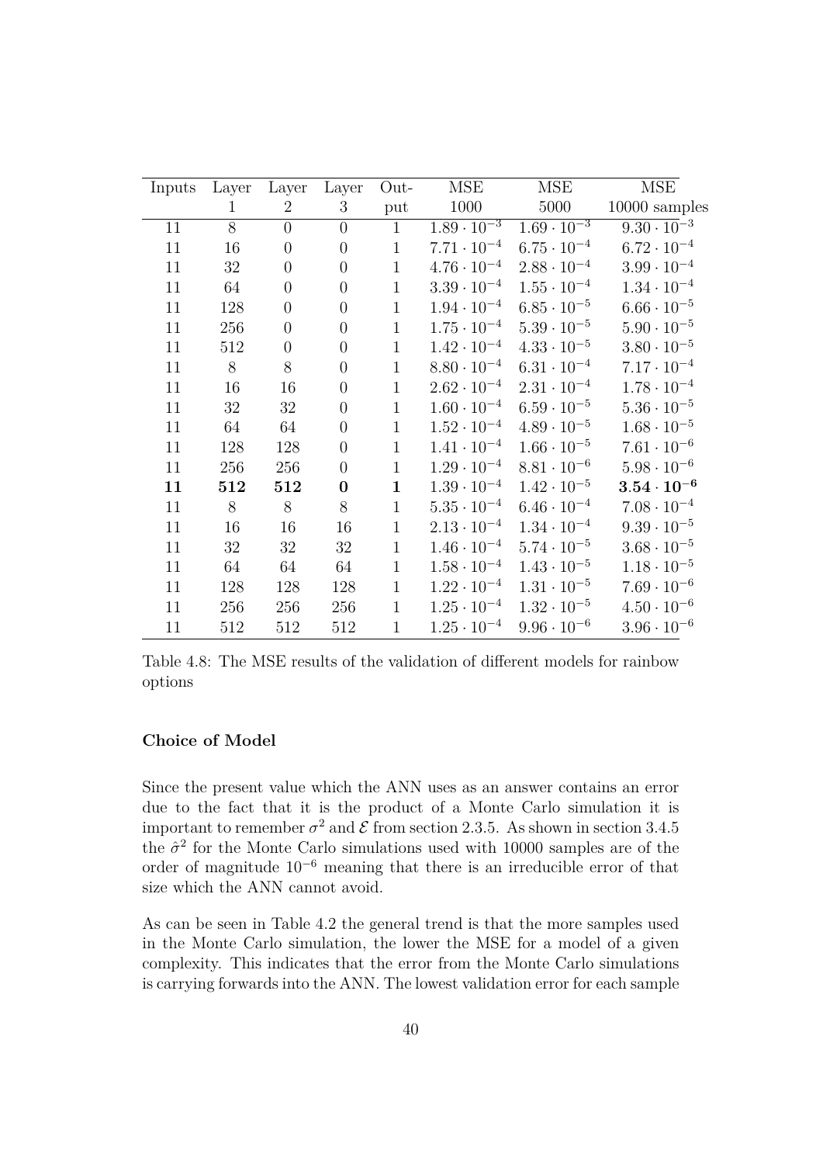| Inputs | Layer | Layer          | Layer            | Out-         | MSE                  | <b>MSE</b>                      | MSE                  |
|--------|-------|----------------|------------------|--------------|----------------------|---------------------------------|----------------------|
|        | 1     | $\overline{2}$ | 3                | put          | 1000                 | 5000                            | 10000 samples        |
| 11     | 8     | $\overline{0}$ | $\overline{0}$   | $\mathbf{1}$ | $1.89 \cdot 10^{-3}$ | $1.\overline{69 \cdot 10^{-3}}$ | $9.30 \cdot 10^{-3}$ |
| 11     | 16    | $\overline{0}$ | $\overline{0}$   | $\mathbf{1}$ | $7.71 \cdot 10^{-4}$ | $6.75 \cdot 10^{-4}$            | $6.72 \cdot 10^{-4}$ |
| 11     | 32    | $\overline{0}$ | $\theta$         | $\mathbf{1}$ | $4.76 \cdot 10^{-4}$ | $2.88 \cdot 10^{-4}$            | $3.99 \cdot 10^{-4}$ |
| 11     | 64    | $\overline{0}$ | $\overline{0}$   | $\mathbf{1}$ | $3.39 \cdot 10^{-4}$ | $1.55 \cdot 10^{-4}$            | $1.34 \cdot 10^{-4}$ |
| 11     | 128   | $\overline{0}$ | $\overline{0}$   | $\mathbf{1}$ | $1.94 \cdot 10^{-4}$ | $6.85 \cdot 10^{-5}$            | $6.66 \cdot 10^{-5}$ |
| 11     | 256   | $\overline{0}$ | $\overline{0}$   | $\mathbf{1}$ | $1.75 \cdot 10^{-4}$ | $5.39 \cdot 10^{-5}$            | $5.90 \cdot 10^{-5}$ |
| 11     | 512   | $\overline{0}$ | $\overline{0}$   | $\mathbf{1}$ | $1.42 \cdot 10^{-4}$ | $4.33 \cdot 10^{-5}$            | $3.80 \cdot 10^{-5}$ |
| 11     | 8     | 8              | $\overline{0}$   | $\mathbf{1}$ | $8.80 \cdot 10^{-4}$ | $6.31 \cdot 10^{-4}$            | $7.17 \cdot 10^{-4}$ |
| 11     | 16    | 16             | $\overline{0}$   | $\mathbf{1}$ | $2.62 \cdot 10^{-4}$ | $2.31 \cdot 10^{-4}$            | $1.78 \cdot 10^{-4}$ |
| 11     | 32    | 32             | $\overline{0}$   | $\mathbf{1}$ | $1.60 \cdot 10^{-4}$ | $6.59 \cdot 10^{-5}$            | $5.36 \cdot 10^{-5}$ |
| 11     | 64    | 64             | $\overline{0}$   | $\mathbf{1}$ | $1.52 \cdot 10^{-4}$ | $4.89 \cdot 10^{-5}$            | $1.68 \cdot 10^{-5}$ |
| 11     | 128   | 128            | $\overline{0}$   | $\mathbf{1}$ | $1.41 \cdot 10^{-4}$ | $1.66 \cdot 10^{-5}$            | $7.61\cdot10^{-6}$   |
| 11     | 256   | 256            | $\overline{0}$   | $\mathbf{1}$ | $1.29 \cdot 10^{-4}$ | $8.81 \cdot 10^{-6}$            | $5.98 \cdot 10^{-6}$ |
| 11     | 512   | 512            | $\boldsymbol{0}$ | $\mathbf{1}$ | $1.39 \cdot 10^{-4}$ | $1.42 \cdot 10^{-5}$            | $3.54\cdot 10^{-6}$  |
| 11     | 8     | 8              | 8                | $\mathbf{1}$ | $5.35 \cdot 10^{-4}$ | $6.46 \cdot 10^{-4}$            | $7.08\cdot10^{-4}$   |
| 11     | 16    | 16             | 16               | $\mathbf{1}$ | $2.13 \cdot 10^{-4}$ | $1.34 \cdot 10^{-4}$            | $9.39 \cdot 10^{-5}$ |
| 11     | 32    | 32             | 32               | $\mathbf{1}$ | $1.46 \cdot 10^{-4}$ | $5.74 \cdot 10^{-5}$            | $3.68 \cdot 10^{-5}$ |
| 11     | 64    | 64             | 64               | $\mathbf{1}$ | $1.58 \cdot 10^{-4}$ | $1.43 \cdot 10^{-5}$            | $1.18 \cdot 10^{-5}$ |
| 11     | 128   | 128            | 128              | $\mathbf{1}$ | $1.22 \cdot 10^{-4}$ | $1.31 \cdot 10^{-5}$            | $7.69 \cdot 10^{-6}$ |
| 11     | 256   | 256            | 256              | $\mathbf{1}$ | $1.25 \cdot 10^{-4}$ | $1.32 \cdot 10^{-5}$            | $4.50 \cdot 10^{-6}$ |
| 11     | 512   | 512            | 512              | $\mathbf{1}$ | $1.25 \cdot 10^{-4}$ | $9.96 \cdot 10^{-6}$            | $3.96 \cdot 10^{-6}$ |
|        |       |                |                  |              |                      |                                 |                      |

Table 4.8: The MSE results of the validation of different models for rainbow options

#### **Choice of Model**

Since the present value which the ANN uses as an answer contains an error due to the fact that it is the product of a Monte Carlo simulation it is important to remember  $\sigma^2$  and  $\mathcal E$  from section 2.3.5. As shown in section 3.4.5 the  $\hat{\sigma}^2$  for the Monte Carlo simulations used with 10000 samples are of the order of magnitude 10<sup>−</sup><sup>6</sup> meaning that there is an irreducible error of that size which the ANN cannot avoid.

As can be seen in Table 4.2 the general trend is that the more samples used in the Monte Carlo simulation, the lower the MSE for a model of a given complexity. This indicates that the error from the Monte Carlo simulations is carrying forwards into the ANN. The lowest validation error for each sample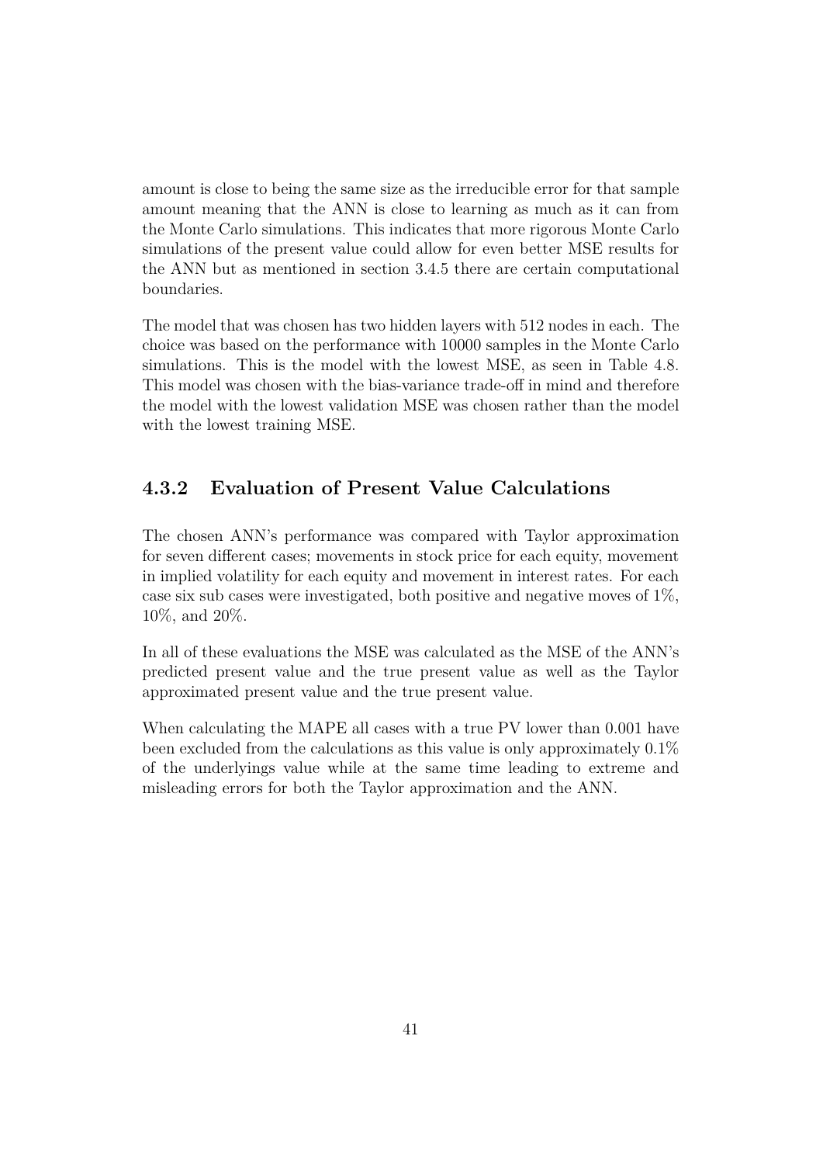amount is close to being the same size as the irreducible error for that sample amount meaning that the ANN is close to learning as much as it can from the Monte Carlo simulations. This indicates that more rigorous Monte Carlo simulations of the present value could allow for even better MSE results for the ANN but as mentioned in section 3.4.5 there are certain computational boundaries.

The model that was chosen has two hidden layers with 512 nodes in each. The choice was based on the performance with 10000 samples in the Monte Carlo simulations. This is the model with the lowest MSE, as seen in Table 4.8. This model was chosen with the bias-variance trade-off in mind and therefore the model with the lowest validation MSE was chosen rather than the model with the lowest training MSE.

## **4.3.2 Evaluation of Present Value Calculations**

The chosen ANN's performance was compared with Taylor approximation for seven different cases; movements in stock price for each equity, movement in implied volatility for each equity and movement in interest rates. For each case six sub cases were investigated, both positive and negative moves of 1%, 10%, and 20%.

In all of these evaluations the MSE was calculated as the MSE of the ANN's predicted present value and the true present value as well as the Taylor approximated present value and the true present value.

When calculating the MAPE all cases with a true PV lower than 0.001 have been excluded from the calculations as this value is only approximately 0.1% of the underlyings value while at the same time leading to extreme and misleading errors for both the Taylor approximation and the ANN.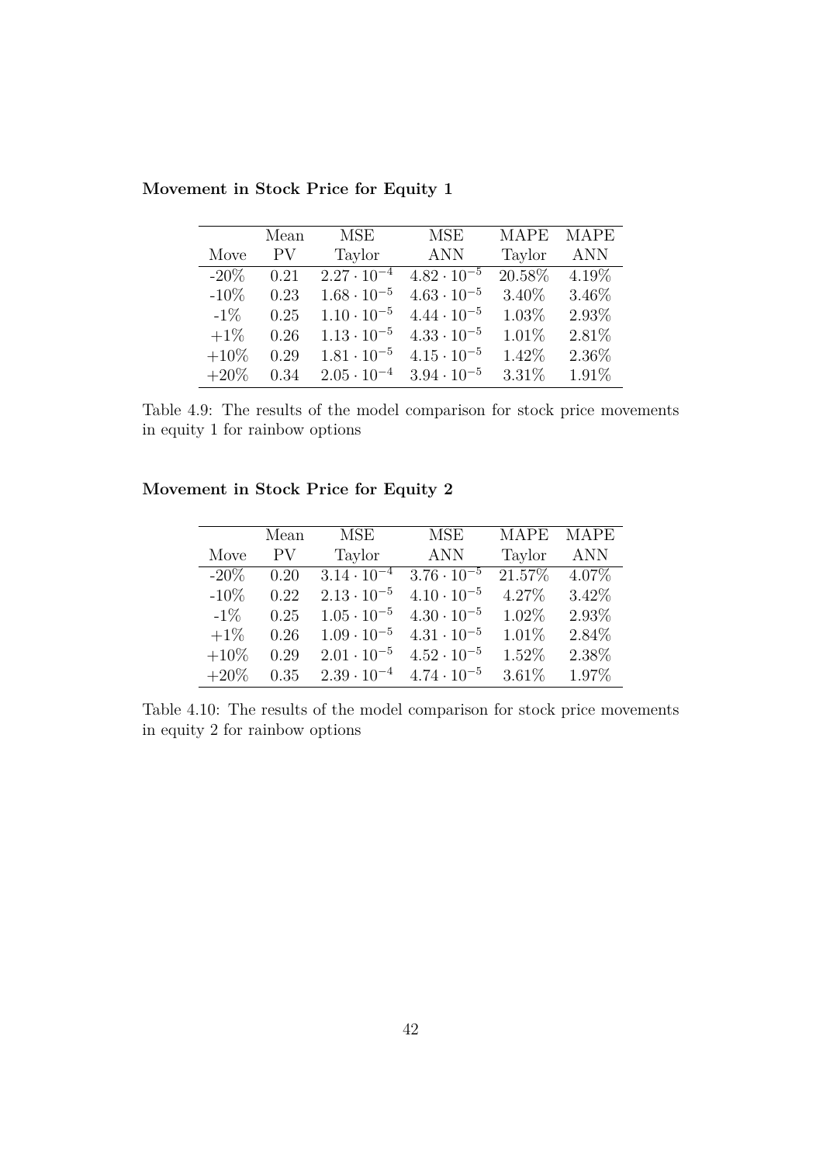|         | Mean | MSE                  | <b>MSE</b>           | <b>MAPE</b> | <b>MAPE</b> |
|---------|------|----------------------|----------------------|-------------|-------------|
| Move    | PV   | Taylor               | <b>ANN</b>           | Taylor      | <b>ANN</b>  |
| $-20\%$ | 0.21 | $2.27 \cdot 10^{-4}$ | $4.82 \cdot 10^{-5}$ | 20.58%      | $4.19\%$    |
| $-10\%$ | 0.23 | $1.68 \cdot 10^{-5}$ | $4.63 \cdot 10^{-5}$ | 3.40%       | 3.46%       |
| $-1\%$  | 0.25 | $1.10 \cdot 10^{-5}$ | $4.44 \cdot 10^{-5}$ | 1.03%       | 2.93%       |
| $+1\%$  | 0.26 | $1.13 \cdot 10^{-5}$ | $4.33 \cdot 10^{-5}$ | 1.01%       | 2.81%       |
| $+10\%$ | 0.29 | $1.81 \cdot 10^{-5}$ | $4.15 \cdot 10^{-5}$ | 1.42%       | 2.36%       |
| $+20\%$ | 0.34 | $2.05 \cdot 10^{-4}$ | $3.94 \cdot 10^{-5}$ | 3.31%       | 1.91%       |

**Movement in Stock Price for Equity 1**

Table 4.9: The results of the model comparison for stock price movements in equity 1 for rainbow options

## **Movement in Stock Price for Equity 2**

|         | Mean | MSE                  | <b>MSE</b>           | <b>MAPE</b> | <b>MAPE</b> |
|---------|------|----------------------|----------------------|-------------|-------------|
| Move    | PV   | Taylor               | <b>ANN</b>           | Taylor      | <b>ANN</b>  |
| $-20\%$ | 0.20 | $3.14 \cdot 10^{-4}$ | $3.76 \cdot 10^{-5}$ | 21.57%      | $4.07\%$    |
| $-10\%$ | 0.22 | $2.13 \cdot 10^{-5}$ | $4.10 \cdot 10^{-5}$ | 4.27%       | 3.42%       |
| $-1\%$  | 0.25 | $1.05 \cdot 10^{-5}$ | $4.30 \cdot 10^{-5}$ | 1.02%       | 2.93%       |
| $+1\%$  | 0.26 | $1.09 \cdot 10^{-5}$ | $4.31 \cdot 10^{-5}$ | 1.01%       | 2.84%       |
| $+10\%$ | 0.29 | $2.01 \cdot 10^{-5}$ | $4.52 \cdot 10^{-5}$ | 1.52%       | 2.38%       |
| $+20\%$ | 0.35 | $2.39 \cdot 10^{-4}$ | $4.74 \cdot 10^{-5}$ | 3.61%       | 1.97%       |

Table 4.10: The results of the model comparison for stock price movements in equity 2 for rainbow options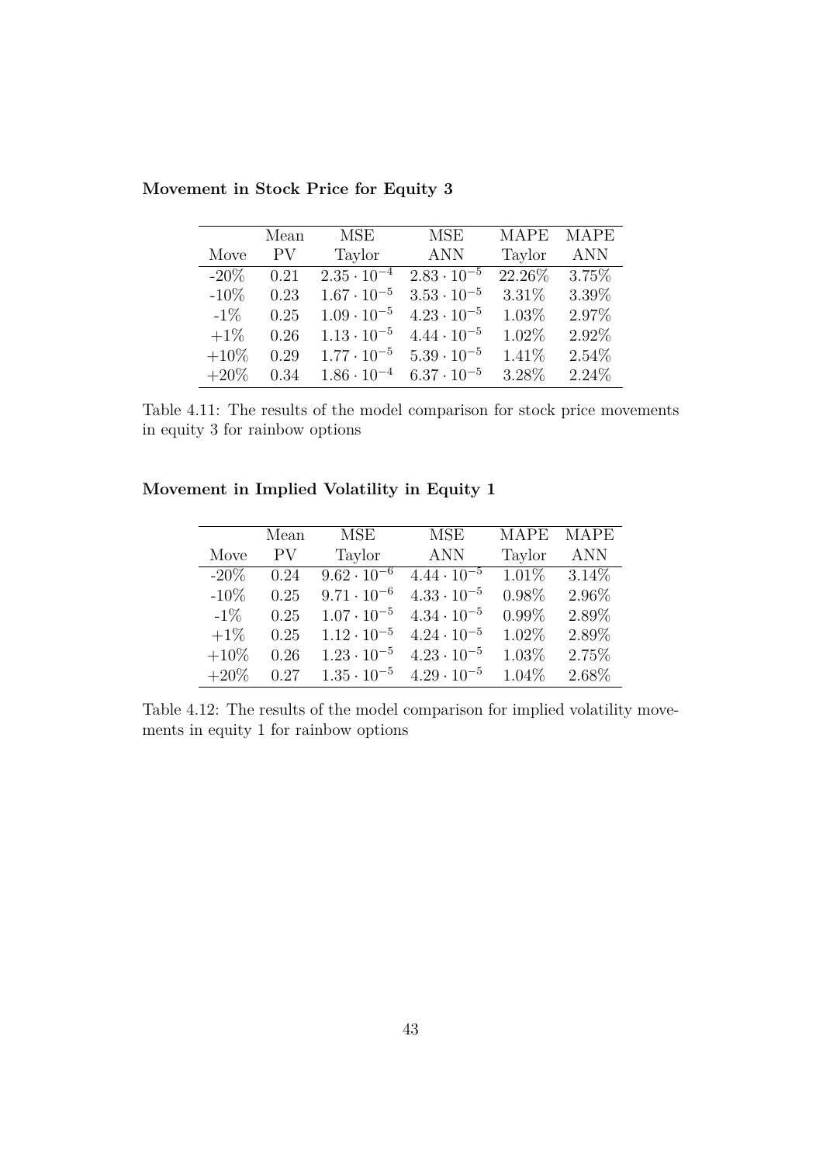|         | Mean | MSE                             | <b>MSE</b>           | <b>MAPE</b> | <b>MAPE</b> |
|---------|------|---------------------------------|----------------------|-------------|-------------|
| Move    | PV   | Taylor                          | <b>ANN</b>           | Taylor      | <b>ANN</b>  |
| $-20\%$ | 0.21 | $2.\overline{35 \cdot 10^{-4}}$ | $2.83 \cdot 10^{-5}$ | 22.26%      | $3.75\%$    |
| $-10\%$ | 0.23 | $1.67 \cdot 10^{-5}$            | $3.53 \cdot 10^{-5}$ | 3.31%       | 3.39%       |
| $-1\%$  | 0.25 | $1.09 \cdot 10^{-5}$            | $4.23 \cdot 10^{-5}$ | 1.03%       | 2.97%       |
| $+1\%$  | 0.26 | $1.13 \cdot 10^{-5}$            | $4.44 \cdot 10^{-5}$ | 1.02%       | 2.92%       |
| $+10\%$ | 0.29 | $1.77 \cdot 10^{-5}$            | $5.39 \cdot 10^{-5}$ | 1.41%       | 2.54%       |
| $+20\%$ | 0.34 | $1.86 \cdot 10^{-4}$            | $6.37 \cdot 10^{-5}$ | 3.28%       | 2.24\%      |

**Movement in Stock Price for Equity 3**

Table 4.11: The results of the model comparison for stock price movements in equity 3 for rainbow options

| Movement in Implied Volatility in Equity 1 |  |  |  |
|--------------------------------------------|--|--|--|
|                                            |  |  |  |

|         | Mean | MSE                  | <b>MSE</b>           | <b>MAPE</b> | <b>MAPE</b> |
|---------|------|----------------------|----------------------|-------------|-------------|
| Move    | PV   | Taylor               | <b>ANN</b>           | Taylor      | <b>ANN</b>  |
| $-20\%$ | 0.24 | $9.62 \cdot 10^{-6}$ | $4.44 \cdot 10^{-5}$ | $1.01\%$    | $3.14\%$    |
| $-10\%$ | 0.25 | $9.71 \cdot 10^{-6}$ | $4.33 \cdot 10^{-5}$ | 0.98%       | 2.96%       |
| $-1\%$  | 0.25 | $1.07 \cdot 10^{-5}$ | $4.34 \cdot 10^{-5}$ | $0.99\%$    | 2.89%       |
| $+1\%$  | 0.25 | $1.12 \cdot 10^{-5}$ | $4.24 \cdot 10^{-5}$ | 1.02%       | 2.89%       |
| $+10\%$ | 0.26 | $1.23 \cdot 10^{-5}$ | $4.23 \cdot 10^{-5}$ | 1.03%       | 2.75%       |
| $+20\%$ | 0.27 | $1.35 \cdot 10^{-5}$ | $4.29 \cdot 10^{-5}$ | 1.04%       | 2.68%       |

Table 4.12: The results of the model comparison for implied volatility movements in equity 1 for rainbow options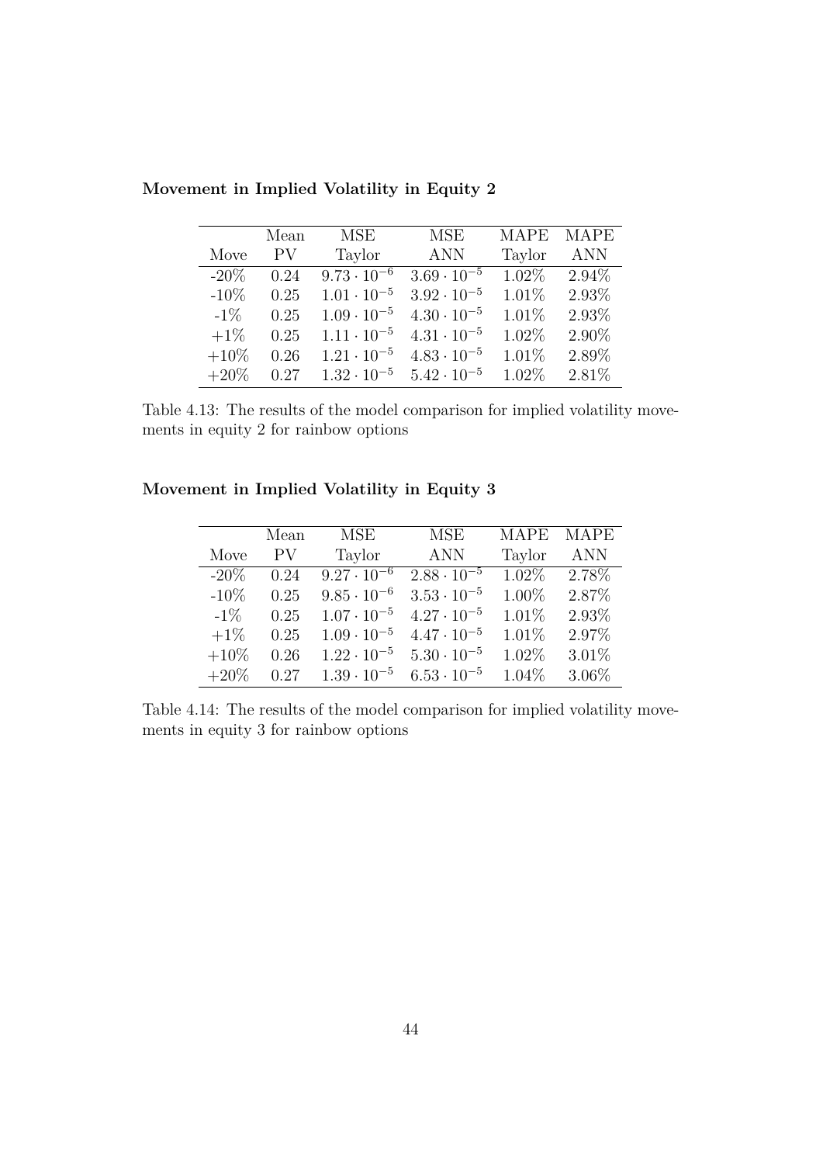|         | Mean | MSE                  | <b>MSE</b>           | <b>MAPE</b> | <b>MAPE</b> |
|---------|------|----------------------|----------------------|-------------|-------------|
| Move    | PV.  | Taylor               | <b>ANN</b>           | Taylor      | <b>ANN</b>  |
| $-20\%$ | 0.24 | $9.73 \cdot 10^{-6}$ | $3.69 \cdot 10^{-5}$ | $1.02\%$    | $2.94\%$    |
| $-10\%$ | 0.25 | $1.01 \cdot 10^{-5}$ | $3.92 \cdot 10^{-5}$ | 1.01%       | 2.93%       |
| $-1\%$  | 0.25 | $1.09 \cdot 10^{-5}$ | $4.30 \cdot 10^{-5}$ | 1.01%       | 2.93%       |
| $+1\%$  | 0.25 | $1.11 \cdot 10^{-5}$ | $4.31 \cdot 10^{-5}$ | 1.02%       | 2.90%       |
| $+10\%$ | 0.26 | $1.21 \cdot 10^{-5}$ | $4.83 \cdot 10^{-5}$ | 1.01%       | 2.89%       |
| $+20\%$ | 0.27 | $1.32 \cdot 10^{-5}$ | $5.42 \cdot 10^{-5}$ | 1.02%       | 2.81%       |

**Movement in Implied Volatility in Equity 2**

Table 4.13: The results of the model comparison for implied volatility movements in equity 2 for rainbow options

**Movement in Implied Volatility in Equity 3**

|         | Mean | MSE                  | <b>MSE</b>           | <b>MAPE</b> | <b>MAPE</b> |
|---------|------|----------------------|----------------------|-------------|-------------|
| Move    | PV   | Taylor               | <b>ANN</b>           | Taylor      | <b>ANN</b>  |
| $-20\%$ | 0.24 | $9.27 \cdot 10^{-6}$ | $2.88 \cdot 10^{-5}$ | $1.02\%$    | 2.78%       |
| $-10\%$ | 0.25 | $9.85 \cdot 10^{-6}$ | $3.53 \cdot 10^{-5}$ | 1.00%       | 2.87%       |
| $-1\%$  | 0.25 | $1.07 \cdot 10^{-5}$ | $4.27 \cdot 10^{-5}$ | 1.01%       | 2.93%       |
| $+1\%$  | 0.25 | $1.09 \cdot 10^{-5}$ | $4.47 \cdot 10^{-5}$ | 1.01%       | 2.97%       |
| $+10\%$ | 0.26 | $1.22 \cdot 10^{-5}$ | $5.30 \cdot 10^{-5}$ | 1.02%       | $3.01\%$    |
| $+20\%$ | 0.27 | $1.39 \cdot 10^{-5}$ | $6.53 \cdot 10^{-5}$ | 1.04%       | $3.06\%$    |

Table 4.14: The results of the model comparison for implied volatility movements in equity 3 for rainbow options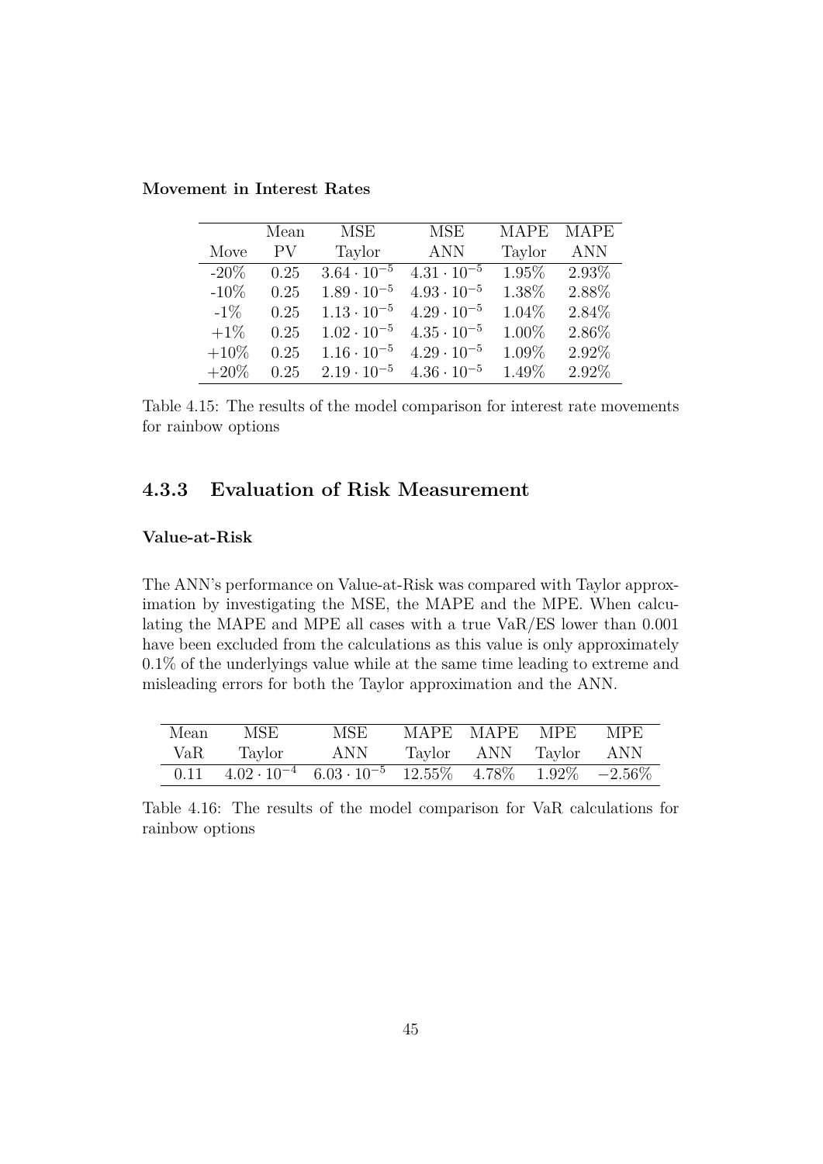|         | Mean | MSE                  | <b>MSE</b>           | <b>MAPE</b> | <b>MAPE</b> |
|---------|------|----------------------|----------------------|-------------|-------------|
| Move    | PV   | Taylor               | <b>ANN</b>           | Taylor      | <b>ANN</b>  |
| $-20\%$ | 0.25 | $3.64 \cdot 10^{-5}$ | $4.31 \cdot 10^{-5}$ | 1.95%       | 2.93%       |
| $-10\%$ | 0.25 | $1.89 \cdot 10^{-5}$ | $4.93 \cdot 10^{-5}$ | 1.38%       | 2.88%       |
| $-1\%$  | 0.25 | $1.13 \cdot 10^{-5}$ | $4.29 \cdot 10^{-5}$ | 1.04%       | 2.84%       |
| $+1\%$  | 0.25 | $1.02 \cdot 10^{-5}$ | $4.35 \cdot 10^{-5}$ | 1.00%       | 2.86%       |
| $+10\%$ | 0.25 | $1.16 \cdot 10^{-5}$ | $4.29 \cdot 10^{-5}$ | 1.09%       | 2.92%       |
| $+20\%$ | 0.25 | $2.19 \cdot 10^{-5}$ | $4.36 \cdot 10^{-5}$ | 1.49%       | 2.92%       |

**Movement in Interest Rates**

Table 4.15: The results of the model comparison for interest rate movements for rainbow options

## **4.3.3 Evaluation of Risk Measurement**

#### **Value-at-Risk**

The ANN's performance on Value-at-Risk was compared with Taylor approximation by investigating the MSE, the MAPE and the MPE. When calculating the MAPE and MPE all cases with a true VaR/ES lower than 0.001 have been excluded from the calculations as this value is only approximately 0.1% of the underlyings value while at the same time leading to extreme and misleading errors for both the Taylor approximation and the ANN.

| Mean | MSE                                                                                                                                                                 | MSE | MAPE MAPE MPE MPE     |  |
|------|---------------------------------------------------------------------------------------------------------------------------------------------------------------------|-----|-----------------------|--|
| VaR  | Taylor                                                                                                                                                              | ANN | Taylor ANN Taylor ANN |  |
|      | $\overline{0.11}$ $\overline{4.02 \cdot 10^{-4}}$ $\overline{6.03 \cdot 10^{-5}}$ $\overline{12.55\%}$ $\overline{4.78\%}$ $\overline{1.92\%}$ $\overline{-2.56\%}$ |     |                       |  |

Table 4.16: The results of the model comparison for VaR calculations for rainbow options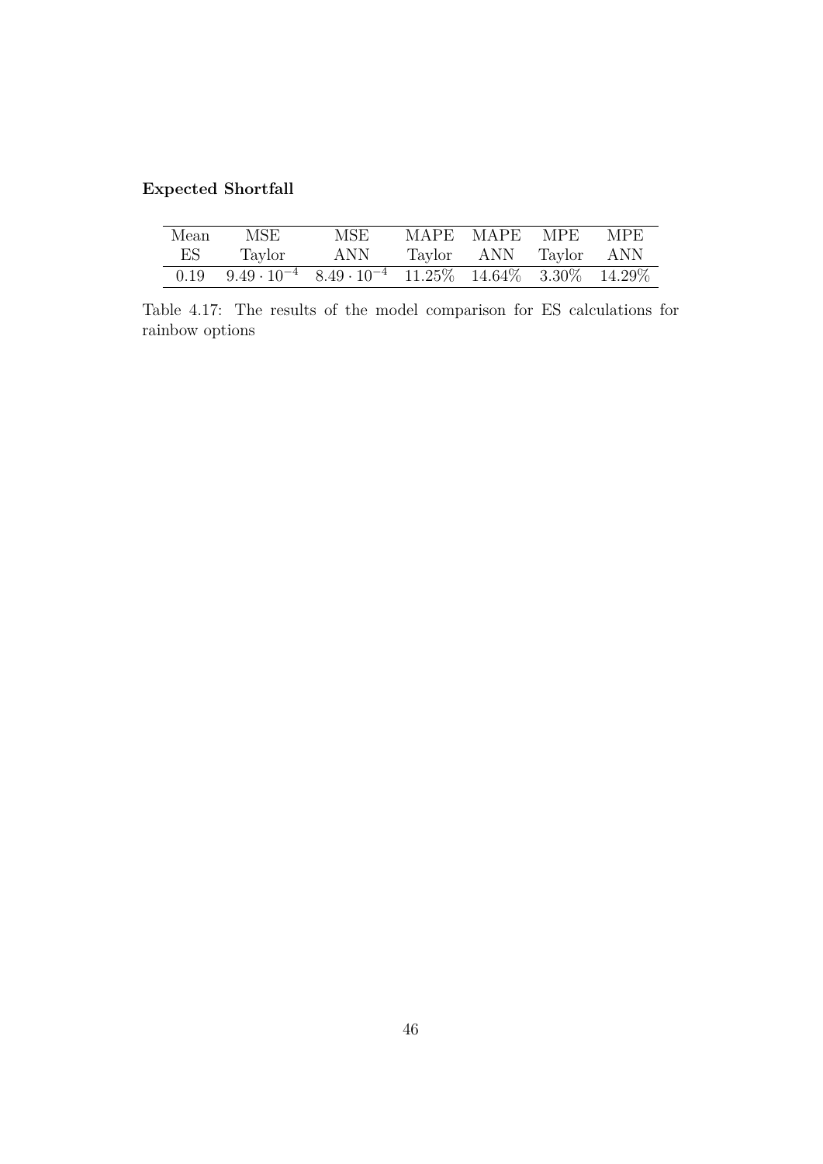## **Expected Shortfall**

| Mean | MSE                                                                                                                          | MSE | MAPE MAPE MPE         | MPE. |
|------|------------------------------------------------------------------------------------------------------------------------------|-----|-----------------------|------|
| ES   | Taylor                                                                                                                       | ANN | Taylor ANN Taylor ANN |      |
| 0.19 | $\frac{9.49 \cdot 10^{-4}}{8.49 \cdot 10^{-4}}$ $\frac{11.25\%}{11.25\%}$ $\frac{14.64\%}{3.30\%}$ $\frac{14.29\%}{14.29\%}$ |     |                       |      |

Table 4.17: The results of the model comparison for ES calculations for rainbow options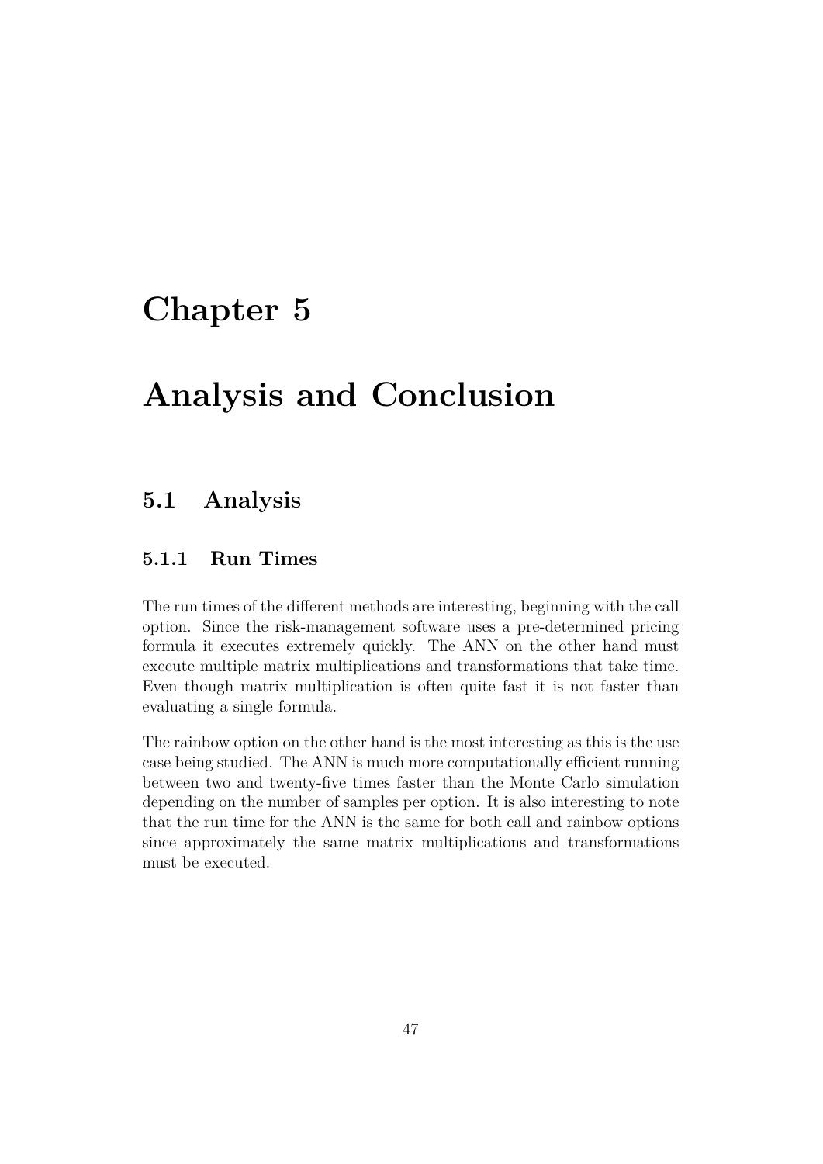# **Chapter 5**

# **Analysis and Conclusion**

# **5.1 Analysis**

## **5.1.1 Run Times**

The run times of the different methods are interesting, beginning with the call option. Since the risk-management software uses a pre-determined pricing formula it executes extremely quickly. The ANN on the other hand must execute multiple matrix multiplications and transformations that take time. Even though matrix multiplication is often quite fast it is not faster than evaluating a single formula.

The rainbow option on the other hand is the most interesting as this is the use case being studied. The ANN is much more computationally efficient running between two and twenty-five times faster than the Monte Carlo simulation depending on the number of samples per option. It is also interesting to note that the run time for the ANN is the same for both call and rainbow options since approximately the same matrix multiplications and transformations must be executed.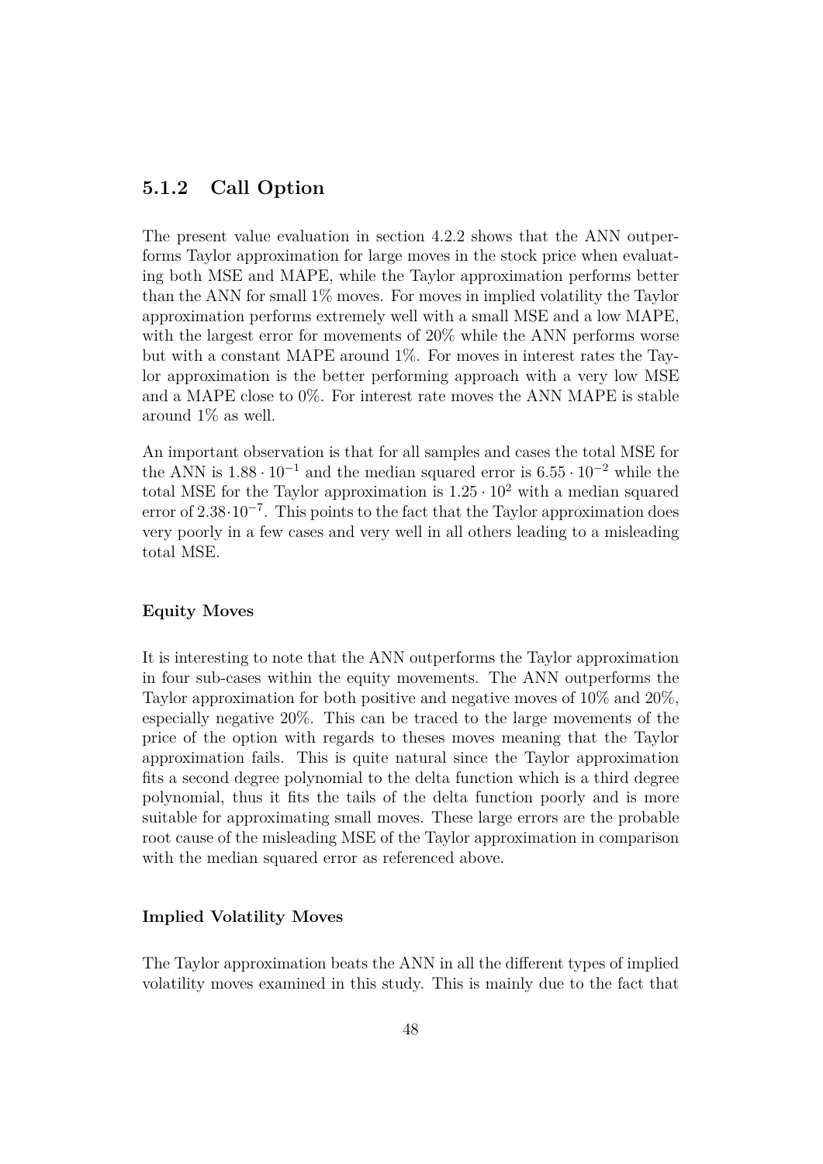## **5.1.2 Call Option**

The present value evaluation in section 4.2.2 shows that the ANN outperforms Taylor approximation for large moves in the stock price when evaluating both MSE and MAPE, while the Taylor approximation performs better than the ANN for small 1% moves. For moves in implied volatility the Taylor approximation performs extremely well with a small MSE and a low MAPE, with the largest error for movements of 20% while the ANN performs worse but with a constant MAPE around 1%. For moves in interest rates the Taylor approximation is the better performing approach with a very low MSE and a MAPE close to 0%. For interest rate moves the ANN MAPE is stable around 1% as well.

An important observation is that for all samples and cases the total MSE for the ANN is  $1.88 \cdot 10^{-1}$  and the median squared error is  $6.55 \cdot 10^{-2}$  while the total MSE for the Taylor approximation is  $1.25 \cdot 10^2$  with a median squared error of 2.38 $\cdot 10^{-7}$ . This points to the fact that the Taylor approximation does very poorly in a few cases and very well in all others leading to a misleading total MSE.

#### **Equity Moves**

It is interesting to note that the ANN outperforms the Taylor approximation in four sub-cases within the equity movements. The ANN outperforms the Taylor approximation for both positive and negative moves of 10% and 20%, especially negative 20%. This can be traced to the large movements of the price of the option with regards to theses moves meaning that the Taylor approximation fails. This is quite natural since the Taylor approximation fits a second degree polynomial to the delta function which is a third degree polynomial, thus it fits the tails of the delta function poorly and is more suitable for approximating small moves. These large errors are the probable root cause of the misleading MSE of the Taylor approximation in comparison with the median squared error as referenced above.

#### **Implied Volatility Moves**

The Taylor approximation beats the ANN in all the different types of implied volatility moves examined in this study. This is mainly due to the fact that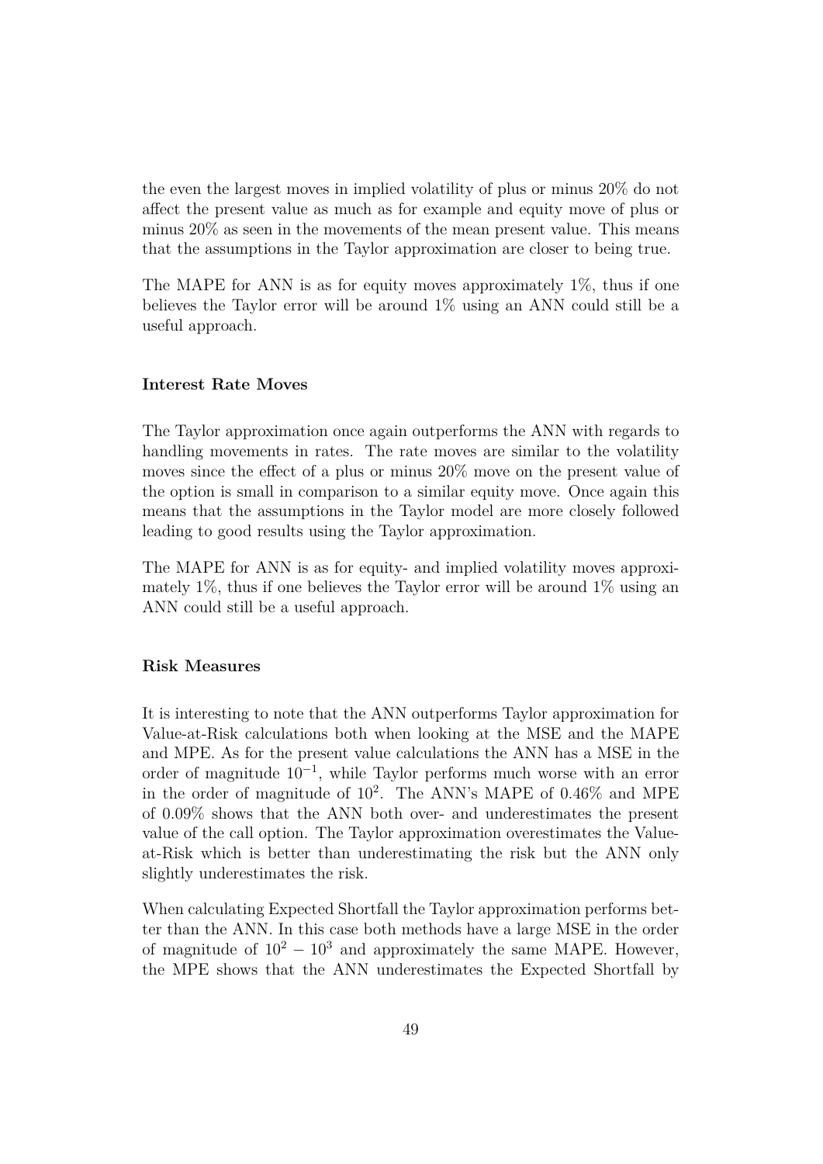the even the largest moves in implied volatility of plus or minus 20% do not affect the present value as much as for example and equity move of plus or minus 20% as seen in the movements of the mean present value. This means that the assumptions in the Taylor approximation are closer to being true.

The MAPE for ANN is as for equity moves approximately 1%, thus if one believes the Taylor error will be around 1% using an ANN could still be a useful approach.

#### **Interest Rate Moves**

The Taylor approximation once again outperforms the ANN with regards to handling movements in rates. The rate moves are similar to the volatility moves since the effect of a plus or minus 20% move on the present value of the option is small in comparison to a similar equity move. Once again this means that the assumptions in the Taylor model are more closely followed leading to good results using the Taylor approximation.

The MAPE for ANN is as for equity- and implied volatility moves approximately  $1\%$ , thus if one believes the Taylor error will be around  $1\%$  using an ANN could still be a useful approach.

#### **Risk Measures**

It is interesting to note that the ANN outperforms Taylor approximation for Value-at-Risk calculations both when looking at the MSE and the MAPE and MPE. As for the present value calculations the ANN has a MSE in the order of magnitude 10<sup>−</sup><sup>1</sup> , while Taylor performs much worse with an error in the order of magnitude of 10<sup>2</sup> . The ANN's MAPE of 0.46% and MPE of 0.09% shows that the ANN both over- and underestimates the present value of the call option. The Taylor approximation overestimates the Valueat-Risk which is better than underestimating the risk but the ANN only slightly underestimates the risk.

When calculating Expected Shortfall the Taylor approximation performs better than the ANN. In this case both methods have a large MSE in the order of magnitude of  $10^2 - 10^3$  and approximately the same MAPE. However, the MPE shows that the ANN underestimates the Expected Shortfall by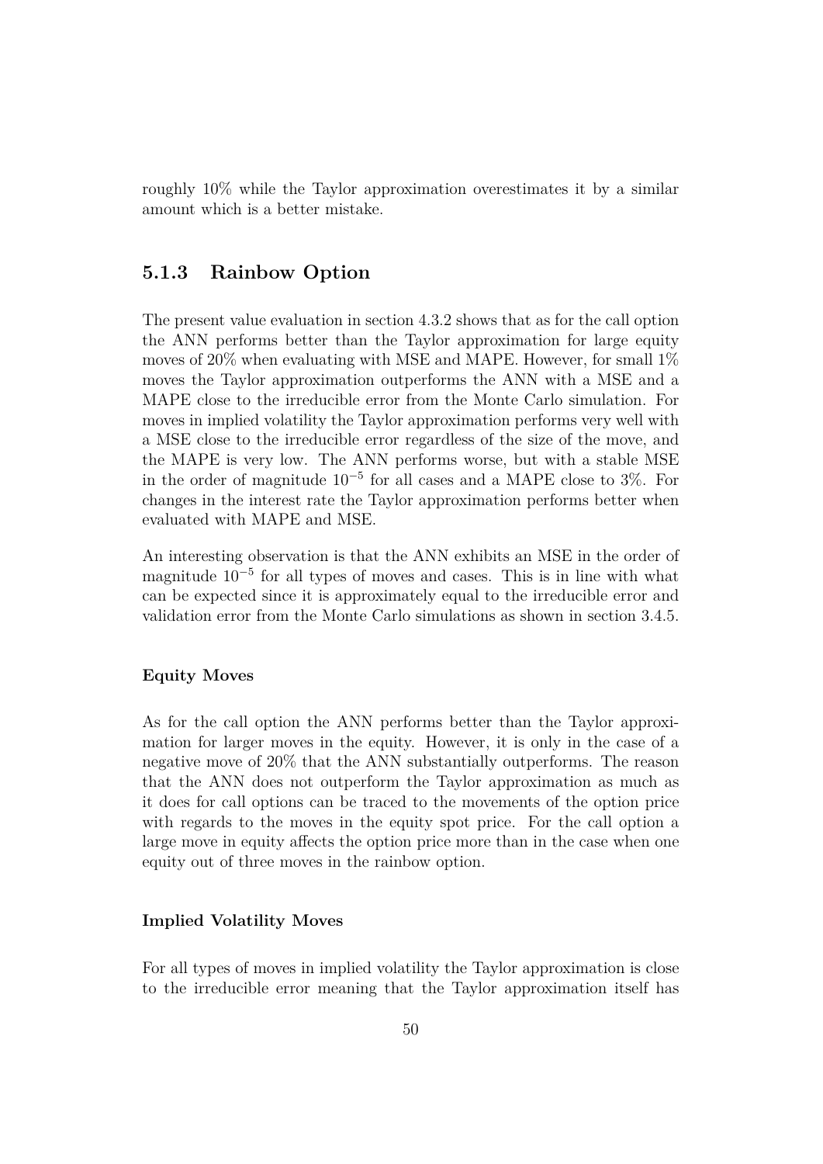roughly 10% while the Taylor approximation overestimates it by a similar amount which is a better mistake.

### **5.1.3 Rainbow Option**

The present value evaluation in section 4.3.2 shows that as for the call option the ANN performs better than the Taylor approximation for large equity moves of  $20\%$  when evaluating with MSE and MAPE. However, for small  $1\%$ moves the Taylor approximation outperforms the ANN with a MSE and a MAPE close to the irreducible error from the Monte Carlo simulation. For moves in implied volatility the Taylor approximation performs very well with a MSE close to the irreducible error regardless of the size of the move, and the MAPE is very low. The ANN performs worse, but with a stable MSE in the order of magnitude 10<sup>−</sup><sup>5</sup> for all cases and a MAPE close to 3%. For changes in the interest rate the Taylor approximation performs better when evaluated with MAPE and MSE.

An interesting observation is that the ANN exhibits an MSE in the order of magnitude 10<sup>−</sup><sup>5</sup> for all types of moves and cases. This is in line with what can be expected since it is approximately equal to the irreducible error and validation error from the Monte Carlo simulations as shown in section 3.4.5.

#### **Equity Moves**

As for the call option the ANN performs better than the Taylor approximation for larger moves in the equity. However, it is only in the case of a negative move of 20% that the ANN substantially outperforms. The reason that the ANN does not outperform the Taylor approximation as much as it does for call options can be traced to the movements of the option price with regards to the moves in the equity spot price. For the call option a large move in equity affects the option price more than in the case when one equity out of three moves in the rainbow option.

#### **Implied Volatility Moves**

For all types of moves in implied volatility the Taylor approximation is close to the irreducible error meaning that the Taylor approximation itself has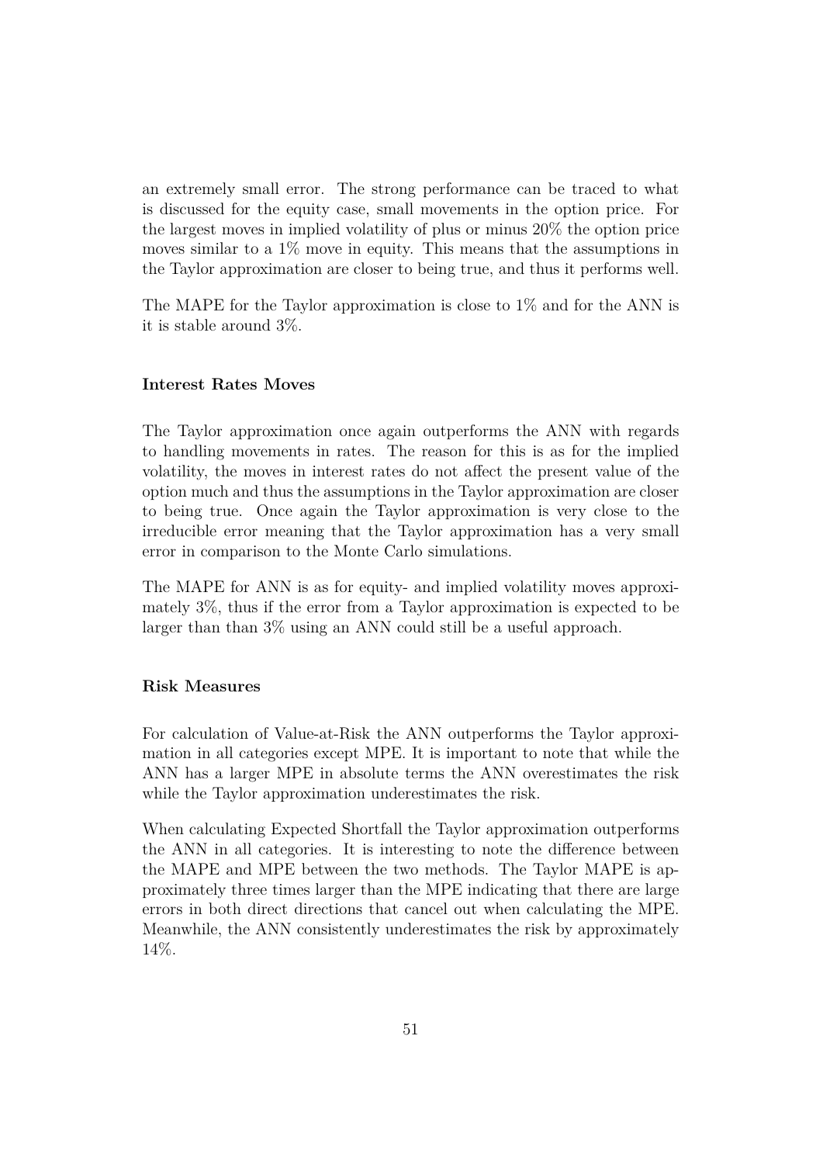an extremely small error. The strong performance can be traced to what is discussed for the equity case, small movements in the option price. For the largest moves in implied volatility of plus or minus 20% the option price moves similar to a 1% move in equity. This means that the assumptions in the Taylor approximation are closer to being true, and thus it performs well.

The MAPE for the Taylor approximation is close to 1% and for the ANN is it is stable around 3%.

#### **Interest Rates Moves**

The Taylor approximation once again outperforms the ANN with regards to handling movements in rates. The reason for this is as for the implied volatility, the moves in interest rates do not affect the present value of the option much and thus the assumptions in the Taylor approximation are closer to being true. Once again the Taylor approximation is very close to the irreducible error meaning that the Taylor approximation has a very small error in comparison to the Monte Carlo simulations.

The MAPE for ANN is as for equity- and implied volatility moves approximately 3%, thus if the error from a Taylor approximation is expected to be larger than than 3% using an ANN could still be a useful approach.

#### **Risk Measures**

For calculation of Value-at-Risk the ANN outperforms the Taylor approximation in all categories except MPE. It is important to note that while the ANN has a larger MPE in absolute terms the ANN overestimates the risk while the Taylor approximation underestimates the risk.

When calculating Expected Shortfall the Taylor approximation outperforms the ANN in all categories. It is interesting to note the difference between the MAPE and MPE between the two methods. The Taylor MAPE is approximately three times larger than the MPE indicating that there are large errors in both direct directions that cancel out when calculating the MPE. Meanwhile, the ANN consistently underestimates the risk by approximately 14%.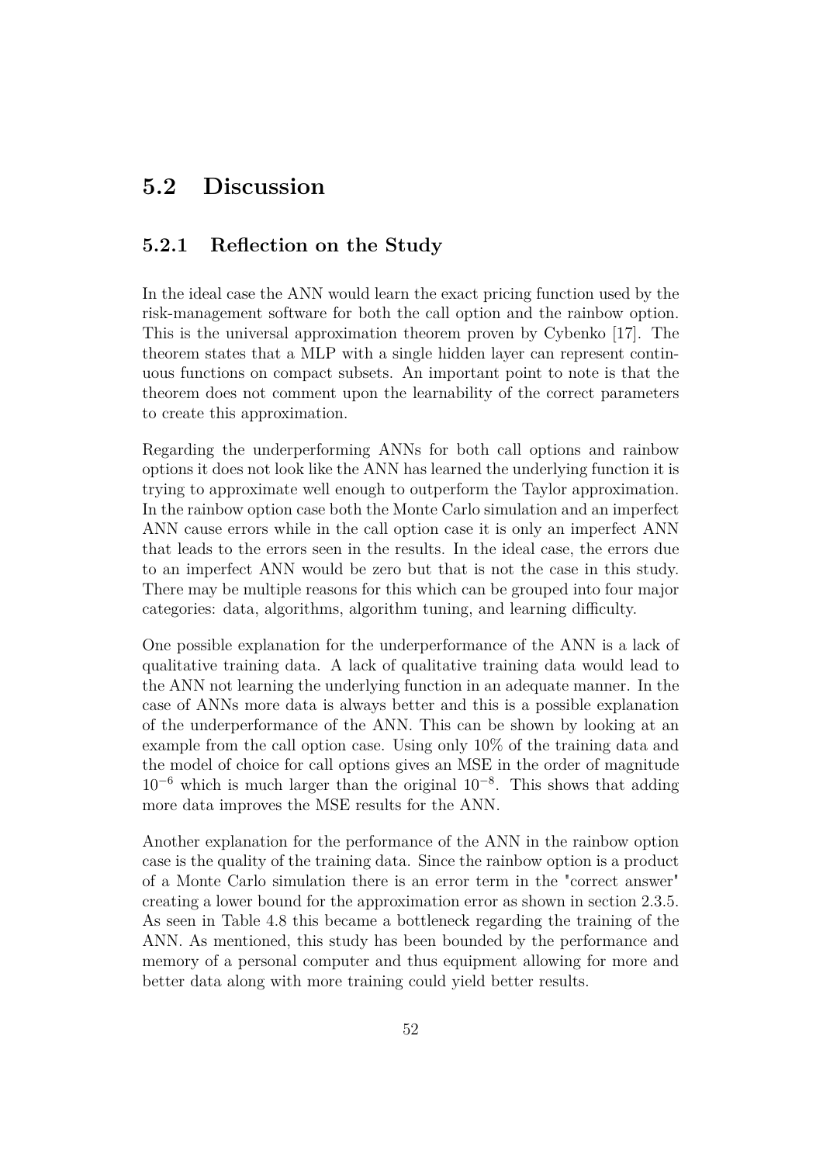# **5.2 Discussion**

### **5.2.1 Reflection on the Study**

In the ideal case the ANN would learn the exact pricing function used by the risk-management software for both the call option and the rainbow option. This is the universal approximation theorem proven by Cybenko [17]. The theorem states that a MLP with a single hidden layer can represent continuous functions on compact subsets. An important point to note is that the theorem does not comment upon the learnability of the correct parameters to create this approximation.

Regarding the underperforming ANNs for both call options and rainbow options it does not look like the ANN has learned the underlying function it is trying to approximate well enough to outperform the Taylor approximation. In the rainbow option case both the Monte Carlo simulation and an imperfect ANN cause errors while in the call option case it is only an imperfect ANN that leads to the errors seen in the results. In the ideal case, the errors due to an imperfect ANN would be zero but that is not the case in this study. There may be multiple reasons for this which can be grouped into four major categories: data, algorithms, algorithm tuning, and learning difficulty.

One possible explanation for the underperformance of the ANN is a lack of qualitative training data. A lack of qualitative training data would lead to the ANN not learning the underlying function in an adequate manner. In the case of ANNs more data is always better and this is a possible explanation of the underperformance of the ANN. This can be shown by looking at an example from the call option case. Using only 10% of the training data and the model of choice for call options gives an MSE in the order of magnitude  $10^{-6}$  which is much larger than the original  $10^{-8}$ . This shows that adding more data improves the MSE results for the ANN.

Another explanation for the performance of the ANN in the rainbow option case is the quality of the training data. Since the rainbow option is a product of a Monte Carlo simulation there is an error term in the "correct answer" creating a lower bound for the approximation error as shown in section 2.3.5. As seen in Table 4.8 this became a bottleneck regarding the training of the ANN. As mentioned, this study has been bounded by the performance and memory of a personal computer and thus equipment allowing for more and better data along with more training could yield better results.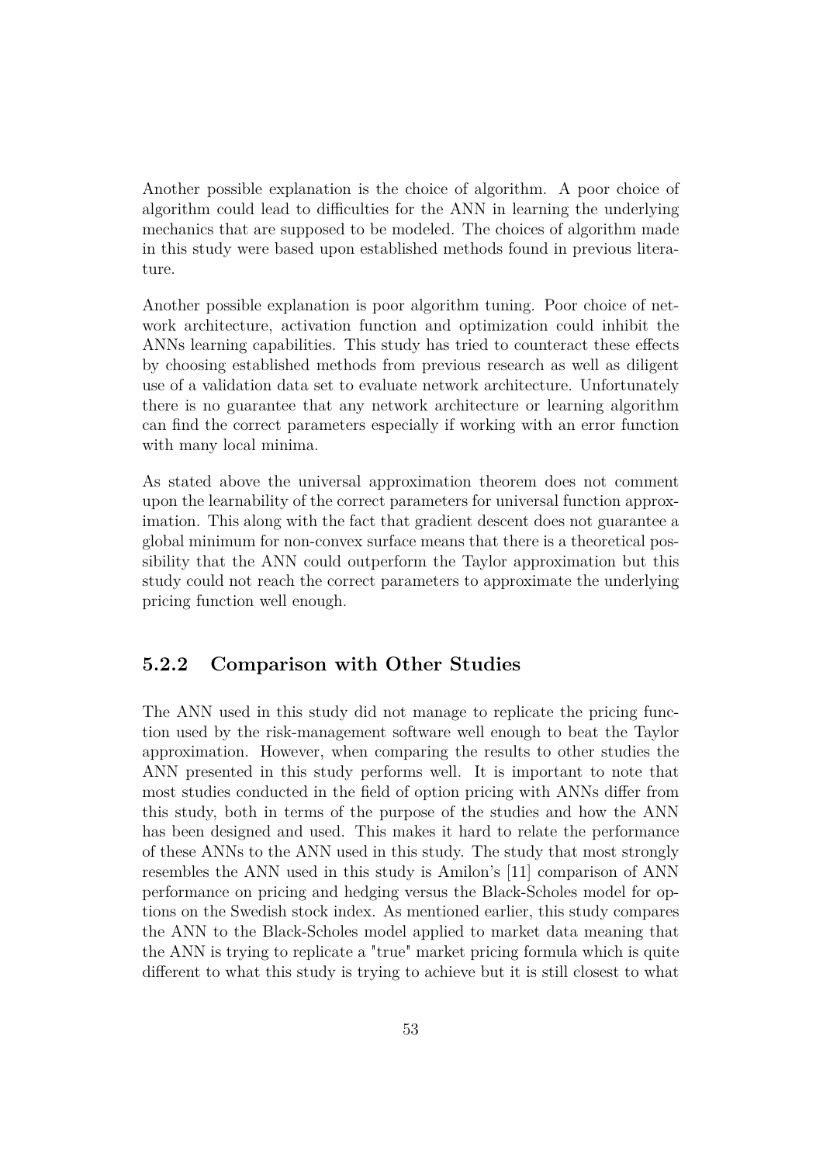Another possible explanation is the choice of algorithm. A poor choice of algorithm could lead to difficulties for the ANN in learning the underlying mechanics that are supposed to be modeled. The choices of algorithm made in this study were based upon established methods found in previous literature.

Another possible explanation is poor algorithm tuning. Poor choice of network architecture, activation function and optimization could inhibit the ANNs learning capabilities. This study has tried to counteract these effects by choosing established methods from previous research as well as diligent use of a validation data set to evaluate network architecture. Unfortunately there is no guarantee that any network architecture or learning algorithm can find the correct parameters especially if working with an error function with many local minima.

As stated above the universal approximation theorem does not comment upon the learnability of the correct parameters for universal function approximation. This along with the fact that gradient descent does not guarantee a global minimum for non-convex surface means that there is a theoretical possibility that the ANN could outperform the Taylor approximation but this study could not reach the correct parameters to approximate the underlying pricing function well enough.

### **5.2.2 Comparison with Other Studies**

The ANN used in this study did not manage to replicate the pricing function used by the risk-management software well enough to beat the Taylor approximation. However, when comparing the results to other studies the ANN presented in this study performs well. It is important to note that most studies conducted in the field of option pricing with ANNs differ from this study, both in terms of the purpose of the studies and how the ANN has been designed and used. This makes it hard to relate the performance of these ANNs to the ANN used in this study. The study that most strongly resembles the ANN used in this study is Amilon's [11] comparison of ANN performance on pricing and hedging versus the Black-Scholes model for options on the Swedish stock index. As mentioned earlier, this study compares the ANN to the Black-Scholes model applied to market data meaning that the ANN is trying to replicate a "true" market pricing formula which is quite different to what this study is trying to achieve but it is still closest to what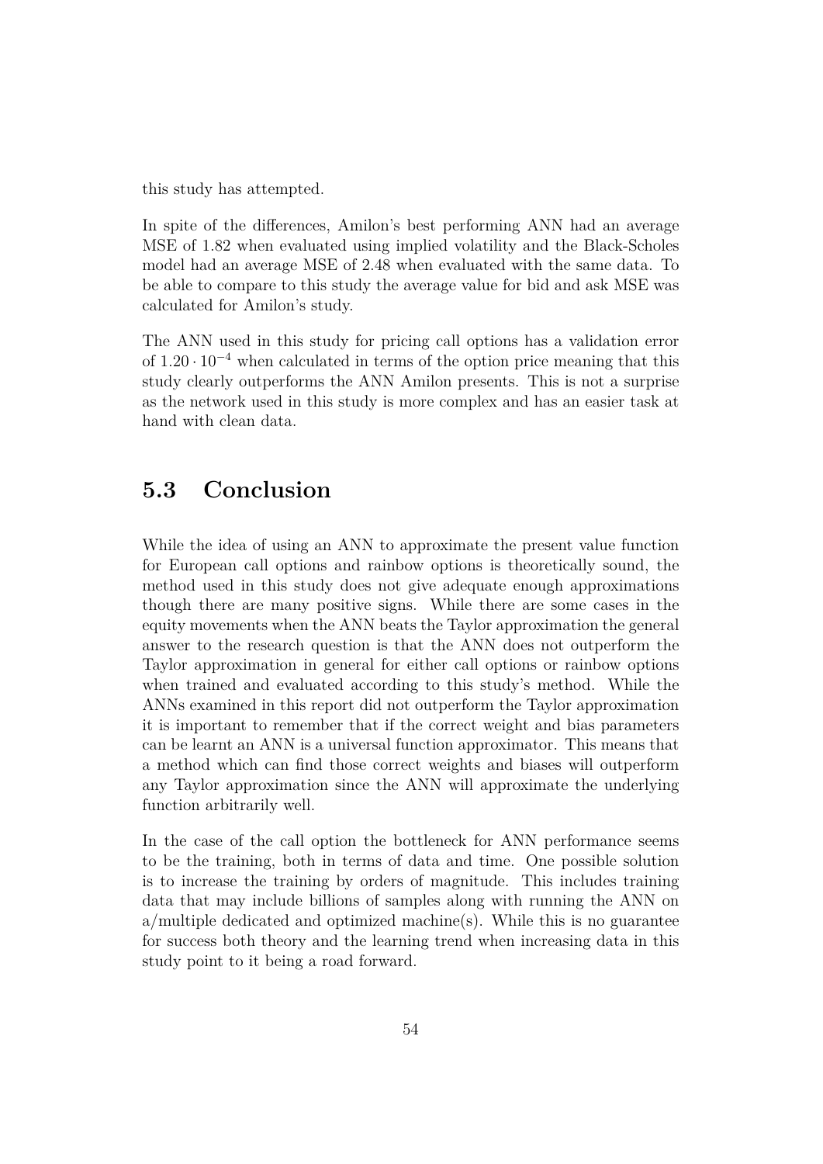this study has attempted.

In spite of the differences, Amilon's best performing ANN had an average MSE of 1.82 when evaluated using implied volatility and the Black-Scholes model had an average MSE of 2.48 when evaluated with the same data. To be able to compare to this study the average value for bid and ask MSE was calculated for Amilon's study.

The ANN used in this study for pricing call options has a validation error of  $1.20 \cdot 10^{-4}$  when calculated in terms of the option price meaning that this study clearly outperforms the ANN Amilon presents. This is not a surprise as the network used in this study is more complex and has an easier task at hand with clean data.

## **5.3 Conclusion**

While the idea of using an ANN to approximate the present value function for European call options and rainbow options is theoretically sound, the method used in this study does not give adequate enough approximations though there are many positive signs. While there are some cases in the equity movements when the ANN beats the Taylor approximation the general answer to the research question is that the ANN does not outperform the Taylor approximation in general for either call options or rainbow options when trained and evaluated according to this study's method. While the ANNs examined in this report did not outperform the Taylor approximation it is important to remember that if the correct weight and bias parameters can be learnt an ANN is a universal function approximator. This means that a method which can find those correct weights and biases will outperform any Taylor approximation since the ANN will approximate the underlying function arbitrarily well.

In the case of the call option the bottleneck for ANN performance seems to be the training, both in terms of data and time. One possible solution is to increase the training by orders of magnitude. This includes training data that may include billions of samples along with running the ANN on a/multiple dedicated and optimized machine(s). While this is no guarantee for success both theory and the learning trend when increasing data in this study point to it being a road forward.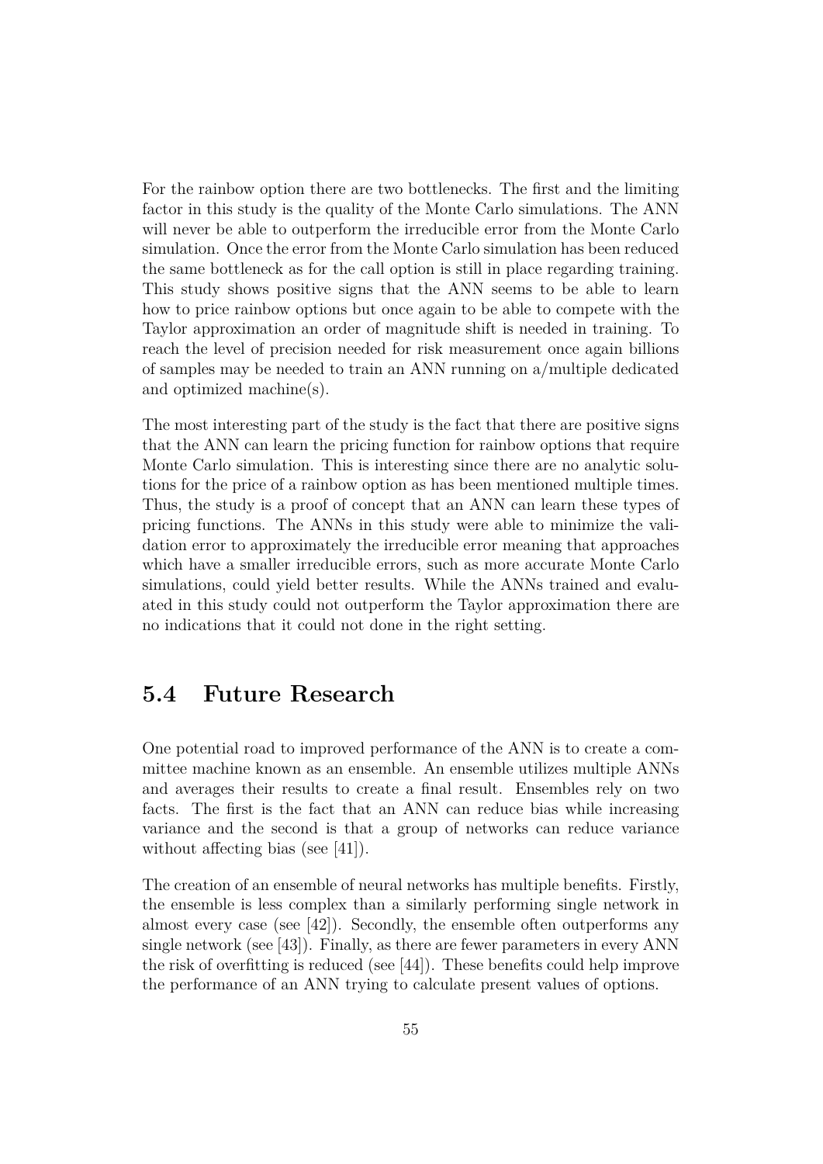For the rainbow option there are two bottlenecks. The first and the limiting factor in this study is the quality of the Monte Carlo simulations. The ANN will never be able to outperform the irreducible error from the Monte Carlo simulation. Once the error from the Monte Carlo simulation has been reduced the same bottleneck as for the call option is still in place regarding training. This study shows positive signs that the ANN seems to be able to learn how to price rainbow options but once again to be able to compete with the Taylor approximation an order of magnitude shift is needed in training. To reach the level of precision needed for risk measurement once again billions of samples may be needed to train an ANN running on a/multiple dedicated and optimized machine(s).

The most interesting part of the study is the fact that there are positive signs that the ANN can learn the pricing function for rainbow options that require Monte Carlo simulation. This is interesting since there are no analytic solutions for the price of a rainbow option as has been mentioned multiple times. Thus, the study is a proof of concept that an ANN can learn these types of pricing functions. The ANNs in this study were able to minimize the validation error to approximately the irreducible error meaning that approaches which have a smaller irreducible errors, such as more accurate Monte Carlo simulations, could yield better results. While the ANNs trained and evaluated in this study could not outperform the Taylor approximation there are no indications that it could not done in the right setting.

## **5.4 Future Research**

One potential road to improved performance of the ANN is to create a committee machine known as an ensemble. An ensemble utilizes multiple ANNs and averages their results to create a final result. Ensembles rely on two facts. The first is the fact that an ANN can reduce bias while increasing variance and the second is that a group of networks can reduce variance without affecting bias (see [41]).

The creation of an ensemble of neural networks has multiple benefits. Firstly, the ensemble is less complex than a similarly performing single network in almost every case (see [42]). Secondly, the ensemble often outperforms any single network (see [43]). Finally, as there are fewer parameters in every ANN the risk of overfitting is reduced (see [44]). These benefits could help improve the performance of an ANN trying to calculate present values of options.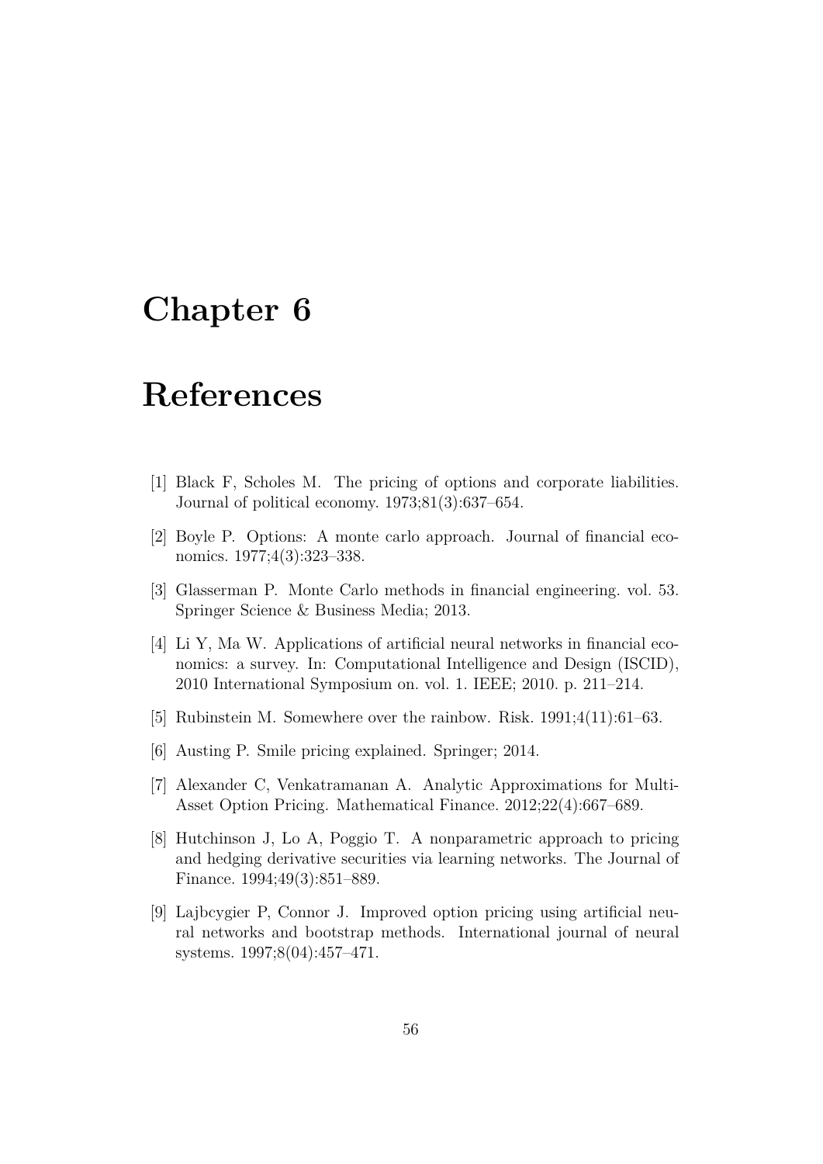# **Chapter 6**

# **References**

- [1] Black F, Scholes M. The pricing of options and corporate liabilities. Journal of political economy. 1973;81(3):637–654.
- [2] Boyle P. Options: A monte carlo approach. Journal of financial economics. 1977;4(3):323–338.
- [3] Glasserman P. Monte Carlo methods in financial engineering. vol. 53. Springer Science & Business Media; 2013.
- [4] Li Y, Ma W. Applications of artificial neural networks in financial economics: a survey. In: Computational Intelligence and Design (ISCID), 2010 International Symposium on. vol. 1. IEEE; 2010. p. 211–214.
- [5] Rubinstein M. Somewhere over the rainbow. Risk. 1991;4(11):61–63.
- [6] Austing P. Smile pricing explained. Springer; 2014.
- [7] Alexander C, Venkatramanan A. Analytic Approximations for Multi-Asset Option Pricing. Mathematical Finance. 2012;22(4):667–689.
- [8] Hutchinson J, Lo A, Poggio T. A nonparametric approach to pricing and hedging derivative securities via learning networks. The Journal of Finance. 1994;49(3):851–889.
- [9] Lajbcygier P, Connor J. Improved option pricing using artificial neural networks and bootstrap methods. International journal of neural systems. 1997;8(04):457–471.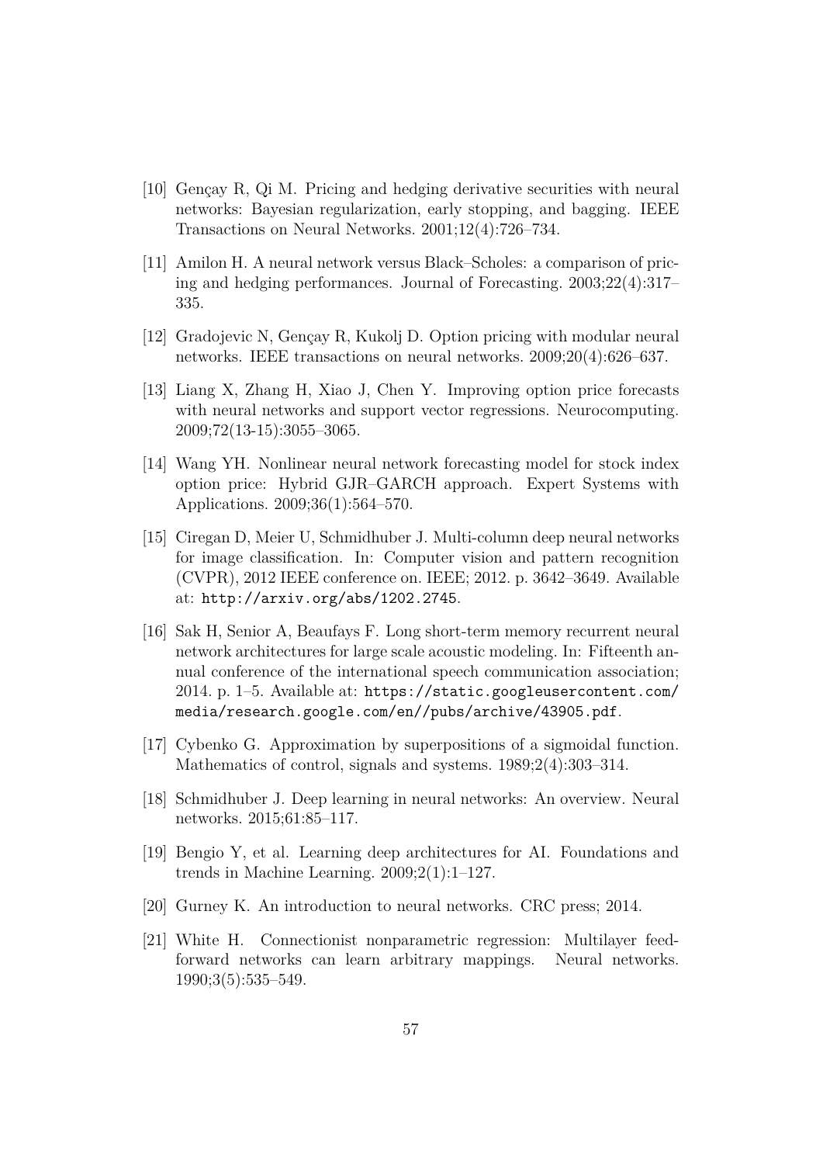- [10] Gençay R, Qi M. Pricing and hedging derivative securities with neural networks: Bayesian regularization, early stopping, and bagging. IEEE Transactions on Neural Networks. 2001;12(4):726–734.
- [11] Amilon H. A neural network versus Black–Scholes: a comparison of pricing and hedging performances. Journal of Forecasting. 2003;22(4):317– 335.
- [12] Gradojevic N, Gençay R, Kukolj D. Option pricing with modular neural networks. IEEE transactions on neural networks. 2009;20(4):626–637.
- [13] Liang X, Zhang H, Xiao J, Chen Y. Improving option price forecasts with neural networks and support vector regressions. Neurocomputing. 2009;72(13-15):3055–3065.
- [14] Wang YH. Nonlinear neural network forecasting model for stock index option price: Hybrid GJR–GARCH approach. Expert Systems with Applications. 2009;36(1):564–570.
- [15] Ciregan D, Meier U, Schmidhuber J. Multi-column deep neural networks for image classification. In: Computer vision and pattern recognition (CVPR), 2012 IEEE conference on. IEEE; 2012. p. 3642–3649. Available at: http://arxiv.org/abs/1202.2745.
- [16] Sak H, Senior A, Beaufays F. Long short-term memory recurrent neural network architectures for large scale acoustic modeling. In: Fifteenth annual conference of the international speech communication association; 2014. p. 1–5. Available at: https://static.googleusercontent.com/ media/research.google.com/en//pubs/archive/43905.pdf.
- [17] Cybenko G. Approximation by superpositions of a sigmoidal function. Mathematics of control, signals and systems. 1989;2(4):303–314.
- [18] Schmidhuber J. Deep learning in neural networks: An overview. Neural networks. 2015;61:85–117.
- [19] Bengio Y, et al. Learning deep architectures for AI. Foundations and trends in Machine Learning. 2009;2(1):1–127.
- [20] Gurney K. An introduction to neural networks. CRC press; 2014.
- [21] White H. Connectionist nonparametric regression: Multilayer feedforward networks can learn arbitrary mappings. Neural networks. 1990;3(5):535–549.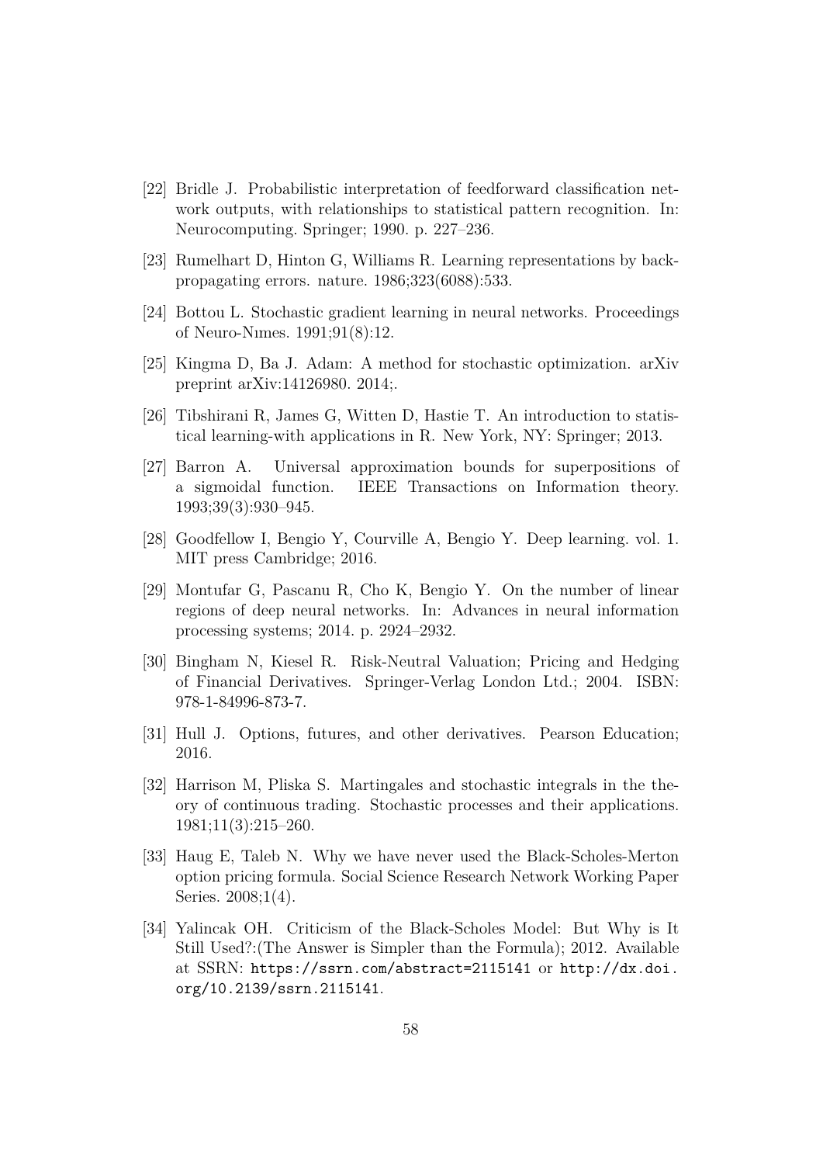- [22] Bridle J. Probabilistic interpretation of feedforward classification network outputs, with relationships to statistical pattern recognition. In: Neurocomputing. Springer; 1990. p. 227–236.
- [23] Rumelhart D, Hinton G, Williams R. Learning representations by backpropagating errors. nature. 1986;323(6088):533.
- [24] Bottou L. Stochastic gradient learning in neural networks. Proceedings of Neuro-Nımes. 1991;91(8):12.
- [25] Kingma D, Ba J. Adam: A method for stochastic optimization. arXiv preprint arXiv:14126980. 2014;.
- [26] Tibshirani R, James G, Witten D, Hastie T. An introduction to statistical learning-with applications in R. New York, NY: Springer; 2013.
- [27] Barron A. Universal approximation bounds for superpositions of a sigmoidal function. IEEE Transactions on Information theory. 1993;39(3):930–945.
- [28] Goodfellow I, Bengio Y, Courville A, Bengio Y. Deep learning. vol. 1. MIT press Cambridge; 2016.
- [29] Montufar G, Pascanu R, Cho K, Bengio Y. On the number of linear regions of deep neural networks. In: Advances in neural information processing systems; 2014. p. 2924–2932.
- [30] Bingham N, Kiesel R. Risk-Neutral Valuation; Pricing and Hedging of Financial Derivatives. Springer-Verlag London Ltd.; 2004. ISBN: 978-1-84996-873-7.
- [31] Hull J. Options, futures, and other derivatives. Pearson Education; 2016.
- [32] Harrison M, Pliska S. Martingales and stochastic integrals in the theory of continuous trading. Stochastic processes and their applications. 1981;11(3):215–260.
- [33] Haug E, Taleb N. Why we have never used the Black-Scholes-Merton option pricing formula. Social Science Research Network Working Paper Series. 2008;1(4).
- [34] Yalincak OH. Criticism of the Black-Scholes Model: But Why is It Still Used?:(The Answer is Simpler than the Formula); 2012. Available at SSRN: https://ssrn.com/abstract=2115141 or http://dx.doi. org/10.2139/ssrn.2115141.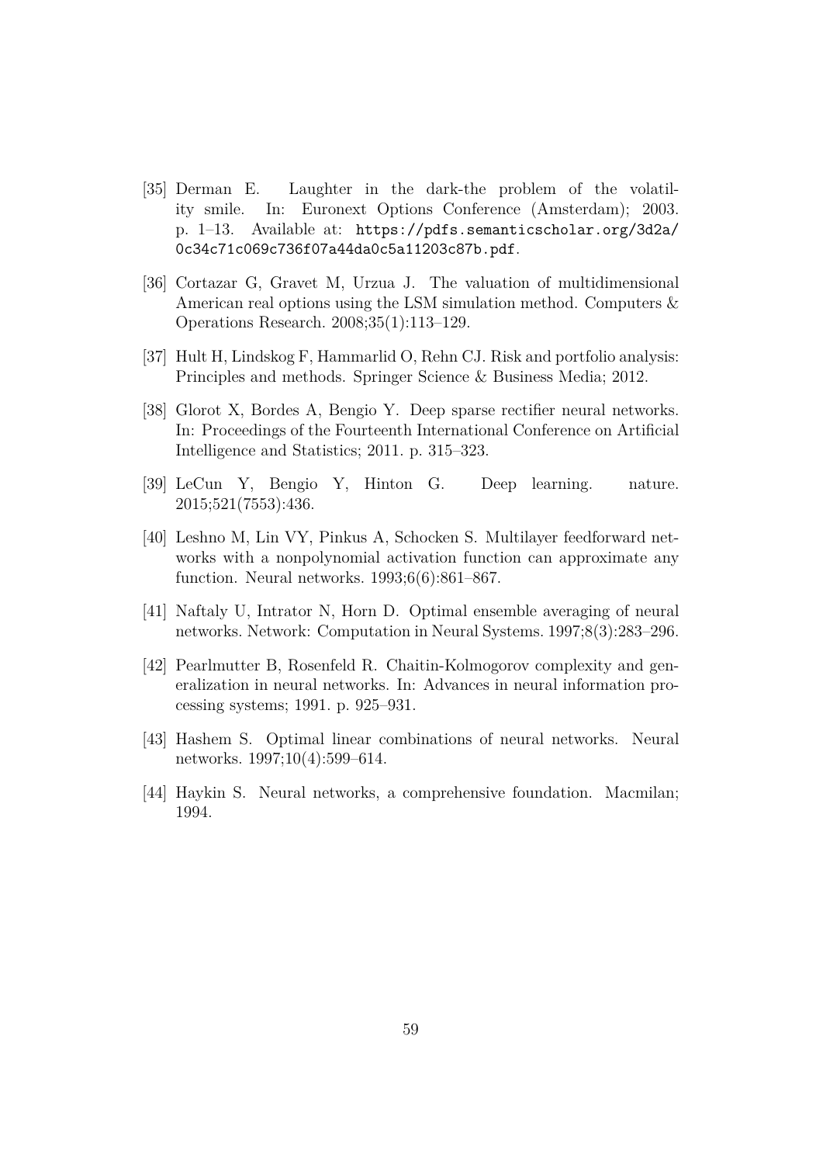- [35] Derman E. Laughter in the dark-the problem of the volatility smile. In: Euronext Options Conference (Amsterdam); 2003. p. 1–13. Available at: https://pdfs.semanticscholar.org/3d2a/ 0c34c71c069c736f07a44da0c5a11203c87b.pdf.
- [36] Cortazar G, Gravet M, Urzua J. The valuation of multidimensional American real options using the LSM simulation method. Computers & Operations Research. 2008;35(1):113–129.
- [37] Hult H, Lindskog F, Hammarlid O, Rehn CJ. Risk and portfolio analysis: Principles and methods. Springer Science & Business Media; 2012.
- [38] Glorot X, Bordes A, Bengio Y. Deep sparse rectifier neural networks. In: Proceedings of the Fourteenth International Conference on Artificial Intelligence and Statistics; 2011. p. 315–323.
- [39] LeCun Y, Bengio Y, Hinton G. Deep learning. nature. 2015;521(7553):436.
- [40] Leshno M, Lin VY, Pinkus A, Schocken S. Multilayer feedforward networks with a nonpolynomial activation function can approximate any function. Neural networks. 1993;6(6):861–867.
- [41] Naftaly U, Intrator N, Horn D. Optimal ensemble averaging of neural networks. Network: Computation in Neural Systems. 1997;8(3):283–296.
- [42] Pearlmutter B, Rosenfeld R. Chaitin-Kolmogorov complexity and generalization in neural networks. In: Advances in neural information processing systems; 1991. p. 925–931.
- [43] Hashem S. Optimal linear combinations of neural networks. Neural networks. 1997;10(4):599–614.
- [44] Haykin S. Neural networks, a comprehensive foundation. Macmilan; 1994.